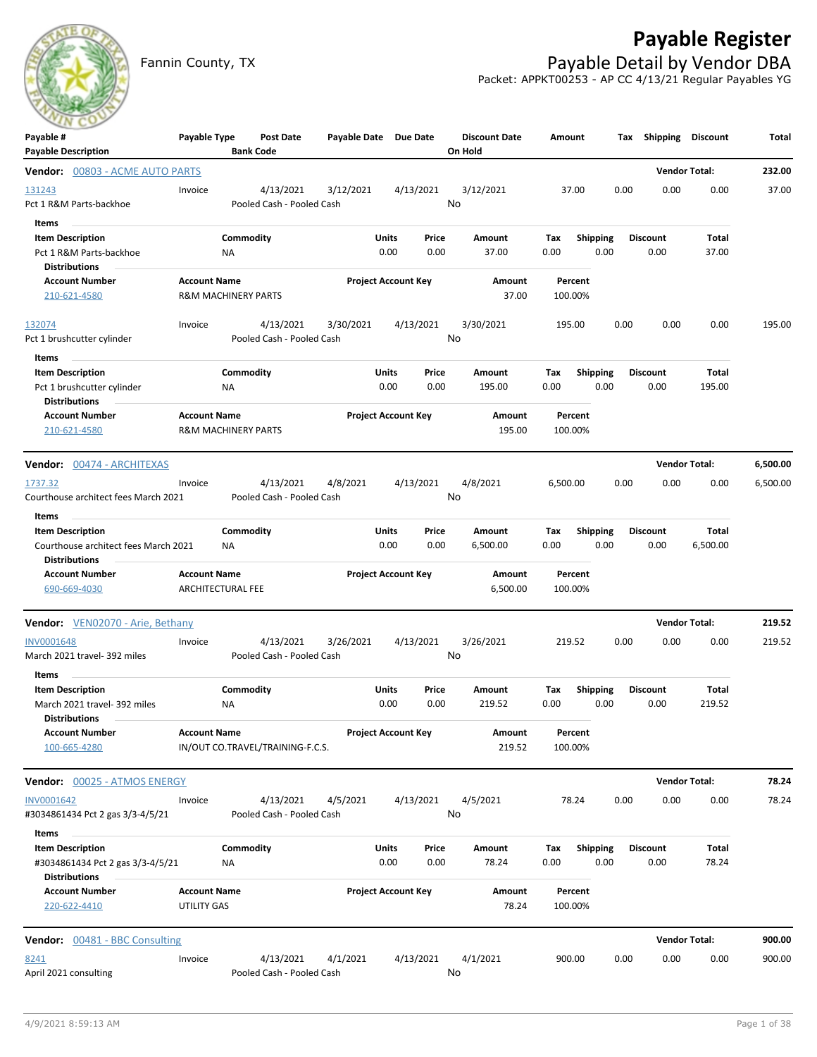

## **Payable Register**

Fannin County, TX **Payable Detail by Vendor DBA** Packet: APPKT00253 - AP CC 4/13/21 Regular Payables YG

| Payable #<br><b>Payable Description</b>                                                          | Payable Type                             | <b>Post Date</b><br><b>Bank Code</b>   | Payable Date Due Date |                            |                 | <b>Discount Date</b><br>On Hold | Amount             |                         | Shipping<br>Tax         | Discount               | Total    |
|--------------------------------------------------------------------------------------------------|------------------------------------------|----------------------------------------|-----------------------|----------------------------|-----------------|---------------------------------|--------------------|-------------------------|-------------------------|------------------------|----------|
| Vendor: 00803 - ACME AUTO PARTS                                                                  |                                          |                                        |                       |                            |                 |                                 |                    |                         |                         | <b>Vendor Total:</b>   | 232.00   |
| 131243<br>Pct 1 R&M Parts-backhoe                                                                | Invoice                                  | 4/13/2021<br>Pooled Cash - Pooled Cash | 3/12/2021             |                            | 4/13/2021<br>No | 3/12/2021                       | 37.00              |                         | 0.00<br>0.00            | 0.00                   | 37.00    |
| Items<br><b>Item Description</b><br>Pct 1 R&M Parts-backhoe<br><b>Distributions</b>              | ΝA                                       | Commodity                              |                       | Units<br>0.00              | Price<br>0.00   | Amount<br>37.00                 | Тах<br>0.00        | <b>Shipping</b><br>0.00 | <b>Discount</b><br>0.00 | Total<br>37.00         |          |
| <b>Account Number</b><br>210-621-4580                                                            | <b>Account Name</b>                      | <b>R&amp;M MACHINERY PARTS</b>         |                       | <b>Project Account Key</b> |                 | Amount<br>37.00                 | Percent<br>100.00% |                         |                         |                        |          |
| 132074<br>Pct 1 brushcutter cylinder                                                             | Invoice                                  | 4/13/2021<br>Pooled Cash - Pooled Cash | 3/30/2021             |                            | 4/13/2021<br>No | 3/30/2021                       | 195.00             |                         | 0.00<br>0.00            | 0.00                   | 195.00   |
| Items<br><b>Item Description</b><br>Pct 1 brushcutter cylinder<br><b>Distributions</b>           | ΝA                                       | Commodity                              |                       | Units<br>0.00              | Price<br>0.00   | Amount<br>195.00                | Tax<br>0.00        | <b>Shipping</b><br>0.00 | <b>Discount</b><br>0.00 | <b>Total</b><br>195.00 |          |
| <b>Account Number</b><br>210-621-4580                                                            | <b>Account Name</b>                      | <b>R&amp;M MACHINERY PARTS</b>         |                       | <b>Project Account Key</b> |                 | Amount<br>195.00                | Percent<br>100.00% |                         |                         |                        |          |
| <b>Vendor:</b> 00474 - ARCHITEXAS                                                                |                                          |                                        |                       |                            |                 |                                 |                    |                         |                         | <b>Vendor Total:</b>   | 6,500.00 |
| 1737.32<br>Courthouse architect fees March 2021                                                  | Invoice                                  | 4/13/2021<br>Pooled Cash - Pooled Cash | 4/8/2021              |                            | 4/13/2021<br>No | 4/8/2021                        | 6,500.00           |                         | 0.00<br>0.00            | 0.00                   | 6,500.00 |
| Items<br><b>Item Description</b><br>Courthouse architect fees March 2021<br><b>Distributions</b> | ΝA                                       | Commodity                              |                       | Units<br>0.00              | Price<br>0.00   | Amount<br>6,500.00              | Tax<br>0.00        | <b>Shipping</b><br>0.00 | <b>Discount</b><br>0.00 | Total<br>6,500.00      |          |
| <b>Account Number</b><br>690-669-4030                                                            | <b>Account Name</b><br>ARCHITECTURAL FEE |                                        |                       | <b>Project Account Key</b> |                 | Amount<br>6,500.00              | Percent<br>100.00% |                         |                         |                        |          |
| Vendor: VEN02070 - Arie, Bethany                                                                 |                                          |                                        |                       |                            |                 |                                 |                    |                         |                         | <b>Vendor Total:</b>   | 219.52   |
| INV0001648<br>March 2021 travel- 392 miles                                                       | Invoice                                  | 4/13/2021<br>Pooled Cash - Pooled Cash | 3/26/2021             |                            | 4/13/2021<br>No | 3/26/2021                       | 219.52             |                         | 0.00<br>0.00            | 0.00                   | 219.52   |
| Items<br><b>Item Description</b><br>March 2021 travel- 392 miles                                 | ΝA                                       | Commodity                              |                       | Units<br>0.00              | Price<br>0.00   | Amount<br>219.52                | Tax<br>0.00        | <b>Shipping</b><br>0.00 | Discount<br>0.00        | Total<br>219.52        |          |
| <b>Distributions</b><br><b>Account Number</b><br>100-665-4280                                    | <b>Account Name</b>                      | IN/OUT CO.TRAVEL/TRAINING-F.C.S.       |                       | <b>Project Account Key</b> |                 | Amount<br>219.52                | Percent<br>100.00% |                         |                         |                        |          |
| Vendor: 00025 - ATMOS ENERGY                                                                     |                                          |                                        |                       |                            |                 |                                 |                    |                         |                         | <b>Vendor Total:</b>   | 78.24    |
| INV0001642<br>#3034861434 Pct 2 gas 3/3-4/5/21<br>Items                                          | Invoice                                  | 4/13/2021<br>Pooled Cash - Pooled Cash | 4/5/2021              |                            | 4/13/2021<br>No | 4/5/2021                        | 78.24              |                         | 0.00<br>0.00            | 0.00                   | 78.24    |
| <b>Item Description</b><br>#3034861434 Pct 2 gas 3/3-4/5/21<br><b>Distributions</b>              | ΝA                                       | Commodity                              |                       | Units<br>0.00              | Price<br>0.00   | Amount<br>78.24                 | Tax<br>0.00        | <b>Shipping</b><br>0.00 | <b>Discount</b><br>0.00 | Total<br>78.24         |          |
| <b>Account Number</b><br>220-622-4410                                                            | <b>Account Name</b><br>UTILITY GAS       |                                        |                       | <b>Project Account Key</b> |                 | Amount<br>78.24                 | Percent<br>100.00% |                         |                         |                        |          |
| <b>Vendor:</b> 00481 - BBC Consulting                                                            |                                          |                                        |                       |                            |                 |                                 |                    |                         |                         | <b>Vendor Total:</b>   | 900.00   |
| 8241<br>April 2021 consulting                                                                    | Invoice                                  | 4/13/2021<br>Pooled Cash - Pooled Cash | 4/1/2021              |                            | 4/13/2021<br>No | 4/1/2021                        | 900.00             |                         | 0.00<br>0.00            | 0.00                   | 900.00   |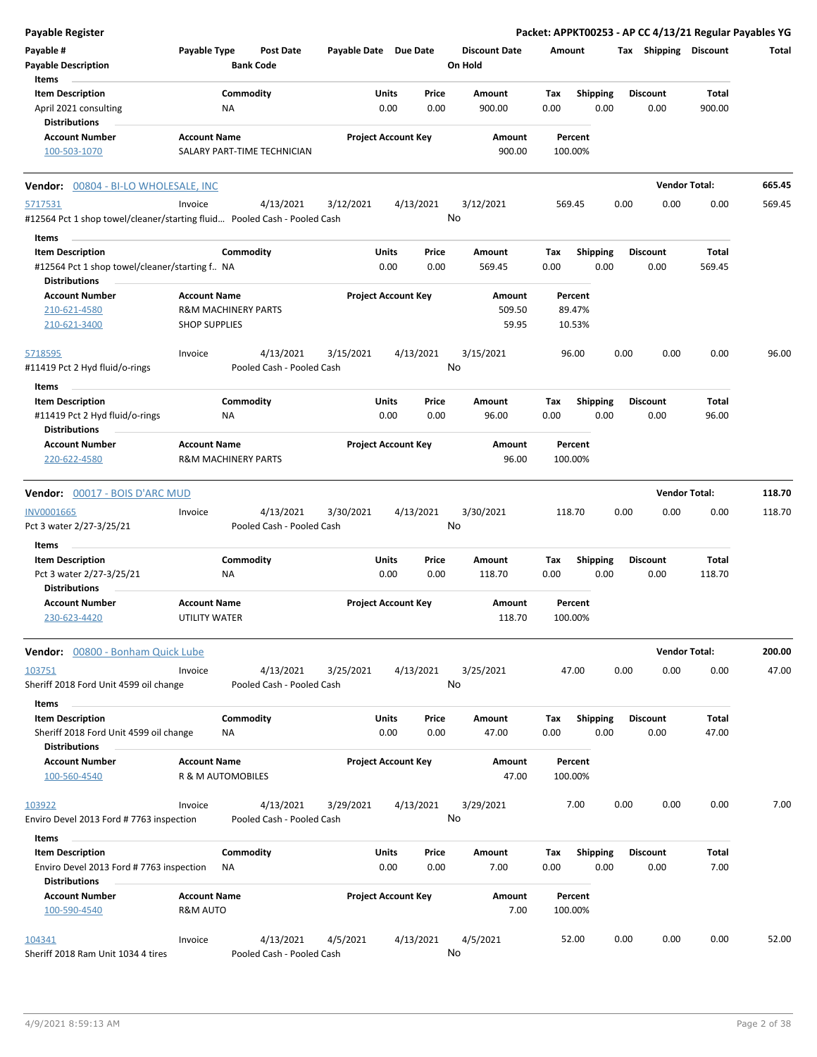| <b>Payable Register</b>                                                                     |                      |                                        |           |                            |               |                                 |             |                         |      |                         | Packet: APPKT00253 - AP CC 4/13/21 Regular Payables YG |        |
|---------------------------------------------------------------------------------------------|----------------------|----------------------------------------|-----------|----------------------------|---------------|---------------------------------|-------------|-------------------------|------|-------------------------|--------------------------------------------------------|--------|
| Payable #<br><b>Payable Description</b>                                                     | <b>Payable Type</b>  | <b>Post Date</b><br><b>Bank Code</b>   |           | Payable Date Due Date      |               | <b>Discount Date</b><br>On Hold | Amount      |                         |      | Tax Shipping Discount   |                                                        | Total  |
| Items                                                                                       |                      |                                        |           |                            |               |                                 |             |                         |      |                         |                                                        |        |
| <b>Item Description</b><br>April 2021 consulting                                            |                      | Commodity<br>ΝA                        |           | Units<br>0.00              | Price<br>0.00 | Amount<br>900.00                | Tax<br>0.00 | <b>Shipping</b><br>0.00 |      | <b>Discount</b><br>0.00 | Total<br>900.00                                        |        |
| <b>Distributions</b>                                                                        |                      |                                        |           |                            |               |                                 |             |                         |      |                         |                                                        |        |
| <b>Account Number</b><br>100-503-1070                                                       | <b>Account Name</b>  | SALARY PART-TIME TECHNICIAN            |           | <b>Project Account Key</b> |               | Amount<br>900.00                |             | Percent<br>100.00%      |      |                         |                                                        |        |
| Vendor: 00804 - BI-LO WHOLESALE, INC                                                        |                      |                                        |           |                            |               |                                 |             |                         |      | <b>Vendor Total:</b>    |                                                        | 665.45 |
| 5717531<br>#12564 Pct 1 shop towel/cleaner/starting fluid Pooled Cash - Pooled Cash         | Invoice              | 4/13/2021                              | 3/12/2021 | 4/13/2021                  | No            | 3/12/2021                       |             | 569.45                  | 0.00 | 0.00                    | 0.00                                                   | 569.45 |
| Items                                                                                       |                      |                                        |           |                            |               |                                 |             |                         |      |                         |                                                        |        |
| <b>Item Description</b><br>#12564 Pct 1 shop towel/cleaner/starting f NA                    |                      | Commodity                              |           | Units<br>0.00              | Price<br>0.00 | Amount<br>569.45                | Tax<br>0.00 | <b>Shipping</b><br>0.00 |      | <b>Discount</b><br>0.00 | Total<br>569.45                                        |        |
| <b>Distributions</b><br><b>Account Number</b>                                               | <b>Account Name</b>  |                                        |           | <b>Project Account Key</b> |               |                                 |             |                         |      |                         |                                                        |        |
| 210-621-4580                                                                                |                      | <b>R&amp;M MACHINERY PARTS</b>         |           |                            |               | Amount<br>509.50                |             | Percent<br>89.47%       |      |                         |                                                        |        |
| 210-621-3400                                                                                | <b>SHOP SUPPLIES</b> |                                        |           |                            |               | 59.95                           |             | 10.53%                  |      |                         |                                                        |        |
| 5718595<br>#11419 Pct 2 Hyd fluid/o-rings                                                   | Invoice              | 4/13/2021<br>Pooled Cash - Pooled Cash | 3/15/2021 | 4/13/2021                  | No            | 3/15/2021                       |             | 96.00                   | 0.00 | 0.00                    | 0.00                                                   | 96.00  |
| Items                                                                                       |                      |                                        |           |                            |               |                                 |             |                         |      |                         |                                                        |        |
| <b>Item Description</b><br>#11419 Pct 2 Hyd fluid/o-rings                                   |                      | Commodity<br>ΝA                        |           | Units<br>0.00              | Price<br>0.00 | <b>Amount</b><br>96.00          | Tax<br>0.00 | <b>Shipping</b><br>0.00 |      | <b>Discount</b><br>0.00 | Total<br>96.00                                         |        |
| <b>Distributions</b><br><b>Account Number</b>                                               | <b>Account Name</b>  |                                        |           | <b>Project Account Key</b> |               | Amount                          |             | Percent                 |      |                         |                                                        |        |
| 220-622-4580                                                                                |                      | <b>R&amp;M MACHINERY PARTS</b>         |           |                            |               | 96.00                           |             | 100.00%                 |      |                         |                                                        |        |
| <b>Vendor:</b> 00017 - BOIS D'ARC MUD                                                       |                      |                                        |           |                            |               |                                 |             |                         |      | <b>Vendor Total:</b>    |                                                        | 118.70 |
| <b>INV0001665</b><br>Pct 3 water 2/27-3/25/21                                               | Invoice              | 4/13/2021<br>Pooled Cash - Pooled Cash | 3/30/2021 | 4/13/2021                  | No            | 3/30/2021                       |             | 118.70                  | 0.00 | 0.00                    | 0.00                                                   | 118.70 |
| Items                                                                                       |                      |                                        |           |                            |               |                                 |             |                         |      |                         |                                                        |        |
| <b>Item Description</b><br>Pct 3 water 2/27-3/25/21<br><b>Distributions</b>                 |                      | Commodity<br>ΝA                        |           | Units<br>0.00              | Price<br>0.00 | Amount<br>118.70                | Tax<br>0.00 | <b>Shipping</b><br>0.00 |      | <b>Discount</b><br>0.00 | Total<br>118.70                                        |        |
| <b>Account Number</b>                                                                       | <b>Account Name</b>  |                                        |           | <b>Project Account Key</b> |               | Amount                          |             | Percent                 |      |                         |                                                        |        |
| 230-623-4420                                                                                | UTILITY WATER        |                                        |           |                            |               | 118.70                          |             | 100.00%                 |      |                         |                                                        |        |
| Vendor: 00800 - Bonham Quick Lube                                                           |                      |                                        |           |                            |               |                                 |             |                         |      | <b>Vendor Total:</b>    |                                                        | 200.00 |
| 103751<br>Sheriff 2018 Ford Unit 4599 oil change                                            | Invoice              | 4/13/2021<br>Pooled Cash - Pooled Cash | 3/25/2021 | 4/13/2021                  | No            | 3/25/2021                       |             | 47.00                   | 0.00 | 0.00                    | 0.00                                                   | 47.00  |
| Items                                                                                       |                      |                                        |           |                            |               |                                 |             |                         |      |                         |                                                        |        |
| <b>Item Description</b><br>Sheriff 2018 Ford Unit 4599 oil change<br><b>Distributions</b>   |                      | Commodity<br>NA                        |           | Units<br>0.00              | Price<br>0.00 | Amount<br>47.00                 | Тах<br>0.00 | <b>Shipping</b><br>0.00 |      | <b>Discount</b><br>0.00 | Total<br>47.00                                         |        |
| <b>Account Number</b>                                                                       | <b>Account Name</b>  |                                        |           | <b>Project Account Key</b> |               | Amount                          |             | Percent                 |      |                         |                                                        |        |
| 100-560-4540                                                                                | R & M AUTOMOBILES    |                                        |           |                            |               | 47.00                           |             | 100.00%                 |      |                         |                                                        |        |
| 103922                                                                                      | Invoice              | 4/13/2021                              | 3/29/2021 | 4/13/2021                  |               | 3/29/2021                       |             | 7.00                    | 0.00 | 0.00                    | 0.00                                                   | 7.00   |
| Enviro Devel 2013 Ford #7763 inspection                                                     |                      | Pooled Cash - Pooled Cash              |           |                            | No            |                                 |             |                         |      |                         |                                                        |        |
| Items                                                                                       |                      |                                        |           |                            |               |                                 |             |                         |      |                         |                                                        |        |
| <b>Item Description</b><br>Enviro Devel 2013 Ford # 7763 inspection<br><b>Distributions</b> |                      | Commodity<br>ΝA                        |           | Units<br>0.00              | Price<br>0.00 | Amount<br>7.00                  | Tax<br>0.00 | <b>Shipping</b><br>0.00 |      | <b>Discount</b><br>0.00 | Total<br>7.00                                          |        |
| <b>Account Number</b>                                                                       | <b>Account Name</b>  |                                        |           | <b>Project Account Key</b> |               | Amount                          |             | Percent                 |      |                         |                                                        |        |
| 100-590-4540                                                                                | R&M AUTO             |                                        |           |                            |               | 7.00                            |             | 100.00%                 |      |                         |                                                        |        |
| 104341                                                                                      | Invoice              | 4/13/2021                              | 4/5/2021  | 4/13/2021                  |               | 4/5/2021                        |             | 52.00                   | 0.00 | 0.00                    | 0.00                                                   | 52.00  |
| Sheriff 2018 Ram Unit 1034 4 tires                                                          |                      | Pooled Cash - Pooled Cash              |           |                            | No            |                                 |             |                         |      |                         |                                                        |        |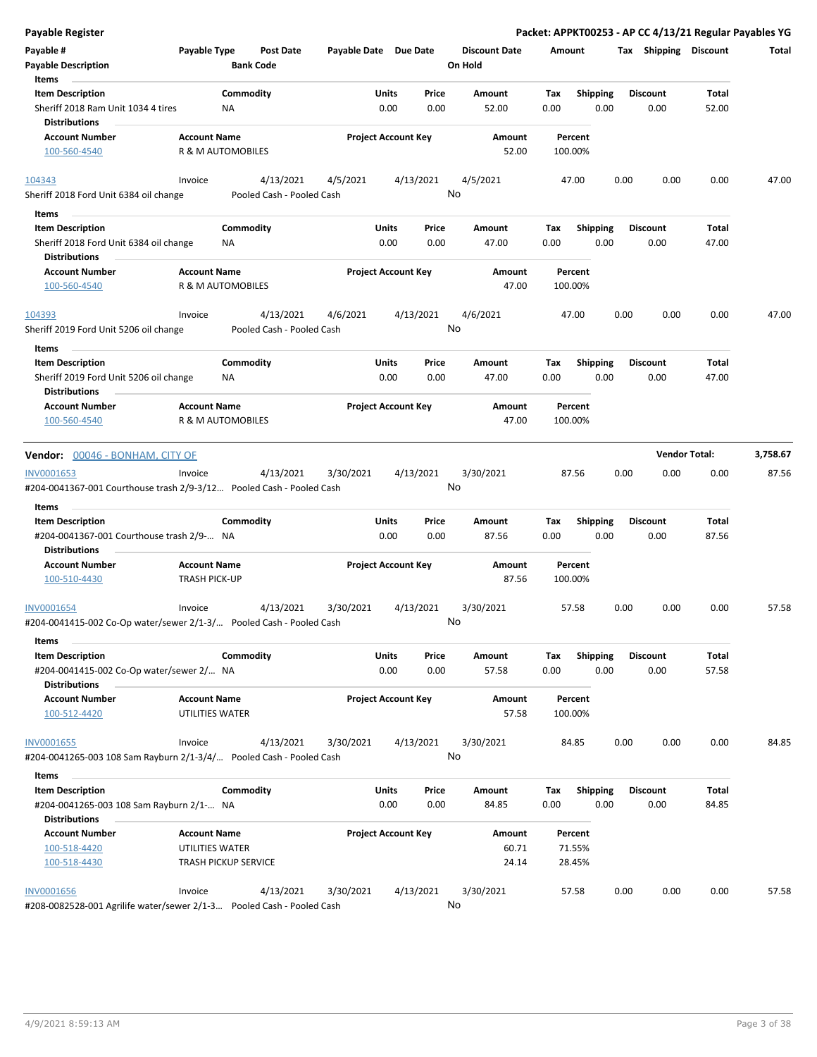| <b>Payable Register</b>                                                                     |                                                |                                        |                       |                            |               |                                 |             |                         |      |                         | Packet: APPKT00253 - AP CC 4/13/21 Regular Payables YG |          |
|---------------------------------------------------------------------------------------------|------------------------------------------------|----------------------------------------|-----------------------|----------------------------|---------------|---------------------------------|-------------|-------------------------|------|-------------------------|--------------------------------------------------------|----------|
| Payable #<br><b>Payable Description</b>                                                     | Payable Type                                   | Post Date<br><b>Bank Code</b>          | Payable Date Due Date |                            |               | <b>Discount Date</b><br>On Hold | Amount      |                         |      |                         | Tax Shipping Discount                                  | Total    |
| Items                                                                                       |                                                |                                        |                       |                            |               |                                 |             |                         |      |                         |                                                        |          |
| <b>Item Description</b><br>Sheriff 2018 Ram Unit 1034 4 tires<br><b>Distributions</b>       | <b>NA</b>                                      | Commodity                              |                       | Units<br>0.00              | Price<br>0.00 | Amount<br>52.00                 | Tax<br>0.00 | Shipping<br>0.00        |      | <b>Discount</b><br>0.00 | Total<br>52.00                                         |          |
| <b>Account Number</b>                                                                       | <b>Account Name</b>                            |                                        |                       | <b>Project Account Key</b> |               | Amount                          |             | Percent                 |      |                         |                                                        |          |
| 100-560-4540                                                                                | R & M AUTOMOBILES                              |                                        |                       |                            |               | 52.00                           |             | 100.00%                 |      |                         |                                                        |          |
| 104343                                                                                      | Invoice                                        | 4/13/2021                              | 4/5/2021              | 4/13/2021                  |               | 4/5/2021                        |             | 47.00                   | 0.00 | 0.00                    | 0.00                                                   | 47.00    |
| Sheriff 2018 Ford Unit 6384 oil change                                                      |                                                | Pooled Cash - Pooled Cash              |                       |                            |               | No                              |             |                         |      |                         |                                                        |          |
| Items                                                                                       |                                                |                                        |                       |                            |               |                                 |             |                         |      |                         |                                                        |          |
| <b>Item Description</b><br>Sheriff 2018 Ford Unit 6384 oil change<br><b>Distributions</b>   | ΝA                                             | Commodity                              |                       | Units<br>0.00              | Price<br>0.00 | Amount<br>47.00                 | Tax<br>0.00 | <b>Shipping</b><br>0.00 |      | <b>Discount</b><br>0.00 | Total<br>47.00                                         |          |
| <b>Account Number</b><br>100-560-4540                                                       | <b>Account Name</b><br>R & M AUTOMOBILES       |                                        |                       | <b>Project Account Key</b> |               | Amount<br>47.00                 |             | Percent<br>100.00%      |      |                         |                                                        |          |
|                                                                                             |                                                |                                        |                       |                            |               |                                 |             |                         |      |                         |                                                        |          |
| 104393<br>Sheriff 2019 Ford Unit 5206 oil change                                            | Invoice                                        | 4/13/2021<br>Pooled Cash - Pooled Cash | 4/6/2021              | 4/13/2021                  |               | 4/6/2021<br>No                  |             | 47.00                   | 0.00 | 0.00                    | 0.00                                                   | 47.00    |
| Items                                                                                       |                                                |                                        |                       |                            |               |                                 |             |                         |      |                         |                                                        |          |
| <b>Item Description</b>                                                                     |                                                | Commodity                              |                       | Units                      | Price         | Amount                          | Tax         | <b>Shipping</b>         |      | <b>Discount</b>         | Total                                                  |          |
| Sheriff 2019 Ford Unit 5206 oil change<br><b>Distributions</b>                              | ΝA                                             |                                        |                       | 0.00                       | 0.00          | 47.00                           | 0.00        | 0.00                    |      | 0.00                    | 47.00                                                  |          |
| <b>Account Number</b>                                                                       | <b>Account Name</b>                            |                                        |                       | <b>Project Account Key</b> |               | Amount                          |             | Percent                 |      |                         |                                                        |          |
| 100-560-4540                                                                                | R & M AUTOMOBILES                              |                                        |                       |                            |               | 47.00                           |             | 100.00%                 |      |                         |                                                        |          |
|                                                                                             |                                                |                                        |                       |                            |               |                                 |             |                         |      | <b>Vendor Total:</b>    |                                                        | 3,758.67 |
| Vendor: 00046 - BONHAM, CITY OF                                                             |                                                |                                        |                       |                            |               |                                 |             |                         |      |                         |                                                        |          |
| INV0001653<br>#204-0041367-001 Courthouse trash 2/9-3/12 Pooled Cash - Pooled Cash          | Invoice                                        | 4/13/2021                              | 3/30/2021             | 4/13/2021                  |               | 3/30/2021<br>No                 |             | 87.56                   | 0.00 | 0.00                    | 0.00                                                   | 87.56    |
|                                                                                             |                                                |                                        |                       |                            |               |                                 |             |                         |      |                         |                                                        |          |
| Items                                                                                       |                                                |                                        |                       |                            |               |                                 |             |                         |      |                         |                                                        |          |
| <b>Item Description</b>                                                                     |                                                | Commodity                              |                       | Units<br>0.00              | Price<br>0.00 | Amount<br>87.56                 | Tax         | <b>Shipping</b>         |      | <b>Discount</b>         | Total<br>87.56                                         |          |
| #204-0041367-001 Courthouse trash 2/9- NA<br><b>Distributions</b>                           |                                                |                                        |                       |                            |               |                                 | 0.00        | 0.00                    |      | 0.00                    |                                                        |          |
| <b>Account Number</b>                                                                       | <b>Account Name</b>                            |                                        |                       | <b>Project Account Key</b> |               | Amount                          |             | Percent                 |      |                         |                                                        |          |
| 100-510-4430                                                                                | <b>TRASH PICK-UP</b>                           |                                        |                       |                            |               | 87.56                           |             | 100.00%                 |      |                         |                                                        |          |
| INV0001654                                                                                  | Invoice                                        | 4/13/2021                              | 3/30/2021             | 4/13/2021                  |               | 3/30/2021                       |             | 57.58                   | 0.00 | 0.00                    | 0.00                                                   | 57.58    |
| #204-0041415-002 Co-Op water/sewer 2/1-3/ Pooled Cash - Pooled Cash                         |                                                |                                        |                       |                            |               | No.                             |             |                         |      |                         |                                                        |          |
| Items                                                                                       |                                                |                                        |                       |                            |               |                                 |             |                         |      |                         |                                                        |          |
| <b>Item Description</b><br>#204-0041415-002 Co-Op water/sewer 2/ NA<br><b>Distributions</b> |                                                | Commodity                              |                       | Units<br>0.00              | Price<br>0.00 | Amount<br>57.58                 | Tax<br>0.00 | <b>Shipping</b><br>0.00 |      | <b>Discount</b><br>0.00 | Total<br>57.58                                         |          |
| <b>Account Number</b>                                                                       | <b>Account Name</b>                            |                                        |                       | <b>Project Account Key</b> |               | Amount                          |             | Percent                 |      |                         |                                                        |          |
| 100-512-4420                                                                                | UTILITIES WATER                                |                                        |                       |                            |               | 57.58                           |             | 100.00%                 |      |                         |                                                        |          |
| <b>INV0001655</b>                                                                           | Invoice                                        | 4/13/2021                              | 3/30/2021             | 4/13/2021                  |               | 3/30/2021                       |             | 84.85                   | 0.00 | 0.00                    | 0.00                                                   | 84.85    |
| #204-0041265-003 108 Sam Rayburn 2/1-3/4/ Pooled Cash - Pooled Cash                         |                                                |                                        |                       |                            |               | No                              |             |                         |      |                         |                                                        |          |
| Items                                                                                       |                                                |                                        |                       |                            |               |                                 |             |                         |      |                         |                                                        |          |
| <b>Item Description</b>                                                                     |                                                | Commodity                              |                       | Units                      | Price         | Amount                          | Tax         | <b>Shipping</b>         |      | <b>Discount</b>         | Total                                                  |          |
| #204-0041265-003 108 Sam Rayburn 2/1- NA                                                    |                                                |                                        |                       | 0.00                       | 0.00          | 84.85                           | 0.00        | 0.00                    |      | 0.00                    | 84.85                                                  |          |
| <b>Distributions</b>                                                                        |                                                |                                        |                       |                            |               |                                 |             |                         |      |                         |                                                        |          |
| <b>Account Number</b>                                                                       | <b>Account Name</b>                            |                                        |                       | <b>Project Account Key</b> |               | Amount                          |             | Percent                 |      |                         |                                                        |          |
| 100-518-4420<br>100-518-4430                                                                | UTILITIES WATER<br><b>TRASH PICKUP SERVICE</b> |                                        |                       |                            |               | 60.71<br>24.14                  |             | 71.55%<br>28.45%        |      |                         |                                                        |          |
|                                                                                             |                                                |                                        |                       |                            |               |                                 |             |                         |      |                         |                                                        |          |
| <b>INV0001656</b><br>#208-0082528-001 Agrilife water/sewer 2/1-3 Pooled Cash - Pooled Cash  | Invoice                                        | 4/13/2021                              | 3/30/2021             | 4/13/2021                  |               | 3/30/2021<br>No                 |             | 57.58                   | 0.00 | 0.00                    | 0.00                                                   | 57.58    |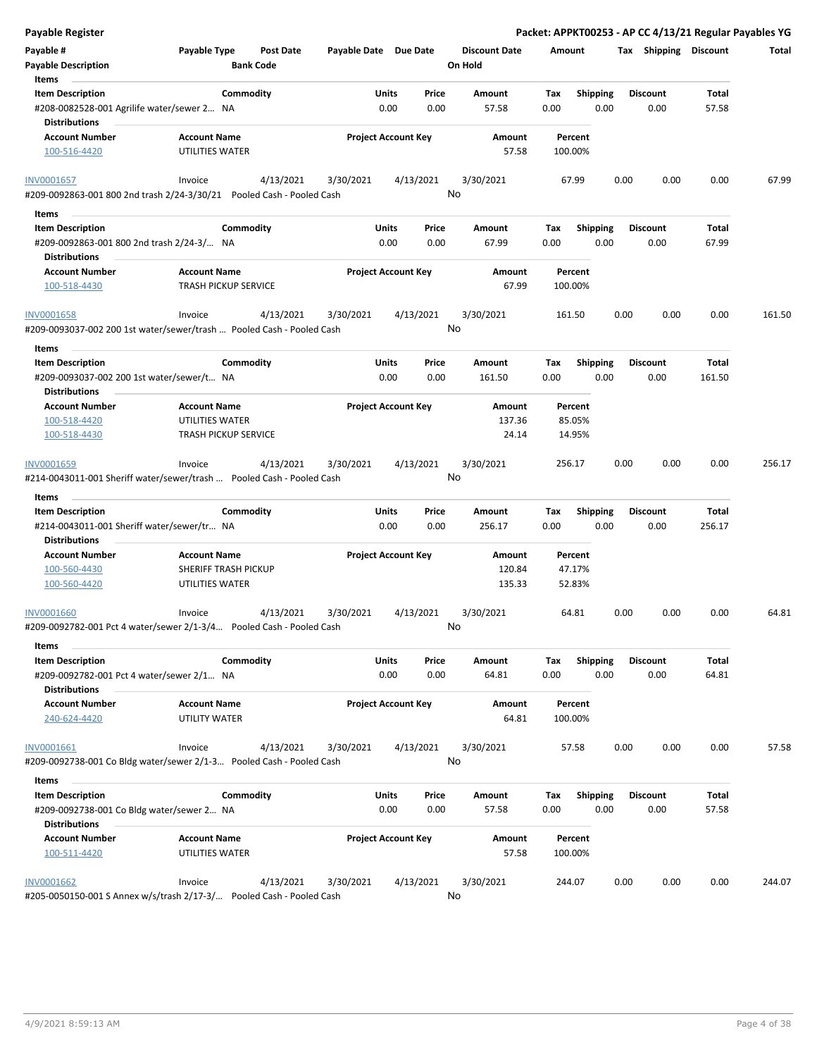| <b>Payable Register</b>                                                                      |                                                      |                       |                            |                                 | Packet: APPKT00253 - AP CC 4/13/21 Regular Payables YG |                         |                |        |
|----------------------------------------------------------------------------------------------|------------------------------------------------------|-----------------------|----------------------------|---------------------------------|--------------------------------------------------------|-------------------------|----------------|--------|
| Payable #<br><b>Payable Description</b>                                                      | Payable Type<br><b>Post Date</b><br><b>Bank Code</b> | Payable Date Due Date |                            | <b>Discount Date</b><br>On Hold | Amount                                                 | Tax Shipping Discount   |                | Total  |
| Items<br><b>Item Description</b>                                                             | Commodity                                            | Units                 | Price                      | Amount                          | <b>Shipping</b><br>Tax                                 | <b>Discount</b>         | Total          |        |
| #208-0082528-001 Agrilife water/sewer 2 NA<br><b>Distributions</b>                           |                                                      |                       | 0.00<br>0.00               | 57.58                           | 0.00<br>0.00                                           | 0.00                    | 57.58          |        |
| <b>Account Number</b>                                                                        | <b>Account Name</b>                                  |                       | <b>Project Account Key</b> | Amount                          | Percent                                                |                         |                |        |
| 100-516-4420                                                                                 | UTILITIES WATER                                      |                       |                            | 57.58                           | 100.00%                                                |                         |                |        |
| <b>INV0001657</b>                                                                            | 4/13/2021<br>Invoice                                 | 3/30/2021             | 4/13/2021                  | 3/30/2021                       | 67.99                                                  | 0.00<br>0.00            | 0.00           | 67.99  |
| #209-0092863-001 800 2nd trash 2/24-3/30/21    Pooled Cash - Pooled Cash                     |                                                      |                       |                            | No                              |                                                        |                         |                |        |
| Items                                                                                        |                                                      |                       |                            |                                 |                                                        |                         |                |        |
| <b>Item Description</b><br>#209-0092863-001 800 2nd trash 2/24-3/ NA<br><b>Distributions</b> | Commodity                                            | Units                 | Price<br>0.00<br>0.00      | Amount<br>67.99                 | Shipping<br>Tax<br>0.00<br>0.00                        | <b>Discount</b><br>0.00 | Total<br>67.99 |        |
| <b>Account Number</b>                                                                        | <b>Account Name</b>                                  |                       | <b>Project Account Key</b> | Amount                          | Percent                                                |                         |                |        |
| 100-518-4430                                                                                 | <b>TRASH PICKUP SERVICE</b>                          |                       |                            | 67.99                           | 100.00%                                                |                         |                |        |
| <b>INV0001658</b><br>#209-0093037-002 200 1st water/sewer/trash  Pooled Cash - Pooled Cash   | 4/13/2021<br>Invoice                                 | 3/30/2021             | 4/13/2021                  | 3/30/2021<br>No                 | 161.50                                                 | 0.00<br>0.00            | 0.00           | 161.50 |
| Items                                                                                        |                                                      |                       |                            |                                 |                                                        |                         |                |        |
| <b>Item Description</b>                                                                      | Commodity                                            | Units                 | Price                      | <b>Amount</b>                   | Tax<br><b>Shipping</b>                                 | <b>Discount</b>         | Total          |        |
| #209-0093037-002 200 1st water/sewer/t NA<br><b>Distributions</b>                            |                                                      |                       | 0.00<br>0.00               | 161.50                          | 0.00<br>0.00                                           | 0.00                    | 161.50         |        |
| <b>Account Number</b>                                                                        | <b>Account Name</b>                                  |                       | <b>Project Account Key</b> | Amount                          | Percent                                                |                         |                |        |
| 100-518-4420                                                                                 | UTILITIES WATER                                      |                       |                            | 137.36                          | 85.05%                                                 |                         |                |        |
| 100-518-4430                                                                                 | <b>TRASH PICKUP SERVICE</b>                          |                       |                            | 24.14                           | 14.95%                                                 |                         |                |        |
| INV0001659<br>#214-0043011-001 Sheriff water/sewer/trash  Pooled Cash - Pooled Cash<br>Items | 4/13/2021<br>Invoice                                 | 3/30/2021             | 4/13/2021                  | 3/30/2021<br>No                 | 256.17                                                 | 0.00<br>0.00            | 0.00           | 256.17 |
| <b>Item Description</b>                                                                      | Commodity                                            | Units                 | Price                      | Amount                          | <b>Shipping</b><br>Tax                                 | <b>Discount</b>         | Total          |        |
| #214-0043011-001 Sheriff water/sewer/tr NA<br><b>Distributions</b>                           |                                                      |                       | 0.00<br>0.00               | 256.17                          | 0.00<br>0.00                                           | 0.00                    | 256.17         |        |
| <b>Account Number</b>                                                                        | <b>Account Name</b>                                  |                       | <b>Project Account Key</b> | Amount                          | Percent                                                |                         |                |        |
| 100-560-4430                                                                                 | SHERIFF TRASH PICKUP                                 |                       |                            | 120.84                          | 47.17%                                                 |                         |                |        |
| 100-560-4420                                                                                 | UTILITIES WATER                                      |                       |                            | 135.33                          | 52.83%                                                 |                         |                |        |
| <b>INV0001660</b><br>#209-0092782-001 Pct 4 water/sewer 2/1-3/4    Pooled Cash - Pooled Cash | 4/13/2021<br>Invoice                                 | 3/30/2021             | 4/13/2021                  | 3/30/2021<br>No                 | 64.81                                                  | 0.00<br>0.00            | 0.00           | 64.81  |
| Items                                                                                        |                                                      |                       |                            |                                 |                                                        |                         |                |        |
| <b>Item Description</b><br>#209-0092782-001 Pct 4 water/sewer 2/1 NA                         | Commodity                                            | Units                 | Price<br>0.00<br>0.00      | Amount<br>64.81                 | Shipping<br>Tax<br>0.00<br>0.00                        | <b>Discount</b><br>0.00 | Total<br>64.81 |        |
| <b>Distributions</b><br><b>Account Number</b><br>240-624-4420                                | <b>Account Name</b><br>UTILITY WATER                 |                       | <b>Project Account Key</b> | Amount<br>64.81                 | Percent<br>100.00%                                     |                         |                |        |
|                                                                                              |                                                      |                       |                            |                                 |                                                        |                         |                |        |
| INV0001661<br>#209-0092738-001 Co Bldg water/sewer 2/1-3 Pooled Cash - Pooled Cash           | 4/13/2021<br>Invoice                                 | 3/30/2021             | 4/13/2021                  | 3/30/2021<br>No                 | 57.58                                                  | 0.00<br>0.00            | 0.00           | 57.58  |
| Items                                                                                        |                                                      |                       |                            |                                 |                                                        |                         |                |        |
| <b>Item Description</b>                                                                      | Commodity                                            | Units                 | Price                      | Amount                          | <b>Shipping</b><br>Tax                                 | <b>Discount</b>         | Total          |        |
| #209-0092738-001 Co Bldg water/sewer 2 NA                                                    |                                                      |                       | 0.00<br>0.00               | 57.58                           | 0.00<br>0.00                                           | 0.00                    | 57.58          |        |
| <b>Distributions</b>                                                                         |                                                      |                       |                            |                                 |                                                        |                         |                |        |
| <b>Account Number</b>                                                                        | <b>Account Name</b>                                  |                       | <b>Project Account Key</b> | Amount                          | Percent                                                |                         |                |        |
| 100-511-4420                                                                                 | UTILITIES WATER                                      |                       |                            | 57.58                           | 100.00%                                                |                         |                |        |
|                                                                                              |                                                      |                       |                            |                                 |                                                        |                         |                |        |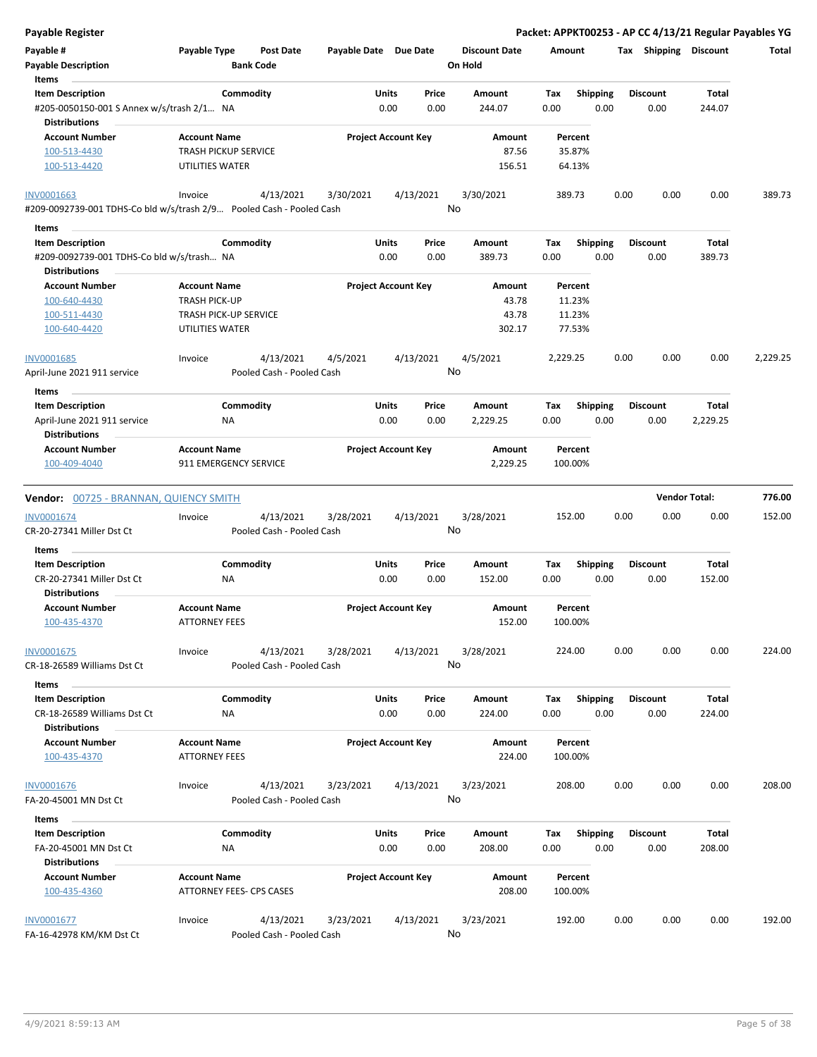Packet: APPKT00253 - AP CC 4/13/21 Regular Payables YG

| Payable #<br><b>Payable Description</b><br>Items                                          | Payable Type                                       | Post Date<br><b>Bank Code</b>          | Payable Date Due Date |                                | <b>Discount Date</b><br>On Hold | Amount             |                         |      |                         | Tax Shipping Discount | <b>Total</b> |
|-------------------------------------------------------------------------------------------|----------------------------------------------------|----------------------------------------|-----------------------|--------------------------------|---------------------------------|--------------------|-------------------------|------|-------------------------|-----------------------|--------------|
| <b>Item Description</b><br>#205-0050150-001 S Annex w/s/trash 2/1 NA                      |                                                    | Commodity                              |                       | Price<br>Units<br>0.00<br>0.00 | Amount<br>244.07                | Tax<br>0.00        | <b>Shipping</b><br>0.00 |      | <b>Discount</b><br>0.00 | Total<br>244.07       |              |
| <b>Distributions</b><br><b>Account Number</b><br>100-513-4430                             | <b>Account Name</b><br><b>TRASH PICKUP SERVICE</b> |                                        |                       | <b>Project Account Key</b>     | Amount<br>87.56                 | Percent<br>35.87%  |                         |      |                         |                       |              |
| 100-513-4420                                                                              | UTILITIES WATER                                    |                                        |                       |                                | 156.51                          | 64.13%             |                         |      |                         |                       |              |
| <b>INV0001663</b><br>#209-0092739-001 TDHS-Co bld w/s/trash 2/9 Pooled Cash - Pooled Cash | Invoice                                            | 4/13/2021                              | 3/30/2021             | 4/13/2021                      | 3/30/2021<br>No                 | 389.73             |                         | 0.00 | 0.00                    | 0.00                  | 389.73       |
| Items                                                                                     |                                                    |                                        |                       |                                |                                 |                    |                         |      |                         |                       |              |
| <b>Item Description</b>                                                                   |                                                    | Commodity                              |                       | <b>Units</b><br>Price          | Amount                          | Tax                | <b>Shipping</b>         |      | <b>Discount</b>         | Total                 |              |
| #209-0092739-001 TDHS-Co bld w/s/trash NA<br><b>Distributions</b>                         |                                                    |                                        |                       | 0.00<br>0.00                   | 389.73                          | 0.00               | 0.00                    |      | 0.00                    | 389.73                |              |
| <b>Account Number</b>                                                                     | <b>Account Name</b>                                |                                        |                       | <b>Project Account Key</b>     | Amount                          | Percent            |                         |      |                         |                       |              |
| 100-640-4430                                                                              | <b>TRASH PICK-UP</b>                               |                                        |                       |                                | 43.78                           | 11.23%             |                         |      |                         |                       |              |
| 100-511-4430                                                                              | TRASH PICK-UP SERVICE                              |                                        |                       |                                | 43.78                           | 11.23%             |                         |      |                         |                       |              |
| 100-640-4420                                                                              | UTILITIES WATER                                    |                                        |                       |                                | 302.17                          | 77.53%             |                         |      |                         |                       |              |
| INV0001685<br>April-June 2021 911 service                                                 | Invoice                                            | 4/13/2021<br>Pooled Cash - Pooled Cash | 4/5/2021              | 4/13/2021                      | 4/5/2021<br>No                  | 2,229.25           |                         | 0.00 | 0.00                    | 0.00                  | 2,229.25     |
| Items                                                                                     |                                                    |                                        |                       |                                |                                 |                    |                         |      |                         |                       |              |
| <b>Item Description</b>                                                                   |                                                    | Commodity                              |                       | Units<br>Price                 | Amount                          | Tax                | <b>Shipping</b>         |      | <b>Discount</b>         | Total                 |              |
| April-June 2021 911 service<br><b>Distributions</b>                                       | NA                                                 |                                        |                       | 0.00<br>0.00                   | 2,229.25                        | 0.00               | 0.00                    |      | 0.00                    | 2,229.25              |              |
| <b>Account Number</b>                                                                     | <b>Account Name</b>                                |                                        |                       | <b>Project Account Key</b>     | Amount                          | Percent            |                         |      |                         |                       |              |
| 100-409-4040                                                                              |                                                    | 911 EMERGENCY SERVICE                  |                       |                                | 2,229.25                        | 100.00%            |                         |      |                         |                       |              |
| <b>Vendor:</b> 00725 - BRANNAN, QUIENCY SMITH                                             |                                                    |                                        |                       |                                |                                 |                    |                         |      |                         | <b>Vendor Total:</b>  | 776.00       |
| INV0001674                                                                                | Invoice                                            | 4/13/2021                              | 3/28/2021             | 4/13/2021                      | 3/28/2021                       | 152.00             |                         | 0.00 | 0.00                    | 0.00                  | 152.00       |
| CR-20-27341 Miller Dst Ct                                                                 |                                                    | Pooled Cash - Pooled Cash              |                       |                                | No                              |                    |                         |      |                         |                       |              |
| Items                                                                                     |                                                    |                                        |                       |                                |                                 |                    |                         |      |                         |                       |              |
| <b>Item Description</b>                                                                   |                                                    | Commodity                              |                       | Units<br>Price                 | Amount                          | Tax                | <b>Shipping</b>         |      | <b>Discount</b>         | Total                 |              |
| CR-20-27341 Miller Dst Ct<br><b>Distributions</b>                                         | <b>NA</b>                                          |                                        |                       | 0.00<br>0.00                   | 152.00                          | 0.00               | 0.00                    |      | 0.00                    | 152.00                |              |
| <b>Account Number</b><br>100-435-4370                                                     | <b>Account Name</b><br><b>ATTORNEY FEES</b>        |                                        |                       | <b>Project Account Key</b>     | Amount<br>152.00                | Percent<br>100.00% |                         |      |                         |                       |              |
| INV0001675                                                                                | Invoice                                            | 4/13/2021                              | 3/28/2021             | 4/13/2021                      | 3/28/2021                       | 224.00             |                         | 0.00 | 0.00                    | 0.00                  | 224.00       |
| CR-18-26589 Williams Dst Ct                                                               |                                                    | Pooled Cash - Pooled Cash              |                       |                                | No                              |                    |                         |      |                         |                       |              |
| Items                                                                                     |                                                    |                                        |                       |                                |                                 |                    |                         |      |                         |                       |              |
| <b>Item Description</b><br>CR-18-26589 Williams Dst Ct                                    | ΝA                                                 | Commodity                              |                       | Units<br>Price<br>0.00<br>0.00 | Amount<br>224.00                | Tax<br>0.00        | <b>Shipping</b><br>0.00 |      | <b>Discount</b><br>0.00 | Total<br>224.00       |              |
| <b>Distributions</b>                                                                      |                                                    |                                        |                       |                                |                                 |                    |                         |      |                         |                       |              |
| <b>Account Number</b><br>100-435-4370                                                     | <b>Account Name</b><br><b>ATTORNEY FEES</b>        |                                        |                       | <b>Project Account Key</b>     | Amount<br>224.00                | Percent<br>100.00% |                         |      |                         |                       |              |
| INV0001676                                                                                | Invoice                                            | 4/13/2021                              | 3/23/2021             | 4/13/2021                      | 3/23/2021                       | 208.00             |                         | 0.00 | 0.00                    | 0.00                  | 208.00       |
| FA-20-45001 MN Dst Ct                                                                     |                                                    | Pooled Cash - Pooled Cash              |                       |                                | No                              |                    |                         |      |                         |                       |              |
| Items                                                                                     |                                                    |                                        |                       |                                |                                 |                    |                         |      |                         |                       |              |
| <b>Item Description</b>                                                                   |                                                    | Commodity                              |                       | Units<br>Price                 | Amount                          | Tax                | <b>Shipping</b>         |      | <b>Discount</b>         | Total                 |              |
| FA-20-45001 MN Dst Ct<br><b>Distributions</b>                                             | ΝA                                                 |                                        |                       | 0.00<br>0.00                   | 208.00                          | 0.00               | 0.00                    |      | 0.00                    | 208.00                |              |
| <b>Account Number</b>                                                                     | <b>Account Name</b>                                |                                        |                       | <b>Project Account Key</b>     | Amount                          | Percent            |                         |      |                         |                       |              |
| 100-435-4360                                                                              |                                                    | ATTORNEY FEES- CPS CASES               |                       |                                | 208.00                          | 100.00%            |                         |      |                         |                       |              |
| INV0001677<br>FA-16-42978 KM/KM Dst Ct                                                    | Invoice                                            | 4/13/2021<br>Pooled Cash - Pooled Cash | 3/23/2021             | 4/13/2021                      | 3/23/2021<br>No                 | 192.00             |                         | 0.00 | 0.00                    | 0.00                  | 192.00       |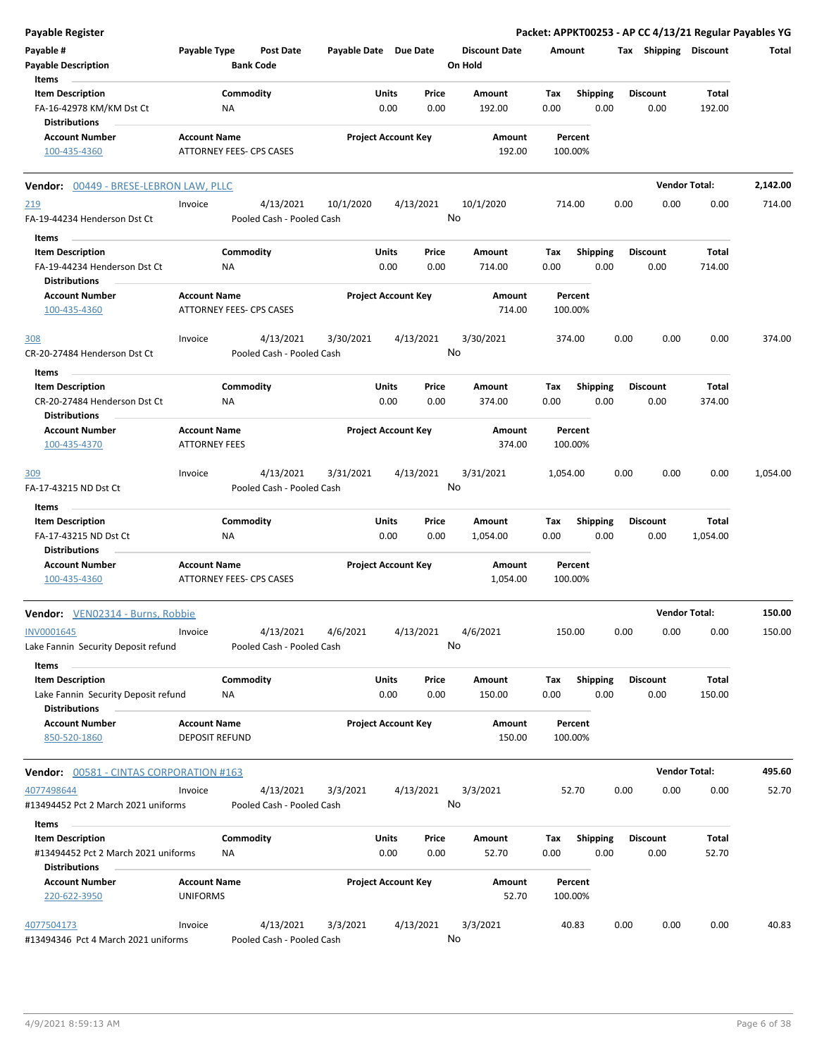| <b>Payable Register</b>                                     |                                              |                                        |                       |                            |               |                                 |             |                         |      |                         | Packet: APPKT00253 - AP CC 4/13/21 Regular Payables YG |          |
|-------------------------------------------------------------|----------------------------------------------|----------------------------------------|-----------------------|----------------------------|---------------|---------------------------------|-------------|-------------------------|------|-------------------------|--------------------------------------------------------|----------|
| Payable #<br><b>Payable Description</b>                     | Payable Type                                 | <b>Post Date</b><br><b>Bank Code</b>   | Payable Date Due Date |                            |               | <b>Discount Date</b><br>On Hold | Amount      |                         |      | Tax Shipping Discount   |                                                        | Total    |
| Items<br><b>Item Description</b>                            |                                              | Commodity                              |                       | <b>Units</b>               | Price         | Amount                          | Tax         | <b>Shipping</b>         |      | <b>Discount</b>         | Total                                                  |          |
| FA-16-42978 KM/KM Dst Ct<br><b>Distributions</b>            |                                              | NA                                     |                       | 0.00                       | 0.00          | 192.00                          | 0.00        | 0.00                    |      | 0.00                    | 192.00                                                 |          |
| <b>Account Number</b><br>100-435-4360                       | <b>Account Name</b>                          | ATTORNEY FEES- CPS CASES               |                       | <b>Project Account Key</b> |               | Amount<br>192.00                |             | Percent<br>100.00%      |      |                         |                                                        |          |
| Vendor: 00449 - BRESE-LEBRON LAW, PLLC                      |                                              |                                        |                       |                            |               |                                 |             |                         |      |                         | <b>Vendor Total:</b>                                   | 2,142.00 |
| 219                                                         | Invoice                                      | 4/13/2021                              | 10/1/2020             |                            | 4/13/2021     | 10/1/2020                       |             | 714.00                  | 0.00 | 0.00                    | 0.00                                                   | 714.00   |
| FA-19-44234 Henderson Dst Ct                                |                                              | Pooled Cash - Pooled Cash              |                       |                            |               | No                              |             |                         |      |                         |                                                        |          |
| Items                                                       |                                              |                                        |                       |                            |               |                                 |             |                         |      |                         |                                                        |          |
| <b>Item Description</b>                                     |                                              | Commodity                              |                       | <b>Units</b>               | Price         | Amount                          | Tax         | <b>Shipping</b>         |      | <b>Discount</b>         | Total                                                  |          |
| FA-19-44234 Henderson Dst Ct<br><b>Distributions</b>        |                                              | <b>NA</b>                              |                       | 0.00                       | 0.00          | 714.00                          | 0.00        | 0.00                    |      | 0.00                    | 714.00                                                 |          |
| <b>Account Number</b><br>100-435-4360                       | <b>Account Name</b>                          | ATTORNEY FEES- CPS CASES               |                       | <b>Project Account Key</b> |               | Amount<br>714.00                |             | Percent<br>100.00%      |      |                         |                                                        |          |
|                                                             |                                              |                                        |                       |                            |               |                                 |             |                         |      |                         |                                                        |          |
| <u>308</u><br>CR-20-27484 Henderson Dst Ct                  | Invoice                                      | 4/13/2021<br>Pooled Cash - Pooled Cash | 3/30/2021             |                            | 4/13/2021     | 3/30/2021<br>No                 |             | 374.00                  | 0.00 | 0.00                    | 0.00                                                   | 374.00   |
| Items                                                       |                                              |                                        |                       |                            |               |                                 |             |                         |      |                         |                                                        |          |
| <b>Item Description</b>                                     |                                              | Commodity                              |                       | Units                      | Price         | Amount                          | Tax         | Shipping                |      | <b>Discount</b>         | Total                                                  |          |
| CR-20-27484 Henderson Dst Ct<br><b>Distributions</b>        |                                              | NA                                     |                       | 0.00                       | 0.00          | 374.00                          | 0.00        | 0.00                    |      | 0.00                    | 374.00                                                 |          |
| <b>Account Number</b>                                       | <b>Account Name</b>                          |                                        |                       | <b>Project Account Key</b> |               | Amount                          |             | Percent                 |      |                         |                                                        |          |
| 100-435-4370                                                | <b>ATTORNEY FEES</b>                         |                                        |                       |                            |               | 374.00                          |             | 100.00%                 |      |                         |                                                        |          |
| 309<br>FA-17-43215 ND Dst Ct                                | Invoice                                      | 4/13/2021<br>Pooled Cash - Pooled Cash | 3/31/2021             |                            | 4/13/2021     | 3/31/2021<br>No                 | 1,054.00    |                         | 0.00 | 0.00                    | 0.00                                                   | 1,054.00 |
| Items                                                       |                                              |                                        |                       |                            |               |                                 |             |                         |      |                         |                                                        |          |
| <b>Item Description</b><br>FA-17-43215 ND Dst Ct            |                                              | Commodity<br>NA                        |                       | <b>Units</b><br>0.00       | Price<br>0.00 | Amount<br>1,054.00              | Tax<br>0.00 | <b>Shipping</b><br>0.00 |      | <b>Discount</b><br>0.00 | Total<br>1,054.00                                      |          |
| <b>Distributions</b>                                        |                                              |                                        |                       |                            |               |                                 |             |                         |      |                         |                                                        |          |
| <b>Account Number</b><br>100-435-4360                       | <b>Account Name</b>                          | ATTORNEY FEES- CPS CASES               |                       | <b>Project Account Key</b> |               | Amount<br>1,054.00              |             | Percent<br>100.00%      |      |                         |                                                        |          |
| Vendor: VEN02314 - Burns, Robbie                            |                                              |                                        |                       |                            |               |                                 |             |                         |      | <b>Vendor Total:</b>    |                                                        | 150.00   |
| INV0001645                                                  | Invoice                                      | 4/13/2021                              | 4/6/2021              |                            | 4/13/2021     | 4/6/2021                        |             | 150.00                  | 0.00 | 0.00                    | 0.00                                                   | 150.00   |
| Lake Fannin Security Deposit refund<br>Items                |                                              | Pooled Cash - Pooled Cash              |                       |                            |               | No                              |             |                         |      |                         |                                                        |          |
| <b>Item Description</b>                                     |                                              | Commodity                              |                       | Units                      | Price         | Amount                          | Tax         | Shipping                |      | <b>Discount</b>         | Total                                                  |          |
| Lake Fannin Security Deposit refund<br><b>Distributions</b> |                                              | NA                                     |                       | 0.00                       | 0.00          | 150.00                          | 0.00        | 0.00                    |      | 0.00                    | 150.00                                                 |          |
| <b>Account Number</b><br>850-520-1860                       | <b>Account Name</b><br><b>DEPOSIT REFUND</b> |                                        |                       | <b>Project Account Key</b> |               | Amount<br>150.00                |             | Percent<br>100.00%      |      |                         |                                                        |          |
| <b>Vendor: 00581 - CINTAS CORPORATION #163</b>              |                                              |                                        |                       |                            |               |                                 |             |                         |      |                         | <b>Vendor Total:</b>                                   | 495.60   |
| 4077498644                                                  | Invoice                                      | 4/13/2021                              | 3/3/2021              |                            | 4/13/2021     | 3/3/2021                        |             | 52.70                   | 0.00 | 0.00                    | 0.00                                                   | 52.70    |
| #13494452 Pct 2 March 2021 uniforms<br>Items                |                                              | Pooled Cash - Pooled Cash              |                       |                            |               | No                              |             |                         |      |                         |                                                        |          |
| <b>Item Description</b>                                     |                                              | Commodity                              |                       | Units                      | Price         | Amount                          | Tax         | <b>Shipping</b>         |      | <b>Discount</b>         | Total                                                  |          |
| #13494452 Pct 2 March 2021 uniforms<br><b>Distributions</b> |                                              | NA                                     |                       | 0.00                       | 0.00          | 52.70                           | 0.00        | 0.00                    |      | 0.00                    | 52.70                                                  |          |
| <b>Account Number</b><br>220-622-3950                       | <b>Account Name</b><br><b>UNIFORMS</b>       |                                        |                       | <b>Project Account Key</b> |               | Amount<br>52.70                 |             | Percent<br>100.00%      |      |                         |                                                        |          |
| 4077504173<br>#13494346 Pct 4 March 2021 uniforms           | Invoice                                      | 4/13/2021<br>Pooled Cash - Pooled Cash | 3/3/2021              |                            | 4/13/2021     | 3/3/2021<br>No                  |             | 40.83                   | 0.00 | 0.00                    | 0.00                                                   | 40.83    |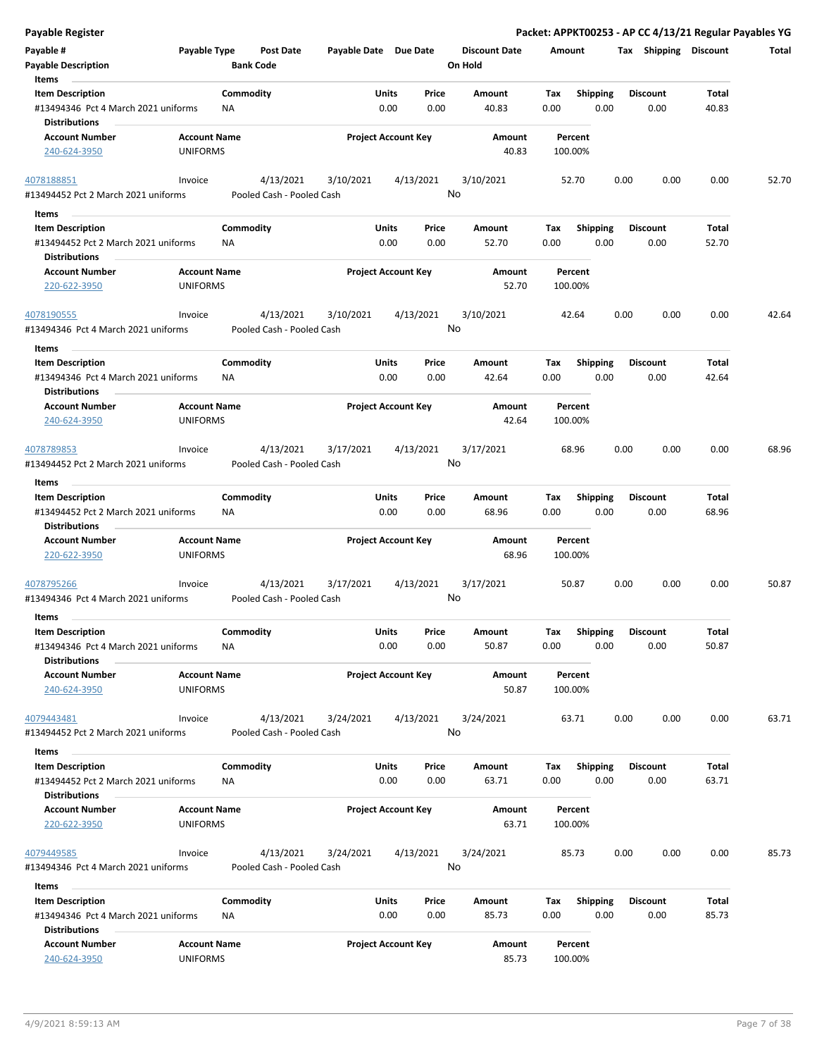| <b>Payable Register</b>                                                                |                                        |                                        |                       |                                       |                                 |                    |                         | Packet: APPKT00253 - AP CC 4/13/21 Regular Payables YG |                |       |
|----------------------------------------------------------------------------------------|----------------------------------------|----------------------------------------|-----------------------|---------------------------------------|---------------------------------|--------------------|-------------------------|--------------------------------------------------------|----------------|-------|
| Payable #<br><b>Payable Description</b>                                                | Payable Type                           | <b>Post Date</b><br><b>Bank Code</b>   | Payable Date Due Date |                                       | <b>Discount Date</b><br>On Hold | Amount             |                         | Tax Shipping Discount                                  |                | Total |
| Items                                                                                  |                                        |                                        |                       |                                       |                                 |                    |                         |                                                        |                |       |
| <b>Item Description</b><br>#13494346 Pct 4 March 2021 uniforms<br><b>Distributions</b> |                                        | Commodity<br><b>NA</b>                 |                       | Price<br>Units<br>0.00<br>0.00        | Amount<br>40.83                 | Tax<br>0.00        | Shipping<br>0.00        | <b>Discount</b><br>0.00                                | Total<br>40.83 |       |
| <b>Account Number</b>                                                                  | <b>Account Name</b>                    |                                        |                       | <b>Project Account Key</b>            | Amount                          | Percent            |                         |                                                        |                |       |
| 240-624-3950                                                                           | <b>UNIFORMS</b>                        |                                        |                       |                                       | 40.83                           | 100.00%            |                         |                                                        |                |       |
| 4078188851                                                                             | Invoice                                | 4/13/2021                              | 3/10/2021             | 4/13/2021                             | 3/10/2021                       | 52.70              |                         | 0.00<br>0.00                                           | 0.00           | 52.70 |
| #13494452 Pct 2 March 2021 uniforms<br>Items                                           |                                        | Pooled Cash - Pooled Cash              |                       |                                       | No                              |                    |                         |                                                        |                |       |
| <b>Item Description</b>                                                                |                                        | Commodity                              |                       | Units<br>Price                        | Amount                          | Tax                | <b>Shipping</b>         | <b>Discount</b>                                        | Total          |       |
| #13494452 Pct 2 March 2021 uniforms<br><b>Distributions</b>                            |                                        | ΝA                                     |                       | 0.00<br>0.00                          | 52.70                           | 0.00               | 0.00                    | 0.00                                                   | 52.70          |       |
| <b>Account Number</b>                                                                  | <b>Account Name</b>                    |                                        |                       | <b>Project Account Key</b>            | Amount                          | Percent            |                         |                                                        |                |       |
| 220-622-3950                                                                           | <b>UNIFORMS</b>                        |                                        |                       |                                       | 52.70                           | 100.00%            |                         |                                                        |                |       |
| 4078190555<br>#13494346 Pct 4 March 2021 uniforms                                      | Invoice                                | 4/13/2021<br>Pooled Cash - Pooled Cash | 3/10/2021             | 4/13/2021                             | 3/10/2021<br>No                 | 42.64              |                         | 0.00<br>0.00                                           | 0.00           | 42.64 |
| Items                                                                                  |                                        |                                        |                       |                                       |                                 |                    |                         |                                                        |                |       |
| <b>Item Description</b><br>#13494346 Pct 4 March 2021 uniforms                         |                                        | Commodity<br>NA                        |                       | <b>Units</b><br>Price<br>0.00<br>0.00 | Amount<br>42.64                 | Tax<br>0.00        | <b>Shipping</b><br>0.00 | <b>Discount</b><br>0.00                                | Total<br>42.64 |       |
| <b>Distributions</b>                                                                   |                                        |                                        |                       | <b>Project Account Key</b>            |                                 |                    |                         |                                                        |                |       |
| <b>Account Number</b><br>240-624-3950                                                  | <b>Account Name</b><br><b>UNIFORMS</b> |                                        |                       |                                       | Amount<br>42.64                 | Percent<br>100.00% |                         |                                                        |                |       |
| 4078789853                                                                             | Invoice                                | 4/13/2021                              | 3/17/2021             | 4/13/2021                             | 3/17/2021                       | 68.96              |                         | 0.00<br>0.00                                           | 0.00           | 68.96 |
| #13494452 Pct 2 March 2021 uniforms                                                    |                                        | Pooled Cash - Pooled Cash              |                       |                                       | No                              |                    |                         |                                                        |                |       |
| Items                                                                                  |                                        |                                        |                       |                                       |                                 |                    |                         |                                                        |                |       |
| <b>Item Description</b>                                                                |                                        | Commodity                              |                       | Units<br>Price                        | Amount                          | Tax                | <b>Shipping</b>         | <b>Discount</b>                                        | Total          |       |
| #13494452 Pct 2 March 2021 uniforms<br><b>Distributions</b>                            |                                        | <b>NA</b>                              |                       | 0.00<br>0.00                          | 68.96                           | 0.00               | 0.00                    | 0.00                                                   | 68.96          |       |
| <b>Account Number</b>                                                                  | <b>Account Name</b>                    |                                        |                       | <b>Project Account Key</b>            | Amount                          | Percent            |                         |                                                        |                |       |
| 220-622-3950                                                                           | <b>UNIFORMS</b>                        |                                        |                       |                                       | 68.96                           | 100.00%            |                         |                                                        |                |       |
| 4078795266                                                                             | Invoice                                | 4/13/2021                              | 3/17/2021             | 4/13/2021                             | 3/17/2021                       | 50.87              |                         | 0.00<br>0.00                                           | 0.00           | 50.87 |
| #13494346 Pct 4 March 2021 uniforms                                                    |                                        | Pooled Cash - Pooled Cash              |                       |                                       | No                              |                    |                         |                                                        |                |       |
| Items                                                                                  |                                        |                                        |                       |                                       |                                 |                    |                         |                                                        |                |       |
| <b>Item Description</b>                                                                |                                        | Commodity                              |                       | Units<br>Price                        | Amount                          | Tax                | Shipping                | <b>Discount</b>                                        | Total          |       |
| #13494346 Pct 4 March 2021 uniforms<br><b>Distributions</b>                            |                                        | <b>NA</b>                              |                       | 0.00<br>0.00                          | 50.87                           | 0.00               | 0.00                    | 0.00                                                   | 50.87          |       |
| <b>Account Number</b><br>240-624-3950                                                  | <b>Account Name</b><br><b>UNIFORMS</b> |                                        |                       | <b>Project Account Key</b>            | Amount<br>50.87                 | Percent<br>100.00% |                         |                                                        |                |       |
|                                                                                        |                                        |                                        |                       |                                       |                                 |                    |                         |                                                        |                |       |
| 4079443481<br>#13494452 Pct 2 March 2021 uniforms                                      | Invoice                                | 4/13/2021<br>Pooled Cash - Pooled Cash | 3/24/2021             | 4/13/2021                             | 3/24/2021<br>No                 | 63.71              |                         | 0.00<br>0.00                                           | 0.00           | 63.71 |
| Items                                                                                  |                                        |                                        |                       |                                       |                                 |                    |                         |                                                        |                |       |
| <b>Item Description</b>                                                                |                                        | Commodity                              |                       | Units<br>Price                        | Amount                          | Тах                | Shipping                | <b>Discount</b>                                        | Total          |       |
| #13494452 Pct 2 March 2021 uniforms<br><b>Distributions</b>                            |                                        | ΝA                                     |                       | 0.00<br>0.00                          | 63.71                           | 0.00               | 0.00                    | 0.00                                                   | 63.71          |       |
| <b>Account Number</b><br>220-622-3950                                                  | <b>Account Name</b><br><b>UNIFORMS</b> |                                        |                       | <b>Project Account Key</b>            | Amount<br>63.71                 | Percent<br>100.00% |                         |                                                        |                |       |
| 4079449585<br>#13494346 Pct 4 March 2021 uniforms                                      | Invoice                                | 4/13/2021<br>Pooled Cash - Pooled Cash | 3/24/2021             | 4/13/2021                             | 3/24/2021<br>No                 | 85.73              |                         | 0.00<br>0.00                                           | 0.00           | 85.73 |
| Items                                                                                  |                                        |                                        |                       |                                       |                                 |                    |                         |                                                        |                |       |
| <b>Item Description</b>                                                                |                                        | Commodity                              |                       | Units<br>Price                        | Amount                          | Tax                | <b>Shipping</b>         | <b>Discount</b>                                        | Total          |       |
| #13494346 Pct 4 March 2021 uniforms<br><b>Distributions</b>                            |                                        | <b>NA</b>                              |                       | 0.00<br>0.00                          | 85.73                           | 0.00               | 0.00                    | 0.00                                                   | 85.73          |       |
| <b>Account Number</b>                                                                  | <b>Account Name</b>                    |                                        |                       | <b>Project Account Key</b>            | Amount                          | Percent            |                         |                                                        |                |       |
| 240-624-3950                                                                           | <b>UNIFORMS</b>                        |                                        |                       |                                       | 85.73                           | 100.00%            |                         |                                                        |                |       |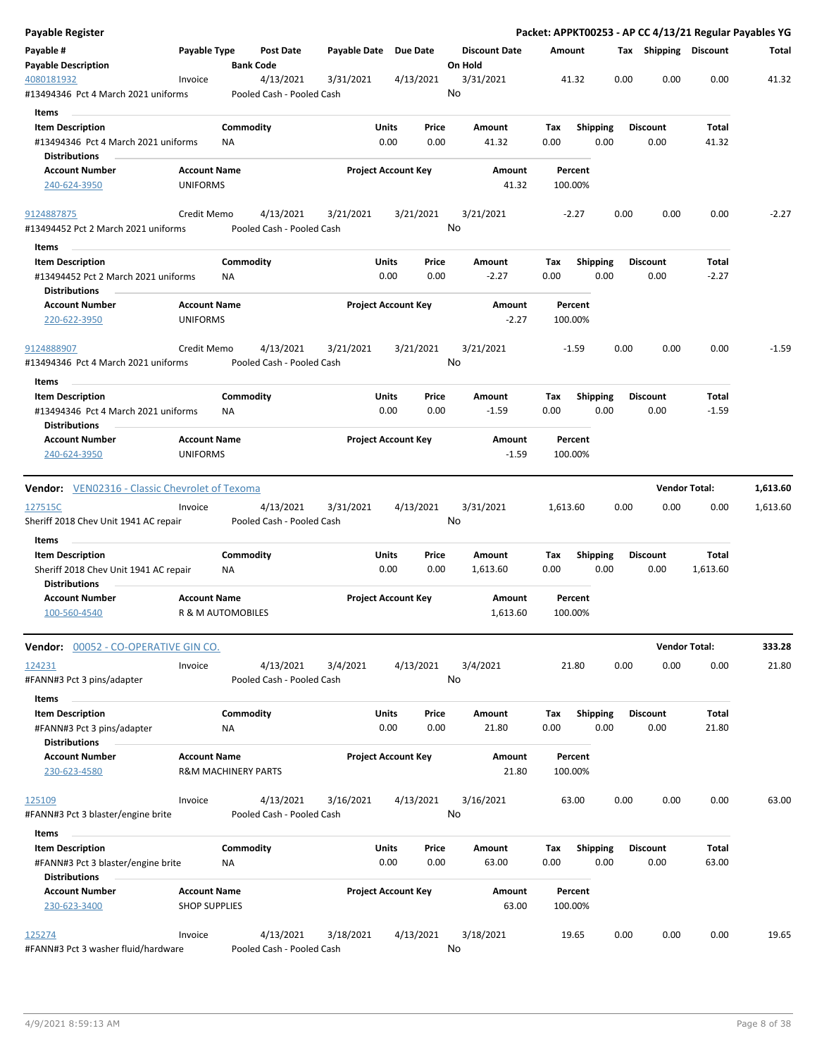| <b>Payable Register</b>                                                                         |                                             |                                |                                        |                      |                            |                                 |                   |                    |                         |      |                         |                      | Packet: APPKT00253 - AP CC 4/13/21 Regular Payables YG |
|-------------------------------------------------------------------------------------------------|---------------------------------------------|--------------------------------|----------------------------------------|----------------------|----------------------------|---------------------------------|-------------------|--------------------|-------------------------|------|-------------------------|----------------------|--------------------------------------------------------|
| Payable #<br><b>Payable Description</b>                                                         | Payable Type                                | Post Date<br><b>Bank Code</b>  |                                        |                      | Payable Date Due Date      | <b>Discount Date</b><br>On Hold |                   | Amount             |                         |      | Tax Shipping Discount   |                      | Total                                                  |
| 4080181932<br>#13494346 Pct 4 March 2021 uniforms                                               | Invoice                                     | 4/13/2021                      | 3/31/2021<br>Pooled Cash - Pooled Cash |                      | 4/13/2021                  | 3/31/2021<br>No                 |                   | 41.32              |                         | 0.00 | 0.00                    | 0.00                 | 41.32                                                  |
| Items<br><b>Item Description</b><br>#13494346 Pct 4 March 2021 uniforms                         |                                             | Commodity<br>ΝA                |                                        | <b>Units</b><br>0.00 | Price<br>0.00              | Amount<br>41.32                 |                   | Tax<br>0.00        | <b>Shipping</b><br>0.00 |      | <b>Discount</b><br>0.00 | Total<br>41.32       |                                                        |
| <b>Distributions</b><br><b>Account Number</b><br>240-624-3950                                   | <b>Account Name</b><br>UNIFORMS             |                                |                                        |                      | <b>Project Account Key</b> | Amount                          | 41.32             | Percent<br>100.00% |                         |      |                         |                      |                                                        |
| 9124887875<br>#13494452 Pct 2 March 2021 uniforms                                               | Credit Memo                                 | 4/13/2021                      | 3/21/2021<br>Pooled Cash - Pooled Cash |                      | 3/21/2021                  | 3/21/2021<br>No                 |                   | $-2.27$            |                         | 0.00 | 0.00                    | 0.00                 | $-2.27$                                                |
| Items<br><b>Item Description</b><br>#13494452 Pct 2 March 2021 uniforms<br><b>Distributions</b> |                                             | Commodity<br><b>NA</b>         |                                        | <b>Units</b><br>0.00 | Price<br>0.00              | Amount<br>$-2.27$               |                   | Tax<br>0.00        | <b>Shipping</b><br>0.00 |      | <b>Discount</b><br>0.00 | Total<br>$-2.27$     |                                                        |
| <b>Account Number</b><br>220-622-3950                                                           | <b>Account Name</b><br><b>UNIFORMS</b>      |                                |                                        |                      | <b>Project Account Key</b> |                                 | Amount<br>$-2.27$ | Percent<br>100.00% |                         |      |                         |                      |                                                        |
| 9124888907<br>#13494346 Pct 4 March 2021 uniforms                                               | Credit Memo                                 | 4/13/2021                      | 3/21/2021<br>Pooled Cash - Pooled Cash |                      | 3/21/2021                  | 3/21/2021<br>No                 |                   | $-1.59$            |                         | 0.00 | 0.00                    | 0.00                 | $-1.59$                                                |
| Items<br><b>Item Description</b><br>#13494346 Pct 4 March 2021 uniforms<br><b>Distributions</b> |                                             | Commodity<br><b>NA</b>         |                                        | Units<br>0.00        | Price<br>0.00              | Amount<br>$-1.59$               |                   | Tax<br>0.00        | <b>Shipping</b><br>0.00 |      | <b>Discount</b><br>0.00 | Total<br>$-1.59$     |                                                        |
| <b>Account Number</b><br>240-624-3950                                                           | <b>Account Name</b><br><b>UNIFORMS</b>      |                                |                                        |                      | <b>Project Account Key</b> | Amount                          | $-1.59$           | Percent<br>100.00% |                         |      |                         |                      |                                                        |
| <b>Vendor:</b> VEN02316 - Classic Chevrolet of Texoma                                           |                                             |                                |                                        |                      |                            |                                 |                   |                    |                         |      |                         | <b>Vendor Total:</b> | 1,613.60                                               |
| 127515C<br>Sheriff 2018 Chev Unit 1941 AC repair                                                | Invoice                                     | 4/13/2021                      | 3/31/2021<br>Pooled Cash - Pooled Cash |                      | 4/13/2021                  | 3/31/2021<br>No                 |                   | 1,613.60           |                         | 0.00 | 0.00                    | 0.00                 | 1,613.60                                               |
| Items<br><b>Item Description</b><br>Sheriff 2018 Chev Unit 1941 AC repair                       |                                             | Commodity<br>ΝA                |                                        | Units<br>0.00        | Price<br>0.00              | Amount<br>1,613.60              |                   | Tax<br>0.00        | <b>Shipping</b><br>0.00 |      | <b>Discount</b><br>0.00 | Total<br>1,613.60    |                                                        |
| <b>Distributions</b><br><b>Account Number</b><br>100-560-4540                                   | <b>Account Name</b>                         | R & M AUTOMOBILES              |                                        |                      | <b>Project Account Key</b> | Amount<br>1,613.60              |                   | Percent<br>100.00% |                         |      |                         |                      |                                                        |
| Vendor: 00052 - CO-OPERATIVE GIN CO.                                                            |                                             |                                |                                        |                      |                            |                                 |                   |                    |                         |      |                         | <b>Vendor Total:</b> | 333.28                                                 |
| 124231<br>#FANN#3 Pct 3 pins/adapter                                                            | Invoice                                     | 4/13/2021                      | 3/4/2021<br>Pooled Cash - Pooled Cash  |                      | 4/13/2021                  | 3/4/2021<br>No                  |                   | 21.80              |                         | 0.00 | 0.00                    | 0.00                 | 21.80                                                  |
| Items<br><b>Item Description</b><br>#FANN#3 Pct 3 pins/adapter<br><b>Distributions</b>          |                                             | Commodity<br>NA                |                                        | <b>Units</b><br>0.00 | Price<br>0.00              | Amount<br>21.80                 |                   | Tax<br>0.00        | <b>Shipping</b><br>0.00 |      | <b>Discount</b><br>0.00 | Total<br>21.80       |                                                        |
| <b>Account Number</b><br>230-623-4580                                                           | <b>Account Name</b>                         | <b>R&amp;M MACHINERY PARTS</b> |                                        |                      | <b>Project Account Key</b> |                                 | Amount<br>21.80   | Percent<br>100.00% |                         |      |                         |                      |                                                        |
| 125109<br>#FANN#3 Pct 3 blaster/engine brite                                                    | Invoice                                     | 4/13/2021                      | 3/16/2021<br>Pooled Cash - Pooled Cash |                      | 4/13/2021                  | 3/16/2021<br>No                 |                   | 63.00              |                         | 0.00 | 0.00                    | 0.00                 | 63.00                                                  |
| Items<br><b>Item Description</b><br>#FANN#3 Pct 3 blaster/engine brite<br><b>Distributions</b>  |                                             | Commodity<br>ΝA                |                                        | Units<br>0.00        | Price<br>0.00              | Amount<br>63.00                 |                   | Tax<br>0.00        | <b>Shipping</b><br>0.00 |      | <b>Discount</b><br>0.00 | Total<br>63.00       |                                                        |
| <b>Account Number</b><br>230-623-3400                                                           | <b>Account Name</b><br><b>SHOP SUPPLIES</b> |                                |                                        |                      | <b>Project Account Key</b> |                                 | Amount<br>63.00   | Percent<br>100.00% |                         |      |                         |                      |                                                        |
| 125274<br>#FANN#3 Pct 3 washer fluid/hardware                                                   | Invoice                                     | 4/13/2021                      | 3/18/2021<br>Pooled Cash - Pooled Cash |                      | 4/13/2021                  | 3/18/2021<br>No                 |                   | 19.65              |                         | 0.00 | 0.00                    | 0.00                 | 19.65                                                  |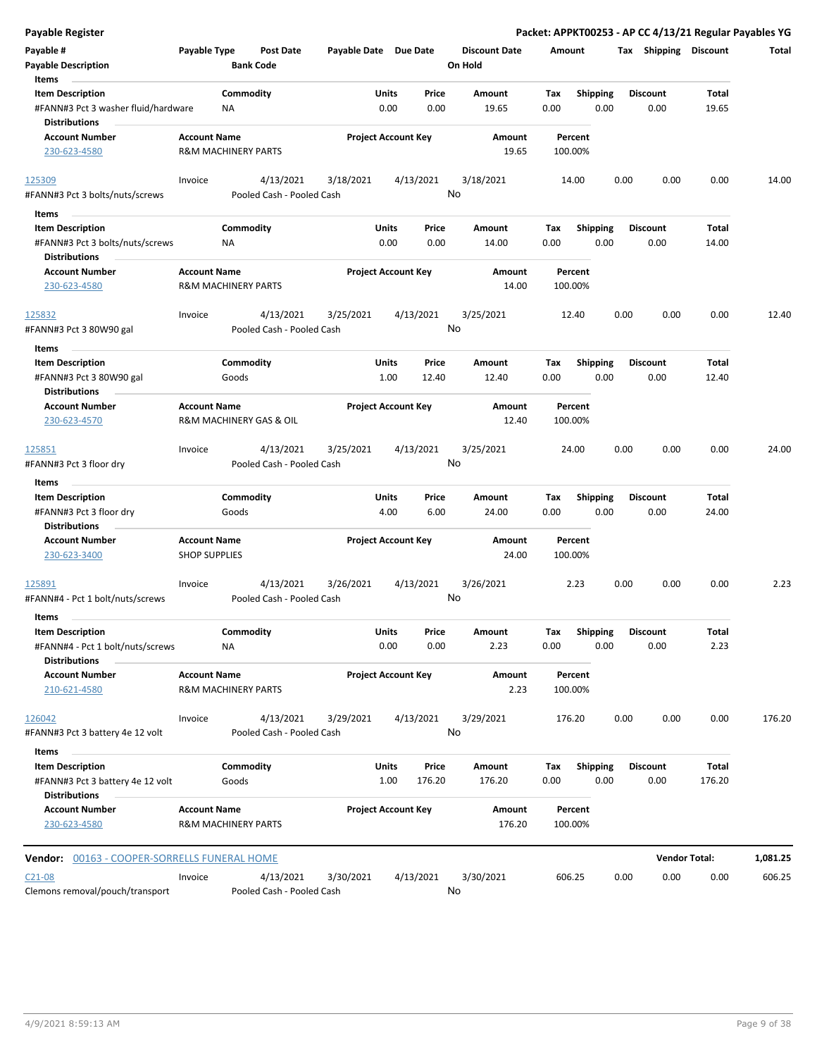| <b>Payable Register</b>                                                             |                                                       |                        |                                        |                       |               |                            |                                 |             |                         |      | Packet: APPKT00253 - AP CC 4/13/21 Regular Payables YG |                       |          |
|-------------------------------------------------------------------------------------|-------------------------------------------------------|------------------------|----------------------------------------|-----------------------|---------------|----------------------------|---------------------------------|-------------|-------------------------|------|--------------------------------------------------------|-----------------------|----------|
| Payable #<br><b>Payable Description</b>                                             | Payable Type                                          | <b>Bank Code</b>       | Post Date                              | Payable Date Due Date |               |                            | <b>Discount Date</b><br>On Hold |             | Amount                  |      | Tax Shipping Discount                                  |                       | Total    |
| Items                                                                               |                                                       |                        |                                        |                       |               |                            |                                 |             |                         |      |                                                        |                       |          |
| <b>Item Description</b><br>#FANN#3 Pct 3 washer fluid/hardware                      |                                                       | Commodity<br><b>NA</b> |                                        |                       | Units<br>0.00 | Price<br>0.00              | Amount<br>19.65                 | Tax<br>0.00 | <b>Shipping</b><br>0.00 |      | <b>Discount</b><br>0.00                                | <b>Total</b><br>19.65 |          |
| <b>Distributions</b>                                                                |                                                       |                        |                                        |                       |               |                            |                                 |             |                         |      |                                                        |                       |          |
| <b>Account Number</b><br>230-623-4580                                               | <b>Account Name</b><br><b>R&amp;M MACHINERY PARTS</b> |                        |                                        |                       |               | <b>Project Account Key</b> | Amount<br>19.65                 |             | Percent<br>100.00%      |      |                                                        |                       |          |
| 125309                                                                              | Invoice                                               |                        | 4/13/2021                              | 3/18/2021             |               | 4/13/2021                  | 3/18/2021                       |             | 14.00                   | 0.00 | 0.00                                                   | 0.00                  | 14.00    |
| #FANN#3 Pct 3 bolts/nuts/screws                                                     |                                                       |                        | Pooled Cash - Pooled Cash              |                       |               |                            | No                              |             |                         |      |                                                        |                       |          |
| Items                                                                               |                                                       |                        |                                        |                       |               |                            |                                 |             |                         |      |                                                        |                       |          |
| <b>Item Description</b><br>#FANN#3 Pct 3 bolts/nuts/screws<br><b>Distributions</b>  |                                                       | Commodity<br><b>NA</b> |                                        |                       | Units<br>0.00 | Price<br>0.00              | Amount<br>14.00                 | Tax<br>0.00 | <b>Shipping</b><br>0.00 |      | <b>Discount</b><br>0.00                                | Total<br>14.00        |          |
| <b>Account Number</b><br>230-623-4580                                               | <b>Account Name</b><br><b>R&amp;M MACHINERY PARTS</b> |                        |                                        |                       |               | <b>Project Account Key</b> | Amount<br>14.00                 |             | Percent<br>100.00%      |      |                                                        |                       |          |
| 125832<br>#FANN#3 Pct 3 80W90 gal                                                   | Invoice                                               |                        | 4/13/2021<br>Pooled Cash - Pooled Cash | 3/25/2021             |               | 4/13/2021                  | 3/25/2021<br>No                 |             | 12.40                   | 0.00 | 0.00                                                   | 0.00                  | 12.40    |
| Items                                                                               |                                                       |                        |                                        |                       |               |                            |                                 |             |                         |      |                                                        |                       |          |
| <b>Item Description</b>                                                             |                                                       | Commodity              |                                        |                       | Units         | Price                      | Amount                          | Tax         | <b>Shipping</b>         |      | <b>Discount</b>                                        | Total                 |          |
| #FANN#3 Pct 3 80W90 gal<br><b>Distributions</b>                                     |                                                       | Goods                  |                                        |                       | 1.00          | 12.40                      | 12.40                           | 0.00        | 0.00                    |      | 0.00                                                   | 12.40                 |          |
| <b>Account Number</b><br>230-623-4570                                               | <b>Account Name</b><br>R&M MACHINERY GAS & OIL        |                        |                                        |                       |               | <b>Project Account Key</b> | Amount<br>12.40                 |             | Percent<br>100.00%      |      |                                                        |                       |          |
| 125851<br>#FANN#3 Pct 3 floor dry                                                   | Invoice                                               |                        | 4/13/2021<br>Pooled Cash - Pooled Cash | 3/25/2021             |               | 4/13/2021                  | 3/25/2021<br>No                 |             | 24.00                   | 0.00 | 0.00                                                   | 0.00                  | 24.00    |
| Items                                                                               |                                                       |                        |                                        |                       |               |                            |                                 |             |                         |      |                                                        |                       |          |
| <b>Item Description</b>                                                             |                                                       | Commodity              |                                        |                       | Units         | Price                      | Amount                          | Tax         | <b>Shipping</b>         |      | <b>Discount</b>                                        | Total                 |          |
| #FANN#3 Pct 3 floor dry<br><b>Distributions</b>                                     |                                                       | Goods                  |                                        |                       | 4.00          | 6.00                       | 24.00                           | 0.00        | 0.00                    |      | 0.00                                                   | 24.00                 |          |
| <b>Account Number</b><br>230-623-3400                                               | <b>Account Name</b><br><b>SHOP SUPPLIES</b>           |                        |                                        |                       |               | <b>Project Account Key</b> | Amount<br>24.00                 |             | Percent<br>100.00%      |      |                                                        |                       |          |
| 125891<br>#FANN#4 - Pct 1 bolt/nuts/screws                                          | Invoice                                               |                        | 4/13/2021<br>Pooled Cash - Pooled Cash | 3/26/2021             |               | 4/13/2021                  | 3/26/2021<br>No                 |             | 2.23                    | 0.00 | 0.00                                                   | 0.00                  | 2.23     |
| Items                                                                               |                                                       |                        |                                        |                       |               |                            |                                 |             |                         |      |                                                        |                       |          |
| <b>Item Description</b><br>#FANN#4 - Pct 1 bolt/nuts/screws                         |                                                       | Commodity<br>NA        |                                        |                       | Units<br>0.00 | Price<br>0.00              | Amount<br>2.23                  | Tax<br>0.00 | <b>Shipping</b><br>0.00 |      | Discount<br>0.00                                       | Total<br>2.23         |          |
| <b>Distributions</b>                                                                |                                                       |                        |                                        |                       |               |                            |                                 |             |                         |      |                                                        |                       |          |
| <b>Account Number</b><br>210-621-4580                                               | <b>Account Name</b><br>R&M MACHINERY PARTS            |                        |                                        |                       |               | <b>Project Account Key</b> | Amount<br>2.23                  |             | Percent<br>100.00%      |      |                                                        |                       |          |
| 126042                                                                              | Invoice                                               |                        | 4/13/2021<br>Pooled Cash - Pooled Cash | 3/29/2021             |               | 4/13/2021                  | 3/29/2021<br>No                 |             | 176.20                  | 0.00 | 0.00                                                   | 0.00                  | 176.20   |
| #FANN#3 Pct 3 battery 4e 12 volt                                                    |                                                       |                        |                                        |                       |               |                            |                                 |             |                         |      |                                                        |                       |          |
| Items                                                                               |                                                       |                        |                                        |                       |               |                            |                                 |             |                         |      |                                                        |                       |          |
| <b>Item Description</b><br>#FANN#3 Pct 3 battery 4e 12 volt<br><b>Distributions</b> |                                                       | Commodity<br>Goods     |                                        |                       | Units<br>1.00 | Price<br>176.20            | Amount<br>176.20                | Tax<br>0.00 | <b>Shipping</b><br>0.00 |      | <b>Discount</b><br>0.00                                | Total<br>176.20       |          |
| <b>Account Number</b><br>230-623-4580                                               | <b>Account Name</b><br>R&M MACHINERY PARTS            |                        |                                        |                       |               | <b>Project Account Key</b> | Amount<br>176.20                |             | Percent<br>100.00%      |      |                                                        |                       |          |
| Vendor: 00163 - COOPER-SORRELLS FUNERAL HOME                                        |                                                       |                        |                                        |                       |               |                            |                                 |             |                         |      |                                                        | <b>Vendor Total:</b>  | 1,081.25 |
| $C21-08$                                                                            | Invoice                                               |                        | 4/13/2021                              | 3/30/2021             |               | 4/13/2021                  | 3/30/2021                       |             | 606.25                  | 0.00 | 0.00                                                   | 0.00                  | 606.25   |
| Clemons removal/pouch/transport                                                     |                                                       |                        | Pooled Cash - Pooled Cash              |                       |               |                            | No                              |             |                         |      |                                                        |                       |          |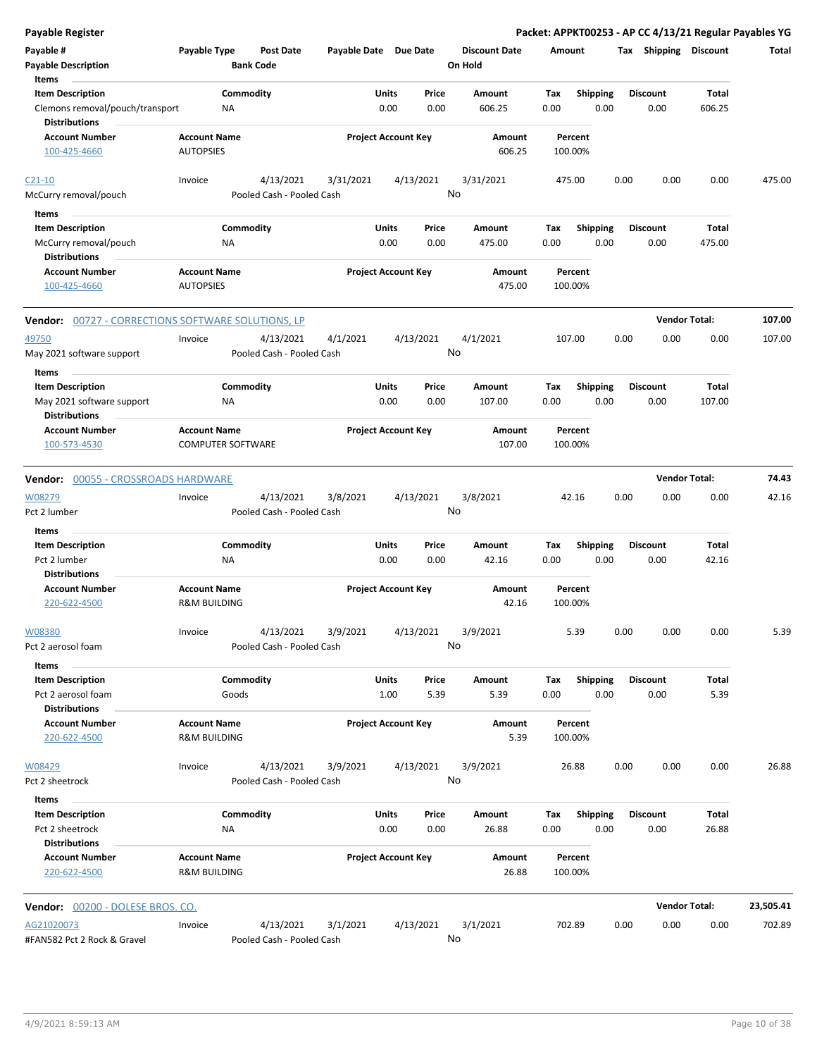| <b>Payable Register</b>                                            |                          |                                        |                       |                            |               |                      |             |                         |      |                         |                      | Packet: APPKT00253 - AP CC 4/13/21 Regular Payables YG |
|--------------------------------------------------------------------|--------------------------|----------------------------------------|-----------------------|----------------------------|---------------|----------------------|-------------|-------------------------|------|-------------------------|----------------------|--------------------------------------------------------|
| Payable #                                                          | Payable Type             | <b>Post Date</b>                       | Payable Date Due Date |                            |               | <b>Discount Date</b> | Amount      |                         |      | Tax Shipping Discount   |                      | Total                                                  |
| <b>Payable Description</b>                                         |                          | <b>Bank Code</b>                       |                       |                            |               | On Hold              |             |                         |      |                         |                      |                                                        |
| Items                                                              |                          |                                        |                       |                            |               |                      |             |                         |      |                         |                      |                                                        |
| <b>Item Description</b>                                            |                          | Commodity                              |                       | Units                      | Price         | Amount               | Tax         | <b>Shipping</b>         |      | <b>Discount</b>         | Total                |                                                        |
| Clemons removal/pouch/transport<br><b>Distributions</b>            | <b>NA</b>                |                                        |                       | 0.00                       | 0.00          | 606.25               | 0.00        | 0.00                    |      | 0.00                    | 606.25               |                                                        |
| <b>Account Number</b>                                              | <b>Account Name</b>      |                                        |                       | <b>Project Account Key</b> |               | Amount               |             | Percent                 |      |                         |                      |                                                        |
| 100-425-4660                                                       | <b>AUTOPSIES</b>         |                                        |                       |                            |               | 606.25               |             | 100.00%                 |      |                         |                      |                                                        |
| $C21-10$                                                           | Invoice                  | 4/13/2021                              | 3/31/2021             |                            | 4/13/2021     | 3/31/2021            |             | 475.00                  | 0.00 | 0.00                    | 0.00                 | 475.00                                                 |
| McCurry removal/pouch                                              |                          | Pooled Cash - Pooled Cash              |                       |                            |               | No                   |             |                         |      |                         |                      |                                                        |
| Items                                                              |                          |                                        |                       |                            |               |                      |             |                         |      |                         |                      |                                                        |
| <b>Item Description</b>                                            |                          | Commodity                              |                       | Units                      | Price         | Amount               | Tax         | <b>Shipping</b>         |      | <b>Discount</b>         | Total                |                                                        |
| McCurry removal/pouch                                              | ΝA                       |                                        |                       | 0.00                       | 0.00          | 475.00               | 0.00        | 0.00                    |      | 0.00                    | 475.00               |                                                        |
| <b>Distributions</b>                                               |                          |                                        |                       |                            |               |                      |             |                         |      |                         |                      |                                                        |
| <b>Account Number</b>                                              | <b>Account Name</b>      |                                        |                       | <b>Project Account Key</b> |               | Amount               |             | Percent                 |      |                         |                      |                                                        |
| 100-425-4660                                                       | <b>AUTOPSIES</b>         |                                        |                       |                            |               | 475.00               |             | 100.00%                 |      |                         |                      |                                                        |
| <b>Vendor:</b> 00727 - CORRECTIONS SOFTWARE SOLUTIONS, LP          |                          |                                        |                       |                            |               |                      |             |                         |      |                         | <b>Vendor Total:</b> | 107.00                                                 |
| 49750                                                              | Invoice                  | 4/13/2021                              | 4/1/2021              |                            | 4/13/2021     | 4/1/2021             |             | 107.00                  | 0.00 | 0.00                    | 0.00                 | 107.00                                                 |
| May 2021 software support                                          |                          | Pooled Cash - Pooled Cash              |                       |                            |               | No                   |             |                         |      |                         |                      |                                                        |
| Items                                                              |                          |                                        |                       |                            |               |                      |             |                         |      |                         |                      |                                                        |
| <b>Item Description</b>                                            |                          | Commodity                              |                       | Units                      | Price         | Amount               | Tax         | <b>Shipping</b>         |      | <b>Discount</b>         | Total                |                                                        |
| May 2021 software support                                          | NA                       |                                        |                       | 0.00                       | 0.00          | 107.00               | 0.00        | 0.00                    |      | 0.00                    | 107.00               |                                                        |
| <b>Distributions</b>                                               |                          |                                        |                       |                            |               |                      |             |                         |      |                         |                      |                                                        |
| <b>Account Number</b>                                              | <b>Account Name</b>      |                                        |                       | <b>Project Account Key</b> |               | Amount               |             | Percent                 |      |                         |                      |                                                        |
| 100-573-4530                                                       | <b>COMPUTER SOFTWARE</b> |                                        |                       |                            |               | 107.00               |             | 100.00%                 |      |                         |                      |                                                        |
| Vendor: 00055 - CROSSROADS HARDWARE                                |                          |                                        |                       |                            |               |                      |             |                         |      |                         | <b>Vendor Total:</b> | 74.43                                                  |
| W08279                                                             | Invoice                  | 4/13/2021                              | 3/8/2021              |                            | 4/13/2021     | 3/8/2021             |             | 42.16                   | 0.00 | 0.00                    | 0.00                 | 42.16                                                  |
| Pct 2 lumber                                                       |                          | Pooled Cash - Pooled Cash              |                       |                            |               | No                   |             |                         |      |                         |                      |                                                        |
| Items                                                              |                          |                                        |                       |                            |               |                      |             |                         |      |                         |                      |                                                        |
| <b>Item Description</b>                                            |                          | Commodity                              |                       | Units                      | Price         | <b>Amount</b>        | Tax         | Shipping                |      | <b>Discount</b>         | Total                |                                                        |
| Pct 2 lumber<br><b>Distributions</b>                               | NA                       |                                        |                       | 0.00                       | 0.00          | 42.16                | 0.00        | 0.00                    |      | 0.00                    | 42.16                |                                                        |
| <b>Account Number</b>                                              | <b>Account Name</b>      |                                        |                       | <b>Project Account Key</b> |               | Amount               |             | Percent                 |      |                         |                      |                                                        |
| 220-622-4500                                                       | <b>R&amp;M BUILDING</b>  |                                        |                       |                            |               | 42.16                |             | 100.00%                 |      |                         |                      |                                                        |
| W08380                                                             | Invoice                  | 4/13/2021                              | 3/9/2021              |                            | 4/13/2021     | 3/9/2021             |             | 5.39                    | 0.00 | 0.00                    | 0.00                 | 5.39                                                   |
| Pct 2 aerosol foam                                                 |                          | Pooled Cash - Pooled Cash              |                       |                            | No            |                      |             |                         |      |                         |                      |                                                        |
| Items                                                              |                          |                                        |                       |                            |               |                      |             |                         |      |                         |                      |                                                        |
| <b>Item Description</b>                                            |                          | Commodity                              |                       | Units                      | Price         | Amount               | Tax         | <b>Shipping</b>         |      | <b>Discount</b>         | Total                |                                                        |
| Pct 2 aerosol foam<br><b>Distributions</b>                         |                          | Goods                                  |                       | 1.00                       | 5.39          | 5.39                 | 0.00        | 0.00                    |      | 0.00                    | 5.39                 |                                                        |
| <b>Account Number</b>                                              | <b>Account Name</b>      |                                        |                       | <b>Project Account Key</b> |               | Amount               |             | Percent                 |      |                         |                      |                                                        |
| 220-622-4500                                                       | R&M BUILDING             |                                        |                       |                            |               | 5.39                 |             | 100.00%                 |      |                         |                      |                                                        |
| W08429                                                             | Invoice                  | 4/13/2021                              | 3/9/2021              |                            | 4/13/2021     | 3/9/2021             |             | 26.88                   | 0.00 | 0.00                    | 0.00                 | 26.88                                                  |
| Pct 2 sheetrock                                                    |                          | Pooled Cash - Pooled Cash              |                       |                            |               | No                   |             |                         |      |                         |                      |                                                        |
| Items                                                              |                          |                                        |                       |                            |               |                      |             |                         |      |                         |                      |                                                        |
| <b>Item Description</b><br>Pct 2 sheetrock<br><b>Distributions</b> | NA                       | Commodity                              |                       | Units<br>0.00              | Price<br>0.00 | Amount<br>26.88      | Tax<br>0.00 | <b>Shipping</b><br>0.00 |      | <b>Discount</b><br>0.00 | Total<br>26.88       |                                                        |
| <b>Account Number</b>                                              | <b>Account Name</b>      |                                        |                       | <b>Project Account Key</b> |               | Amount               |             | Percent                 |      |                         |                      |                                                        |
| 220-622-4500                                                       | R&M BUILDING             |                                        |                       |                            |               | 26.88                |             | 100.00%                 |      |                         |                      |                                                        |
| Vendor: 00200 - DOLESE BROS. CO.                                   |                          |                                        |                       |                            |               |                      |             |                         |      |                         | <b>Vendor Total:</b> | 23,505.41                                              |
|                                                                    |                          |                                        |                       |                            |               |                      |             |                         |      |                         |                      |                                                        |
| AG21020073<br>#FAN582 Pct 2 Rock & Gravel                          | Invoice                  | 4/13/2021<br>Pooled Cash - Pooled Cash | 3/1/2021              |                            | 4/13/2021     | 3/1/2021<br>No       |             | 702.89                  | 0.00 | 0.00                    | 0.00                 | 702.89                                                 |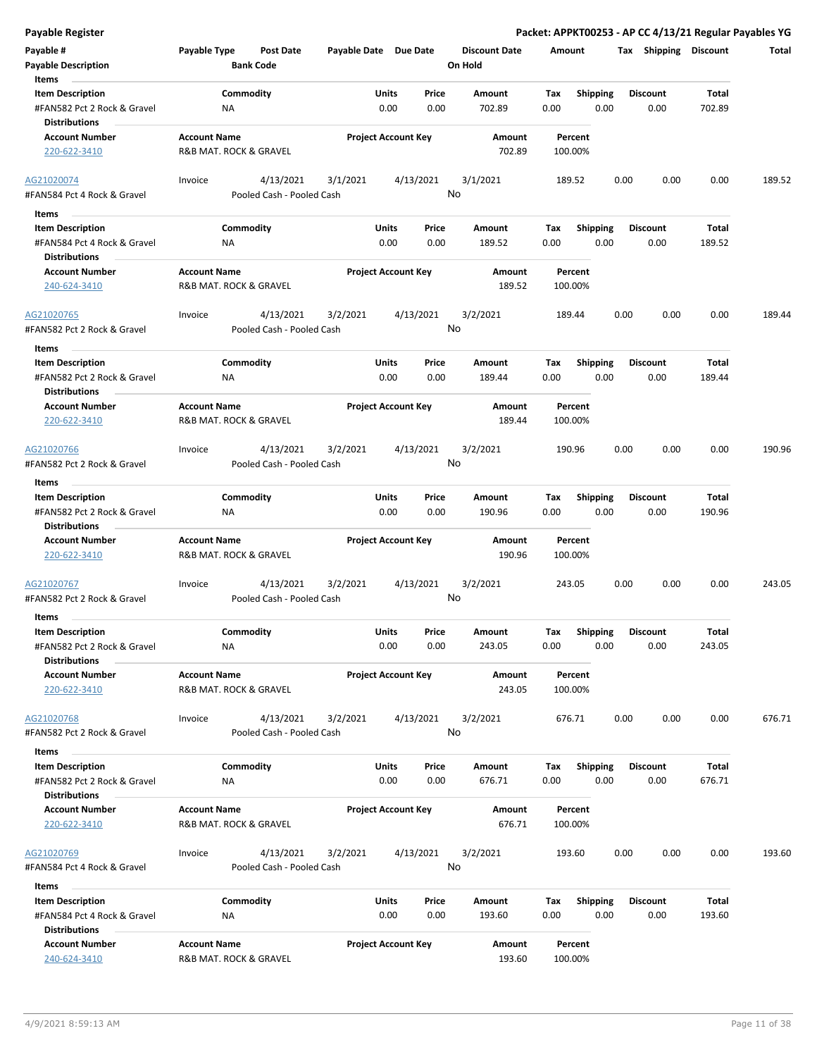| Payable #                                              | Payable Type           | Post Date                 |          | Payable Date Due Date          | <b>Discount Date</b> | Amount      |                         | Tax  | Shipping                | <b>Discount</b> | Total  |
|--------------------------------------------------------|------------------------|---------------------------|----------|--------------------------------|----------------------|-------------|-------------------------|------|-------------------------|-----------------|--------|
| <b>Payable Description</b>                             |                        | <b>Bank Code</b>          |          |                                | On Hold              |             |                         |      |                         |                 |        |
| Items                                                  |                        |                           |          |                                |                      |             |                         |      |                         |                 |        |
| <b>Item Description</b><br>#FAN582 Pct 2 Rock & Gravel | ΝA                     | Commodity                 |          | Price<br>Units<br>0.00<br>0.00 | Amount<br>702.89     | Tax<br>0.00 | <b>Shipping</b><br>0.00 |      | <b>Discount</b><br>0.00 | Total<br>702.89 |        |
| <b>Distributions</b>                                   |                        |                           |          |                                |                      |             |                         |      |                         |                 |        |
| <b>Account Number</b>                                  | <b>Account Name</b>    |                           |          | <b>Project Account Key</b>     | Amount               | Percent     |                         |      |                         |                 |        |
| 220-622-3410                                           | R&B MAT. ROCK & GRAVEL |                           |          |                                | 702.89               | 100.00%     |                         |      |                         |                 |        |
| AG21020074                                             | Invoice                | 4/13/2021                 | 3/1/2021 | 4/13/2021                      | 3/1/2021             | 189.52      |                         | 0.00 | 0.00                    | 0.00            | 189.52 |
| #FAN584 Pct 4 Rock & Gravel                            |                        | Pooled Cash - Pooled Cash |          |                                | No                   |             |                         |      |                         |                 |        |
| Items                                                  |                        |                           |          |                                |                      |             |                         |      |                         |                 |        |
| <b>Item Description</b>                                |                        | Commodity                 |          | Units<br>Price                 | Amount               | Tax         | <b>Shipping</b>         |      | <b>Discount</b>         | Total           |        |
| #FAN584 Pct 4 Rock & Gravel                            | NA                     |                           |          | 0.00<br>0.00                   | 189.52               | 0.00        | 0.00                    |      | 0.00                    | 189.52          |        |
| <b>Distributions</b>                                   |                        |                           |          |                                |                      |             |                         |      |                         |                 |        |
| <b>Account Number</b>                                  | <b>Account Name</b>    |                           |          | <b>Project Account Key</b>     | Amount               | Percent     |                         |      |                         |                 |        |
| 240-624-3410                                           | R&B MAT. ROCK & GRAVEL |                           |          |                                | 189.52               | 100.00%     |                         |      |                         |                 |        |
| AG21020765                                             | Invoice                | 4/13/2021                 | 3/2/2021 | 4/13/2021                      | 3/2/2021             | 189.44      |                         | 0.00 | 0.00                    | 0.00            | 189.44 |
| #FAN582 Pct 2 Rock & Gravel                            |                        | Pooled Cash - Pooled Cash |          |                                | No                   |             |                         |      |                         |                 |        |
| Items                                                  |                        |                           |          |                                |                      |             |                         |      |                         |                 |        |
| <b>Item Description</b>                                |                        | Commodity                 |          | Units<br>Price                 | Amount               | Tax         | <b>Shipping</b>         |      | <b>Discount</b>         | Total           |        |
| #FAN582 Pct 2 Rock & Gravel                            | NA                     |                           |          | 0.00<br>0.00                   | 189.44               | 0.00        | 0.00                    |      | 0.00                    | 189.44          |        |
| <b>Distributions</b>                                   |                        |                           |          |                                |                      |             |                         |      |                         |                 |        |
| <b>Account Number</b>                                  | <b>Account Name</b>    |                           |          | <b>Project Account Key</b>     | Amount               | Percent     |                         |      |                         |                 |        |
| 220-622-3410                                           | R&B MAT. ROCK & GRAVEL |                           |          |                                | 189.44               | 100.00%     |                         |      |                         |                 |        |
| AG21020766                                             | Invoice                | 4/13/2021                 | 3/2/2021 | 4/13/2021                      | 3/2/2021             | 190.96      |                         | 0.00 | 0.00                    | 0.00            | 190.96 |
| #FAN582 Pct 2 Rock & Gravel                            |                        | Pooled Cash - Pooled Cash |          |                                | No                   |             |                         |      |                         |                 |        |
| Items                                                  |                        |                           |          |                                |                      |             |                         |      |                         |                 |        |
| <b>Item Description</b>                                |                        | Commodity                 |          | Units<br>Price                 | Amount               | Tax         | <b>Shipping</b>         |      | <b>Discount</b>         | <b>Total</b>    |        |
| #FAN582 Pct 2 Rock & Gravel                            | ΝA                     |                           |          | 0.00<br>0.00                   | 190.96               | 0.00        | 0.00                    |      | 0.00                    | 190.96          |        |
| <b>Distributions</b>                                   |                        |                           |          |                                |                      |             |                         |      |                         |                 |        |
| <b>Account Number</b>                                  | <b>Account Name</b>    |                           |          | <b>Project Account Key</b>     | Amount               | Percent     |                         |      |                         |                 |        |
| 220-622-3410                                           | R&B MAT. ROCK & GRAVEL |                           |          |                                | 190.96               | 100.00%     |                         |      |                         |                 |        |
|                                                        |                        |                           |          |                                |                      |             |                         |      |                         |                 |        |
| AG21020767                                             | Invoice                | 4/13/2021                 | 3/2/2021 | 4/13/2021                      | 3/2/2021             | 243.05      |                         | 0.00 | 0.00                    | 0.00            | 243.05 |
| #FAN582 Pct 2 Rock & Gravel                            |                        | Pooled Cash - Pooled Cash |          |                                | No                   |             |                         |      |                         |                 |        |
| Items                                                  |                        |                           |          |                                |                      |             |                         |      |                         |                 |        |
| <b>Item Description</b>                                |                        | Commodity                 |          | Units<br>Price                 | Amount               | Tax         | <b>Shipping</b>         |      | <b>Discount</b>         | Total           |        |
| #FAN582 Pct 2 Rock & Gravel                            | ΝA                     |                           |          | 0.00<br>0.00                   | 243.05               | 0.00        | 0.00                    |      | 0.00                    | 243.05          |        |
| <b>Distributions</b>                                   |                        |                           |          |                                |                      |             |                         |      |                         |                 |        |
| <b>Account Number</b>                                  | <b>Account Name</b>    |                           |          | <b>Project Account Key</b>     | Amount               | Percent     |                         |      |                         |                 |        |
| 220-622-3410                                           | R&B MAT. ROCK & GRAVEL |                           |          |                                | 243.05               | 100.00%     |                         |      |                         |                 |        |
| AG21020768                                             | Invoice                | 4/13/2021                 | 3/2/2021 | 4/13/2021                      | 3/2/2021             | 676.71      |                         | 0.00 | 0.00                    | 0.00            | 676.71 |
| #FAN582 Pct 2 Rock & Gravel                            |                        | Pooled Cash - Pooled Cash |          |                                | No                   |             |                         |      |                         |                 |        |
|                                                        |                        |                           |          |                                |                      |             |                         |      |                         |                 |        |
| Items                                                  |                        |                           |          |                                |                      |             |                         |      |                         |                 |        |
| <b>Item Description</b>                                |                        | Commodity                 |          | Units<br>Price                 | Amount               | Tax         | <b>Shipping</b>         |      | <b>Discount</b>         | Total           |        |
| #FAN582 Pct 2 Rock & Gravel                            | ΝA                     |                           |          | 0.00<br>0.00                   | 676.71               | 0.00        | 0.00                    |      | 0.00                    | 676.71          |        |
| <b>Distributions</b>                                   |                        |                           |          |                                |                      |             |                         |      |                         |                 |        |
| <b>Account Number</b>                                  | <b>Account Name</b>    |                           |          | <b>Project Account Key</b>     | Amount               | Percent     |                         |      |                         |                 |        |
| 220-622-3410                                           | R&B MAT. ROCK & GRAVEL |                           |          |                                | 676.71               | 100.00%     |                         |      |                         |                 |        |
| AG21020769                                             | Invoice                | 4/13/2021                 | 3/2/2021 | 4/13/2021                      | 3/2/2021             | 193.60      |                         | 0.00 | 0.00                    | 0.00            | 193.60 |
| #FAN584 Pct 4 Rock & Gravel                            |                        | Pooled Cash - Pooled Cash |          |                                | No                   |             |                         |      |                         |                 |        |
|                                                        |                        |                           |          |                                |                      |             |                         |      |                         |                 |        |
| Items                                                  |                        |                           |          |                                |                      |             |                         |      |                         |                 |        |
| <b>Item Description</b>                                |                        | Commodity                 |          | Units<br>Price                 | Amount               | Tax         | <b>Shipping</b>         |      | <b>Discount</b>         | Total           |        |
| #FAN584 Pct 4 Rock & Gravel                            | NA                     |                           |          | 0.00<br>0.00                   | 193.60               | 0.00        | 0.00                    |      | 0.00                    | 193.60          |        |
| <b>Distributions</b><br><b>Account Number</b>          | <b>Account Name</b>    |                           |          | <b>Project Account Key</b>     | Amount               | Percent     |                         |      |                         |                 |        |
| 240-624-3410                                           | R&B MAT. ROCK & GRAVEL |                           |          |                                | 193.60               | 100.00%     |                         |      |                         |                 |        |
|                                                        |                        |                           |          |                                |                      |             |                         |      |                         |                 |        |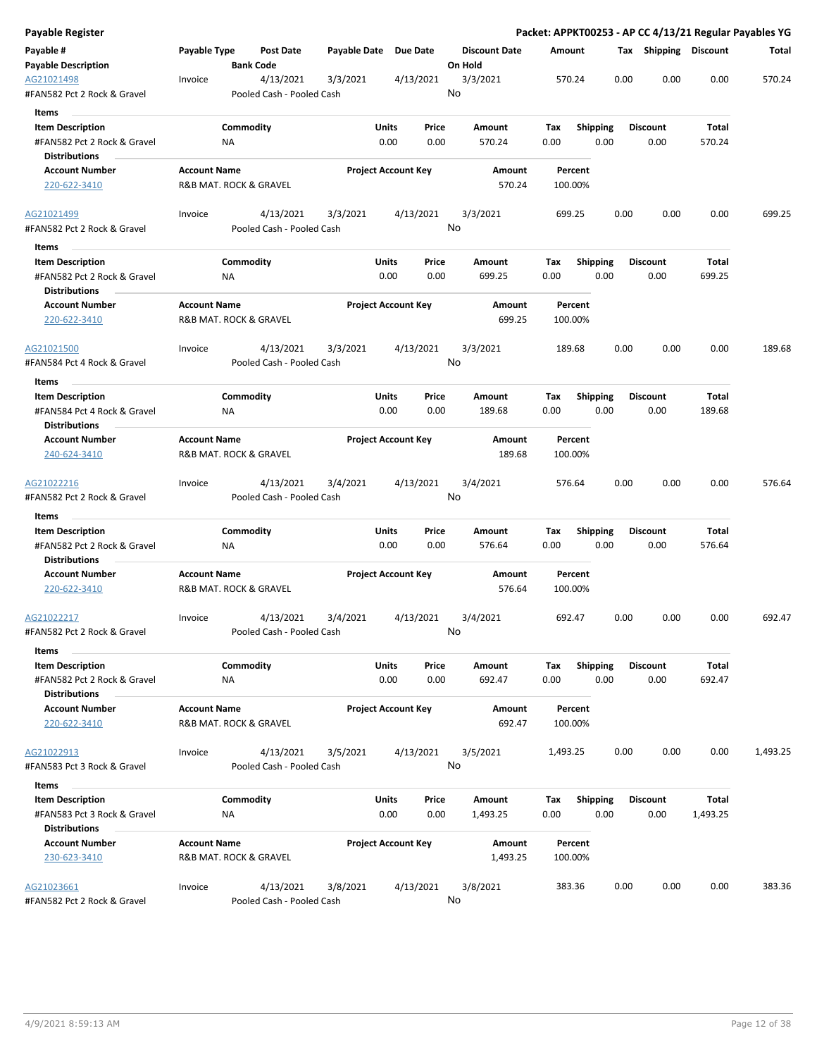| Payable Register                                    |                     |                                        |          |                            |                      |             |                 |      |                       |          | Packet: APPKT00253 - AP CC 4/13/21 Regular Payables YG |
|-----------------------------------------------------|---------------------|----------------------------------------|----------|----------------------------|----------------------|-------------|-----------------|------|-----------------------|----------|--------------------------------------------------------|
| Payable #                                           | Payable Type        | Post Date                              |          | Payable Date Due Date      | <b>Discount Date</b> | Amount      |                 |      | Tax Shipping Discount |          | Total                                                  |
| <b>Payable Description</b>                          |                     | <b>Bank Code</b>                       |          |                            | On Hold              |             |                 |      |                       |          |                                                        |
| AG21021498<br>#FAN582 Pct 2 Rock & Gravel           | Invoice             | 4/13/2021<br>Pooled Cash - Pooled Cash | 3/3/2021 | 4/13/2021                  | 3/3/2021<br>No       | 570.24      |                 | 0.00 | 0.00                  | 0.00     | 570.24                                                 |
| Items                                               |                     |                                        |          |                            |                      |             |                 |      |                       |          |                                                        |
| <b>Item Description</b>                             |                     | Commodity                              |          | Units<br>Price             | Amount               | Tax         | <b>Shipping</b> |      | <b>Discount</b>       | Total    |                                                        |
| #FAN582 Pct 2 Rock & Gravel                         |                     | ΝA                                     |          | 0.00<br>0.00               | 570.24               | 0.00        | 0.00            |      | 0.00                  | 570.24   |                                                        |
| <b>Distributions</b>                                |                     |                                        |          |                            |                      |             |                 |      |                       |          |                                                        |
| <b>Account Number</b>                               | <b>Account Name</b> |                                        |          | <b>Project Account Key</b> | Amount               |             | Percent         |      |                       |          |                                                        |
| 220-622-3410                                        |                     | R&B MAT. ROCK & GRAVEL                 |          |                            | 570.24               |             | 100.00%         |      |                       |          |                                                        |
| AG21021499                                          | Invoice             | 4/13/2021                              | 3/3/2021 | 4/13/2021                  | 3/3/2021             | 699.25      |                 | 0.00 | 0.00                  | 0.00     | 699.25                                                 |
| #FAN582 Pct 2 Rock & Gravel<br>Items                |                     | Pooled Cash - Pooled Cash              |          |                            | No                   |             |                 |      |                       |          |                                                        |
| <b>Item Description</b>                             |                     | Commodity                              |          | Units<br>Price             | Amount               | Tax         | <b>Shipping</b> |      | <b>Discount</b>       | Total    |                                                        |
| #FAN582 Pct 2 Rock & Gravel                         |                     | NA                                     |          | 0.00<br>0.00               | 699.25               | 0.00        | 0.00            |      | 0.00                  | 699.25   |                                                        |
| <b>Distributions</b>                                |                     |                                        |          |                            |                      |             |                 |      |                       |          |                                                        |
| <b>Account Number</b>                               | <b>Account Name</b> |                                        |          | <b>Project Account Key</b> | Amount               |             | Percent         |      |                       |          |                                                        |
| 220-622-3410                                        |                     | R&B MAT. ROCK & GRAVEL                 |          |                            | 699.25               |             | 100.00%         |      |                       |          |                                                        |
| AG21021500                                          | Invoice             | 4/13/2021                              | 3/3/2021 | 4/13/2021                  | 3/3/2021             | 189.68      |                 | 0.00 | 0.00                  | 0.00     | 189.68                                                 |
| #FAN584 Pct 4 Rock & Gravel                         |                     | Pooled Cash - Pooled Cash              |          |                            | No                   |             |                 |      |                       |          |                                                        |
| Items                                               |                     |                                        |          |                            |                      |             |                 |      |                       |          |                                                        |
| <b>Item Description</b>                             |                     | Commodity                              |          | Units<br>Price             | Amount               | Tax         | <b>Shipping</b> |      | <b>Discount</b>       | Total    |                                                        |
| #FAN584 Pct 4 Rock & Gravel                         |                     | ΝA                                     |          | 0.00<br>0.00               | 189.68               | 0.00        | 0.00            |      | 0.00                  | 189.68   |                                                        |
| <b>Distributions</b>                                |                     |                                        |          |                            |                      |             |                 |      |                       |          |                                                        |
| <b>Account Number</b>                               | <b>Account Name</b> |                                        |          | <b>Project Account Key</b> | Amount               |             | Percent         |      |                       |          |                                                        |
| 240-624-3410                                        |                     | R&B MAT. ROCK & GRAVEL                 |          |                            | 189.68               |             | 100.00%         |      |                       |          |                                                        |
| AG21022216                                          | Invoice             | 4/13/2021                              | 3/4/2021 | 4/13/2021                  | 3/4/2021             | 576.64      |                 | 0.00 | 0.00                  | 0.00     | 576.64                                                 |
| #FAN582 Pct 2 Rock & Gravel                         |                     | Pooled Cash - Pooled Cash              |          |                            | No                   |             |                 |      |                       |          |                                                        |
| Items                                               |                     |                                        |          |                            |                      |             |                 |      |                       |          |                                                        |
| <b>Item Description</b>                             |                     | Commodity                              |          | Units<br>Price             | Amount               | Tax         | Shipping        |      | <b>Discount</b>       | Total    |                                                        |
| #FAN582 Pct 2 Rock & Gravel                         |                     | ΝA                                     |          | 0.00<br>0.00               | 576.64               | 0.00        | 0.00            |      | 0.00                  | 576.64   |                                                        |
| <b>Distributions</b>                                |                     |                                        |          |                            |                      |             |                 |      |                       |          |                                                        |
| <b>Account Number</b>                               | <b>Account Name</b> |                                        |          | <b>Project Account Key</b> | Amount               |             | Percent         |      |                       |          |                                                        |
| 220-622-3410                                        |                     | R&B MAT. ROCK & GRAVEL                 |          |                            | 576.64               | 100.00%     |                 |      |                       |          |                                                        |
| AG21022217                                          | Invoice             | 4/13/2021                              | 3/4/2021 | 4/13/2021                  | 3/4/2021             | 692.47      |                 | 0.00 | 0.00                  | 0.00     | 692.47                                                 |
| #FAN582 Pct 2 Rock & Gravel                         |                     | Pooled Cash - Pooled Cash              |          |                            | No                   |             |                 |      |                       |          |                                                        |
| Items<br><b>Item Description</b>                    |                     | Commodity                              |          | Units<br>Price             |                      |             | Shipping        |      | <b>Discount</b>       | Total    |                                                        |
|                                                     |                     | <b>NA</b>                              |          | 0.00<br>0.00               | Amount<br>692.47     | Tax<br>0.00 | 0.00            |      | 0.00                  | 692.47   |                                                        |
| #FAN582 Pct 2 Rock & Gravel<br><b>Distributions</b> |                     |                                        |          |                            |                      |             |                 |      |                       |          |                                                        |
| <b>Account Number</b>                               | <b>Account Name</b> |                                        |          | <b>Project Account Key</b> | Amount               |             | Percent         |      |                       |          |                                                        |
| 220-622-3410                                        |                     | R&B MAT. ROCK & GRAVEL                 |          |                            | 692.47               |             | 100.00%         |      |                       |          |                                                        |
| AG21022913                                          | Invoice             | 4/13/2021                              | 3/5/2021 | 4/13/2021                  | 3/5/2021             | 1,493.25    |                 | 0.00 | 0.00                  | 0.00     | 1,493.25                                               |
| #FAN583 Pct 3 Rock & Gravel                         |                     | Pooled Cash - Pooled Cash              |          |                            | No                   |             |                 |      |                       |          |                                                        |
| Items                                               |                     |                                        |          |                            |                      |             |                 |      |                       |          |                                                        |
| <b>Item Description</b>                             |                     | Commodity                              |          | Units<br>Price             | Amount               | Tax         | <b>Shipping</b> |      | <b>Discount</b>       | Total    |                                                        |
| #FAN583 Pct 3 Rock & Gravel                         |                     | ΝA                                     |          | 0.00<br>0.00               | 1,493.25             | 0.00        | 0.00            |      | 0.00                  | 1,493.25 |                                                        |
| <b>Distributions</b>                                |                     |                                        |          |                            |                      |             |                 |      |                       |          |                                                        |
| <b>Account Number</b>                               | <b>Account Name</b> |                                        |          | <b>Project Account Key</b> | Amount               |             | Percent         |      |                       |          |                                                        |
| 230-623-3410                                        |                     | R&B MAT. ROCK & GRAVEL                 |          |                            | 1,493.25             |             | 100.00%         |      |                       |          |                                                        |
| AG21023661                                          | Invoice             | 4/13/2021                              | 3/8/2021 | 4/13/2021                  | 3/8/2021             |             | 383.36          | 0.00 | 0.00                  | 0.00     | 383.36                                                 |
| #FAN582 Pct 2 Rock & Gravel                         |                     | Pooled Cash - Pooled Cash              |          |                            | No                   |             |                 |      |                       |          |                                                        |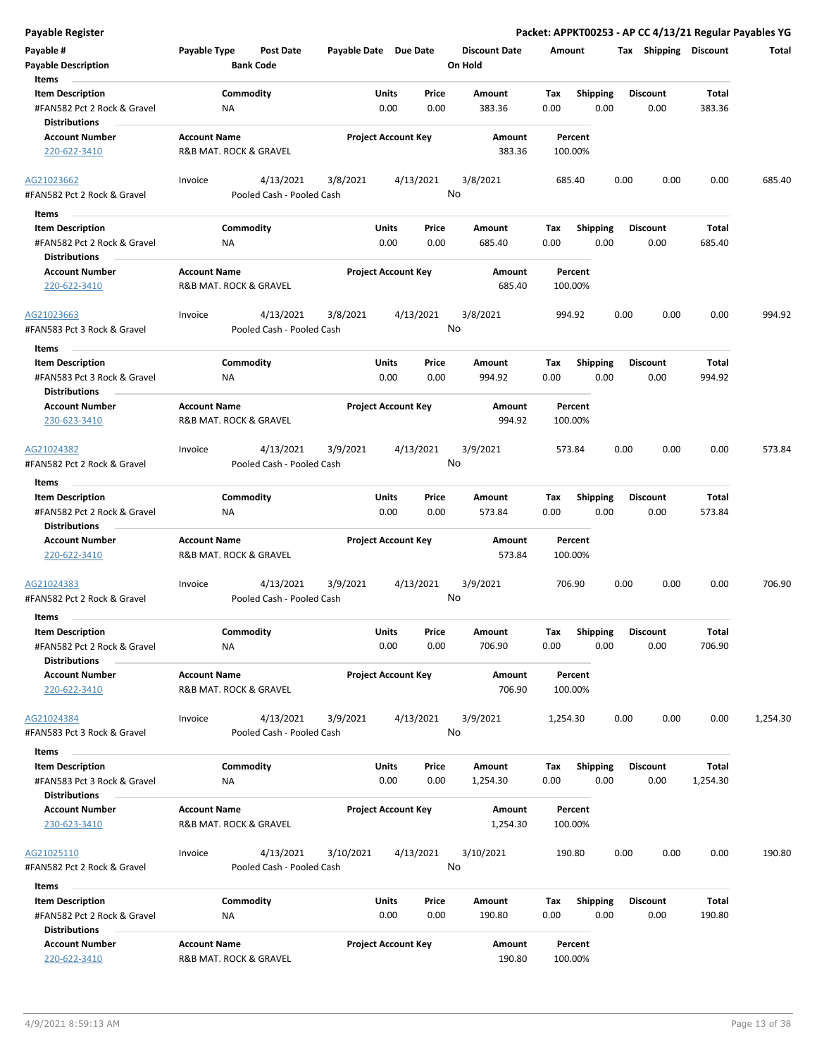| Payable #                                                                      | Payable Type                                  | Post Date                              | Payable Date Due Date |                                       | <b>Discount Date</b> | Amount             |                         |      | Tax Shipping            | <b>Discount</b> | Total    |
|--------------------------------------------------------------------------------|-----------------------------------------------|----------------------------------------|-----------------------|---------------------------------------|----------------------|--------------------|-------------------------|------|-------------------------|-----------------|----------|
| <b>Payable Description</b><br>Items                                            |                                               | <b>Bank Code</b>                       |                       |                                       | On Hold              |                    |                         |      |                         |                 |          |
| <b>Item Description</b>                                                        |                                               | Commodity                              |                       | Units<br>Price                        | Amount               | Tax                | <b>Shipping</b>         |      | <b>Discount</b>         | <b>Total</b>    |          |
| #FAN582 Pct 2 Rock & Gravel<br><b>Distributions</b>                            | ΝA                                            |                                        |                       | 0.00<br>0.00                          | 383.36               | 0.00               | 0.00                    |      | 0.00                    | 383.36          |          |
| <b>Account Number</b>                                                          | <b>Account Name</b>                           |                                        |                       | <b>Project Account Key</b>            | <b>Amount</b>        | Percent            |                         |      |                         |                 |          |
| 220-622-3410                                                                   | R&B MAT. ROCK & GRAVEL                        |                                        |                       |                                       | 383.36               | 100.00%            |                         |      |                         |                 |          |
| AG21023662<br>#FAN582 Pct 2 Rock & Gravel                                      | Invoice                                       | 4/13/2021<br>Pooled Cash - Pooled Cash | 3/8/2021              | 4/13/2021                             | 3/8/2021<br>No       | 685.40             |                         | 0.00 | 0.00                    | 0.00            | 685.40   |
|                                                                                |                                               |                                        |                       |                                       |                      |                    |                         |      |                         |                 |          |
| Items                                                                          |                                               |                                        |                       |                                       |                      |                    |                         |      |                         |                 |          |
| <b>Item Description</b><br>#FAN582 Pct 2 Rock & Gravel                         | ΝA                                            | Commodity                              |                       | Units<br>Price<br>0.00<br>0.00        | Amount<br>685.40     | Tax<br>0.00        | <b>Shipping</b><br>0.00 |      | <b>Discount</b><br>0.00 | Total<br>685.40 |          |
| <b>Distributions</b>                                                           |                                               |                                        |                       |                                       |                      |                    |                         |      |                         |                 |          |
| <b>Account Number</b><br>220-622-3410                                          | <b>Account Name</b><br>R&B MAT. ROCK & GRAVEL |                                        |                       | <b>Project Account Key</b>            | Amount<br>685.40     | Percent<br>100.00% |                         |      |                         |                 |          |
| AG21023663                                                                     | Invoice                                       | 4/13/2021                              | 3/8/2021              | 4/13/2021                             | 3/8/2021             | 994.92             |                         | 0.00 | 0.00                    | 0.00            | 994.92   |
| #FAN583 Pct 3 Rock & Gravel                                                    |                                               | Pooled Cash - Pooled Cash              |                       |                                       | No                   |                    |                         |      |                         |                 |          |
| Items                                                                          |                                               |                                        |                       |                                       |                      |                    |                         |      |                         |                 |          |
| <b>Item Description</b>                                                        |                                               | Commodity                              |                       | Units<br>Price                        | Amount               | Tax                | <b>Shipping</b>         |      | <b>Discount</b>         | Total           |          |
| #FAN583 Pct 3 Rock & Gravel<br><b>Distributions</b>                            | <b>NA</b>                                     |                                        |                       | 0.00<br>0.00                          | 994.92               | 0.00               | 0.00                    |      | 0.00                    | 994.92          |          |
| <b>Account Number</b><br>230-623-3410                                          | <b>Account Name</b><br>R&B MAT. ROCK & GRAVEL |                                        |                       | <b>Project Account Key</b>            | Amount<br>994.92     | Percent<br>100.00% |                         |      |                         |                 |          |
| AG21024382<br>#FAN582 Pct 2 Rock & Gravel                                      | Invoice                                       | 4/13/2021<br>Pooled Cash - Pooled Cash | 3/9/2021              | 4/13/2021                             | 3/9/2021<br>No       | 573.84             |                         | 0.00 | 0.00                    | 0.00            | 573.84   |
| Items                                                                          |                                               |                                        |                       |                                       |                      |                    |                         |      |                         |                 |          |
| <b>Item Description</b>                                                        |                                               | Commodity                              |                       | Units<br>Price                        | Amount               | Tax                | <b>Shipping</b>         |      | <b>Discount</b>         | Total           |          |
| #FAN582 Pct 2 Rock & Gravel<br><b>Distributions</b>                            | ΝA                                            |                                        |                       | 0.00<br>0.00                          | 573.84               | 0.00               | 0.00                    |      | 0.00                    | 573.84          |          |
| <b>Account Number</b>                                                          | <b>Account Name</b>                           |                                        |                       | <b>Project Account Key</b>            | Amount               | Percent            |                         |      |                         |                 |          |
| 220-622-3410                                                                   | R&B MAT. ROCK & GRAVEL                        |                                        |                       |                                       | 573.84               | 100.00%            |                         |      |                         |                 |          |
| AG21024383<br>#FAN582 Pct 2 Rock & Gravel                                      | Invoice                                       | 4/13/2021<br>Pooled Cash - Pooled Cash | 3/9/2021              | 4/13/2021                             | 3/9/2021<br>No       | 706.90             |                         | 0.00 | 0.00                    | 0.00            | 706.90   |
| Items                                                                          |                                               |                                        |                       |                                       |                      |                    |                         |      |                         |                 |          |
| <b>Item Description</b><br>#FAN582 Pct 2 Rock & Gravel<br><b>Distributions</b> | NA                                            | Commodity                              |                       | <b>Units</b><br>Price<br>0.00<br>0.00 | Amount<br>706.90     | Тах<br>0.00        | Shipping<br>0.00        |      | <b>Discount</b><br>0.00 | Total<br>706.90 |          |
| <b>Account Number</b>                                                          | <b>Account Name</b>                           |                                        |                       | <b>Project Account Key</b>            | Amount               | Percent            |                         |      |                         |                 |          |
| 220-622-3410                                                                   | R&B MAT. ROCK & GRAVEL                        |                                        |                       |                                       | 706.90               | 100.00%            |                         |      |                         |                 |          |
| AG21024384                                                                     | Invoice                                       | 4/13/2021                              | 3/9/2021              | 4/13/2021                             | 3/9/2021             | 1,254.30           |                         | 0.00 | 0.00                    | 0.00            | 1,254.30 |
| #FAN583 Pct 3 Rock & Gravel                                                    |                                               | Pooled Cash - Pooled Cash              |                       |                                       | No                   |                    |                         |      |                         |                 |          |
| Items                                                                          |                                               |                                        |                       |                                       |                      |                    |                         |      |                         |                 |          |
| <b>Item Description</b>                                                        |                                               | Commodity                              |                       | Units<br>Price                        | Amount               | Тах                | Shipping                |      | <b>Discount</b>         | <b>Total</b>    |          |
| #FAN583 Pct 3 Rock & Gravel<br><b>Distributions</b>                            | ΝA                                            |                                        |                       | 0.00<br>0.00                          | 1,254.30             | 0.00               | 0.00                    |      | 0.00                    | 1,254.30        |          |
| <b>Account Number</b>                                                          | <b>Account Name</b>                           |                                        |                       | <b>Project Account Key</b>            | Amount               | Percent            |                         |      |                         |                 |          |
| 230-623-3410                                                                   | R&B MAT. ROCK & GRAVEL                        |                                        |                       |                                       | 1,254.30             | 100.00%            |                         |      |                         |                 |          |
| AG21025110                                                                     | Invoice                                       | 4/13/2021                              | 3/10/2021             | 4/13/2021                             | 3/10/2021            | 190.80             |                         | 0.00 | 0.00                    | 0.00            | 190.80   |
| #FAN582 Pct 2 Rock & Gravel                                                    |                                               | Pooled Cash - Pooled Cash              |                       |                                       | No                   |                    |                         |      |                         |                 |          |
| Items                                                                          |                                               |                                        |                       |                                       |                      |                    |                         |      |                         |                 |          |
| <b>Item Description</b><br>#FAN582 Pct 2 Rock & Gravel                         | ΝA                                            | Commodity                              |                       | Units<br>Price<br>0.00<br>0.00        | Amount<br>190.80     | Tax<br>0.00        | <b>Shipping</b><br>0.00 |      | <b>Discount</b><br>0.00 | Total<br>190.80 |          |
| <b>Distributions</b>                                                           |                                               |                                        |                       |                                       |                      |                    |                         |      |                         |                 |          |
| <b>Account Number</b><br>220-622-3410                                          | <b>Account Name</b><br>R&B MAT. ROCK & GRAVEL |                                        |                       | <b>Project Account Key</b>            | Amount<br>190.80     | Percent<br>100.00% |                         |      |                         |                 |          |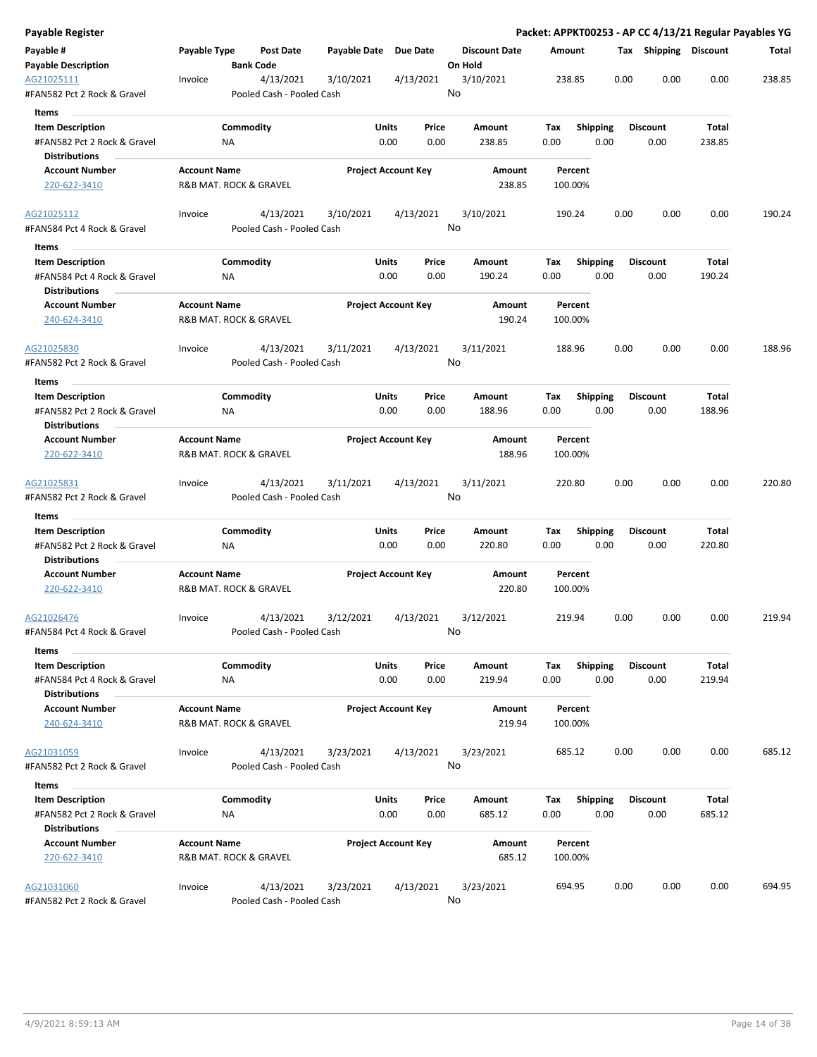| Payable Register                          |                     |                        |                                        |                       |                            |           |                      |        |        |                 |      |      |                       |        | Packet: APPKT00253 - AP CC 4/13/21 Regular Payables YG |
|-------------------------------------------|---------------------|------------------------|----------------------------------------|-----------------------|----------------------------|-----------|----------------------|--------|--------|-----------------|------|------|-----------------------|--------|--------------------------------------------------------|
| Payable #                                 | Payable Type        |                        | Post Date                              | Payable Date Due Date |                            |           | <b>Discount Date</b> |        | Amount |                 |      |      | Tax Shipping Discount |        | Total                                                  |
| <b>Payable Description</b>                |                     | <b>Bank Code</b>       |                                        |                       |                            |           | On Hold              |        |        |                 |      |      |                       |        |                                                        |
| AG21025111<br>#FAN582 Pct 2 Rock & Gravel | Invoice             |                        | 4/13/2021<br>Pooled Cash - Pooled Cash | 3/10/2021             |                            | 4/13/2021 | 3/10/2021<br>No      |        |        | 238.85          |      | 0.00 | 0.00                  | 0.00   | 238.85                                                 |
| Items                                     |                     |                        |                                        |                       |                            |           |                      |        |        |                 |      |      |                       |        |                                                        |
| <b>Item Description</b>                   |                     | Commodity              |                                        |                       | Units                      | Price     | Amount               |        | Tax    | <b>Shipping</b> |      |      | <b>Discount</b>       | Total  |                                                        |
| #FAN582 Pct 2 Rock & Gravel               |                     | ΝA                     |                                        |                       | 0.00                       | 0.00      | 238.85               |        | 0.00   |                 | 0.00 |      | 0.00                  | 238.85 |                                                        |
| <b>Distributions</b>                      |                     |                        |                                        |                       |                            |           |                      |        |        |                 |      |      |                       |        |                                                        |
| <b>Account Number</b>                     | <b>Account Name</b> |                        |                                        |                       | <b>Project Account Key</b> |           |                      | Amount |        | Percent         |      |      |                       |        |                                                        |
| 220-622-3410                              |                     | R&B MAT. ROCK & GRAVEL |                                        |                       |                            |           |                      | 238.85 |        | 100.00%         |      |      |                       |        |                                                        |
| AG21025112                                | Invoice             |                        | 4/13/2021                              | 3/10/2021             |                            | 4/13/2021 | 3/10/2021            |        |        | 190.24          |      | 0.00 | 0.00                  | 0.00   | 190.24                                                 |
| #FAN584 Pct 4 Rock & Gravel<br>Items      |                     |                        | Pooled Cash - Pooled Cash              |                       |                            |           | No                   |        |        |                 |      |      |                       |        |                                                        |
| <b>Item Description</b>                   |                     | Commodity              |                                        |                       | Units                      | Price     | Amount               |        | Tax    | <b>Shipping</b> |      |      | <b>Discount</b>       | Total  |                                                        |
| #FAN584 Pct 4 Rock & Gravel               |                     | NA                     |                                        |                       | 0.00                       | 0.00      | 190.24               |        | 0.00   |                 | 0.00 |      | 0.00                  | 190.24 |                                                        |
| <b>Distributions</b>                      |                     |                        |                                        |                       |                            |           |                      |        |        |                 |      |      |                       |        |                                                        |
| <b>Account Number</b>                     | <b>Account Name</b> |                        |                                        |                       | <b>Project Account Key</b> |           |                      | Amount |        | Percent         |      |      |                       |        |                                                        |
| 240-624-3410                              |                     | R&B MAT. ROCK & GRAVEL |                                        |                       |                            |           |                      | 190.24 |        | 100.00%         |      |      |                       |        |                                                        |
| AG21025830                                | Invoice             |                        | 4/13/2021                              | 3/11/2021             |                            | 4/13/2021 | 3/11/2021            |        |        | 188.96          |      | 0.00 | 0.00                  | 0.00   | 188.96                                                 |
| #FAN582 Pct 2 Rock & Gravel               |                     |                        | Pooled Cash - Pooled Cash              |                       |                            |           | No                   |        |        |                 |      |      |                       |        |                                                        |
| Items                                     |                     |                        |                                        |                       |                            |           |                      |        |        |                 |      |      |                       |        |                                                        |
| <b>Item Description</b>                   |                     | Commodity              |                                        |                       | Units                      | Price     | Amount               |        | Tax    | <b>Shipping</b> |      |      | <b>Discount</b>       | Total  |                                                        |
| #FAN582 Pct 2 Rock & Gravel               |                     | ΝA                     |                                        |                       | 0.00                       | 0.00      | 188.96               |        | 0.00   |                 | 0.00 |      | 0.00                  | 188.96 |                                                        |
| <b>Distributions</b>                      |                     |                        |                                        |                       |                            |           |                      |        |        |                 |      |      |                       |        |                                                        |
| <b>Account Number</b>                     | <b>Account Name</b> |                        |                                        |                       | <b>Project Account Key</b> |           |                      | Amount |        | Percent         |      |      |                       |        |                                                        |
| 220-622-3410                              |                     | R&B MAT. ROCK & GRAVEL |                                        |                       |                            |           |                      | 188.96 |        | 100.00%         |      |      |                       |        |                                                        |
| AG21025831                                | Invoice             |                        | 4/13/2021                              | 3/11/2021             |                            | 4/13/2021 | 3/11/2021            |        |        | 220.80          |      | 0.00 | 0.00                  | 0.00   | 220.80                                                 |
| #FAN582 Pct 2 Rock & Gravel               |                     |                        | Pooled Cash - Pooled Cash              |                       |                            |           | No                   |        |        |                 |      |      |                       |        |                                                        |
| Items                                     |                     |                        |                                        |                       |                            |           |                      |        |        |                 |      |      |                       |        |                                                        |
| <b>Item Description</b>                   |                     | Commodity              |                                        |                       | Units                      | Price     | Amount               |        | Tax    | Shipping        |      |      | <b>Discount</b>       | Total  |                                                        |
| #FAN582 Pct 2 Rock & Gravel               |                     | ΝA                     |                                        |                       | 0.00                       | 0.00      | 220.80               |        | 0.00   |                 | 0.00 |      | 0.00                  | 220.80 |                                                        |
| Distributions                             |                     |                        |                                        |                       |                            |           |                      |        |        |                 |      |      |                       |        |                                                        |
| <b>Account Number</b>                     | <b>Account Name</b> |                        |                                        |                       | <b>Project Account Key</b> |           |                      | Amount |        | Percent         |      |      |                       |        |                                                        |
| 220-622-3410                              |                     | R&B MAT. ROCK & GRAVEL |                                        |                       |                            |           |                      | 220.80 |        | 100.00%         |      |      |                       |        |                                                        |
| AG21026476                                | Invoice             |                        | 4/13/2021                              | 3/12/2021             |                            | 4/13/2021 | 3/12/2021            |        | 219.94 |                 |      | 0.00 | 0.00                  | 0.00   | 219.94                                                 |
| #FAN584 Pct 4 Rock & Gravel<br>Items      |                     |                        | Pooled Cash - Pooled Cash              |                       |                            |           | No                   |        |        |                 |      |      |                       |        |                                                        |
| <b>Item Description</b>                   |                     | Commodity              |                                        |                       | Units                      | Price     | Amount               |        | Tax    | Shipping        |      |      | <b>Discount</b>       | Total  |                                                        |
| #FAN584 Pct 4 Rock & Gravel               |                     | <b>NA</b>              |                                        |                       | 0.00                       | 0.00      | 219.94               |        | 0.00   |                 | 0.00 |      | 0.00                  | 219.94 |                                                        |
| <b>Distributions</b>                      |                     |                        |                                        |                       |                            |           |                      |        |        |                 |      |      |                       |        |                                                        |
| <b>Account Number</b>                     | <b>Account Name</b> |                        |                                        |                       | <b>Project Account Key</b> |           |                      | Amount |        | Percent         |      |      |                       |        |                                                        |
| 240-624-3410                              |                     | R&B MAT. ROCK & GRAVEL |                                        |                       |                            |           |                      | 219.94 |        | 100.00%         |      |      |                       |        |                                                        |
| AG21031059                                | Invoice             |                        | 4/13/2021                              | 3/23/2021             |                            | 4/13/2021 | 3/23/2021            |        |        | 685.12          |      | 0.00 | 0.00                  | 0.00   | 685.12                                                 |
| #FAN582 Pct 2 Rock & Gravel               |                     |                        | Pooled Cash - Pooled Cash              |                       |                            |           | No                   |        |        |                 |      |      |                       |        |                                                        |
| Items                                     |                     |                        |                                        |                       |                            |           |                      |        |        |                 |      |      |                       |        |                                                        |
| <b>Item Description</b>                   |                     | Commodity              |                                        |                       | Units                      | Price     | Amount               |        | Tax    | <b>Shipping</b> |      |      | <b>Discount</b>       | Total  |                                                        |
| #FAN582 Pct 2 Rock & Gravel               |                     | ΝA                     |                                        |                       | 0.00                       | 0.00      | 685.12               |        | 0.00   |                 | 0.00 |      | 0.00                  | 685.12 |                                                        |
| <b>Distributions</b>                      |                     |                        |                                        |                       |                            |           |                      |        |        |                 |      |      |                       |        |                                                        |
| <b>Account Number</b>                     | <b>Account Name</b> |                        |                                        |                       | <b>Project Account Key</b> |           |                      | Amount |        | Percent         |      |      |                       |        |                                                        |
| 220-622-3410                              |                     | R&B MAT. ROCK & GRAVEL |                                        |                       |                            |           |                      | 685.12 |        | 100.00%         |      |      |                       |        |                                                        |
| AG21031060                                | Invoice             |                        | 4/13/2021                              | 3/23/2021             |                            | 4/13/2021 | 3/23/2021            |        |        | 694.95          |      | 0.00 | 0.00                  | 0.00   | 694.95                                                 |
| #FAN582 Pct 2 Rock & Gravel               |                     |                        | Pooled Cash - Pooled Cash              |                       |                            |           | No                   |        |        |                 |      |      |                       |        |                                                        |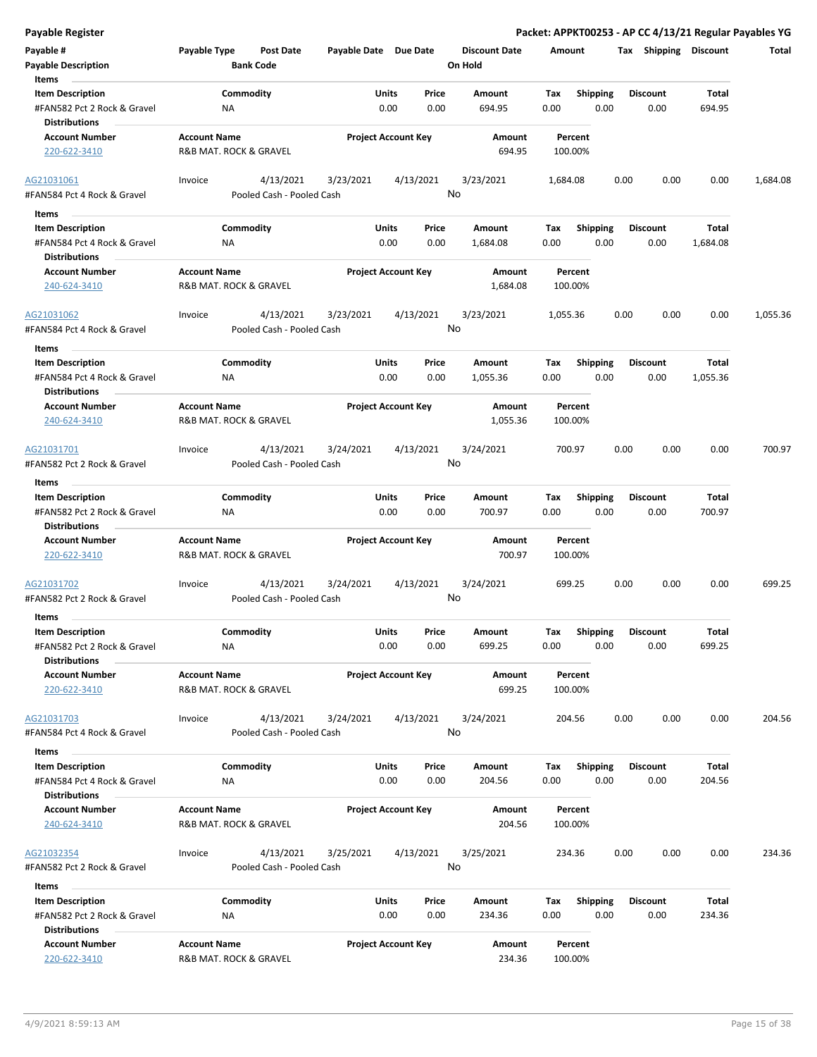| Payable #                   | Payable Type           | <b>Post Date</b>          | Payable Date Due Date |                            | <b>Discount Date</b> | Amount   |                 | Tax  | Shipping        | <b>Discount</b> | <b>Total</b> |
|-----------------------------|------------------------|---------------------------|-----------------------|----------------------------|----------------------|----------|-----------------|------|-----------------|-----------------|--------------|
| <b>Payable Description</b>  |                        | <b>Bank Code</b>          |                       |                            | On Hold              |          |                 |      |                 |                 |              |
| Items                       |                        |                           |                       |                            |                      |          |                 |      |                 |                 |              |
| <b>Item Description</b>     |                        | Commodity                 |                       | Price<br>Units             | Amount               | Tax      | <b>Shipping</b> |      | <b>Discount</b> | Total           |              |
| #FAN582 Pct 2 Rock & Gravel | ΝA                     |                           |                       | 0.00<br>0.00               | 694.95               | 0.00     | 0.00            |      | 0.00            | 694.95          |              |
| <b>Distributions</b>        |                        |                           |                       |                            |                      |          |                 |      |                 |                 |              |
| <b>Account Number</b>       | <b>Account Name</b>    |                           |                       | <b>Project Account Key</b> | Amount               | Percent  |                 |      |                 |                 |              |
| 220-622-3410                | R&B MAT. ROCK & GRAVEL |                           |                       |                            | 694.95               | 100.00%  |                 |      |                 |                 |              |
|                             |                        |                           |                       |                            |                      |          |                 |      |                 |                 |              |
| AG21031061                  | Invoice                | 4/13/2021                 | 3/23/2021             | 4/13/2021                  | 3/23/2021            | 1,684.08 |                 | 0.00 | 0.00            | 0.00            | 1,684.08     |
| #FAN584 Pct 4 Rock & Gravel |                        | Pooled Cash - Pooled Cash |                       |                            | No                   |          |                 |      |                 |                 |              |
| Items                       |                        |                           |                       |                            |                      |          |                 |      |                 |                 |              |
| <b>Item Description</b>     |                        | Commodity                 |                       | Units<br>Price             | Amount               | Tax      | Shipping        |      | <b>Discount</b> | Total           |              |
| #FAN584 Pct 4 Rock & Gravel | NA                     |                           |                       | 0.00<br>0.00               | 1,684.08             | 0.00     | 0.00            |      | 0.00            | 1,684.08        |              |
| <b>Distributions</b>        |                        |                           |                       |                            |                      |          |                 |      |                 |                 |              |
| <b>Account Number</b>       | <b>Account Name</b>    |                           |                       | <b>Project Account Key</b> | Amount               | Percent  |                 |      |                 |                 |              |
| 240-624-3410                | R&B MAT. ROCK & GRAVEL |                           |                       |                            | 1,684.08             | 100.00%  |                 |      |                 |                 |              |
|                             |                        |                           |                       |                            |                      |          |                 |      |                 |                 |              |
| AG21031062                  | Invoice                | 4/13/2021                 | 3/23/2021             | 4/13/2021                  | 3/23/2021            | 1,055.36 |                 | 0.00 | 0.00            | 0.00            | 1,055.36     |
| #FAN584 Pct 4 Rock & Gravel |                        | Pooled Cash - Pooled Cash |                       |                            | No                   |          |                 |      |                 |                 |              |
| Items                       |                        |                           |                       |                            |                      |          |                 |      |                 |                 |              |
| <b>Item Description</b>     |                        | Commodity                 |                       | Units<br>Price             | Amount               | Tax      | <b>Shipping</b> |      | <b>Discount</b> | Total           |              |
| #FAN584 Pct 4 Rock & Gravel | ΝA                     |                           |                       | 0.00<br>0.00               | 1,055.36             | 0.00     | 0.00            |      | 0.00            | 1,055.36        |              |
| <b>Distributions</b>        |                        |                           |                       |                            |                      |          |                 |      |                 |                 |              |
| <b>Account Number</b>       | <b>Account Name</b>    |                           |                       | <b>Project Account Key</b> | Amount               | Percent  |                 |      |                 |                 |              |
| 240-624-3410                | R&B MAT. ROCK & GRAVEL |                           |                       |                            | 1,055.36             | 100.00%  |                 |      |                 |                 |              |
|                             |                        |                           |                       |                            |                      |          |                 |      |                 |                 |              |
| AG21031701                  | Invoice                | 4/13/2021                 | 3/24/2021             | 4/13/2021                  | 3/24/2021            | 700.97   |                 | 0.00 | 0.00            | 0.00            | 700.97       |
| #FAN582 Pct 2 Rock & Gravel |                        | Pooled Cash - Pooled Cash |                       |                            | No                   |          |                 |      |                 |                 |              |
| Items                       |                        |                           |                       |                            |                      |          |                 |      |                 |                 |              |
| <b>Item Description</b>     |                        | Commodity                 |                       | Units<br>Price             | Amount               | Tax      | <b>Shipping</b> |      | <b>Discount</b> | <b>Total</b>    |              |
| #FAN582 Pct 2 Rock & Gravel | NA                     |                           |                       | 0.00<br>0.00               | 700.97               | 0.00     | 0.00            |      | 0.00            | 700.97          |              |
| <b>Distributions</b>        |                        |                           |                       |                            |                      |          |                 |      |                 |                 |              |
| <b>Account Number</b>       | <b>Account Name</b>    |                           |                       | <b>Project Account Key</b> | Amount               | Percent  |                 |      |                 |                 |              |
| 220-622-3410                | R&B MAT. ROCK & GRAVEL |                           |                       |                            | 700.97               | 100.00%  |                 |      |                 |                 |              |
|                             |                        |                           |                       |                            |                      |          |                 |      |                 |                 |              |
| AG21031702                  | Invoice                | 4/13/2021                 | 3/24/2021             | 4/13/2021                  | 3/24/2021            | 699.25   |                 | 0.00 | 0.00            | 0.00            | 699.25       |
| #FAN582 Pct 2 Rock & Gravel |                        | Pooled Cash - Pooled Cash |                       |                            | No                   |          |                 |      |                 |                 |              |
| Items                       |                        |                           |                       |                            |                      |          |                 |      |                 |                 |              |
| <b>Item Description</b>     |                        | Commodity                 |                       | Units<br>Price             | Amount               | Тах      | <b>Shipping</b> |      | <b>Discount</b> | <b>Total</b>    |              |
| #FAN582 Pct 2 Rock & Gravel | ΝA                     |                           |                       | 0.00<br>0.00               | 699.25               | 0.00     | 0.00            |      | 0.00            | 699.25          |              |
| <b>Distributions</b>        |                        |                           |                       |                            |                      |          |                 |      |                 |                 |              |
| <b>Account Number</b>       | <b>Account Name</b>    |                           |                       | <b>Project Account Key</b> | Amount               | Percent  |                 |      |                 |                 |              |
| 220-622-3410                | R&B MAT. ROCK & GRAVEL |                           |                       |                            | 699.25               | 100.00%  |                 |      |                 |                 |              |
|                             |                        |                           |                       |                            |                      |          |                 |      |                 |                 |              |
| AG21031703                  | Invoice                | 4/13/2021                 | 3/24/2021             | 4/13/2021                  | 3/24/2021            | 204.56   |                 | 0.00 | 0.00            | 0.00            | 204.56       |
| #FAN584 Pct 4 Rock & Gravel |                        | Pooled Cash - Pooled Cash |                       |                            | No                   |          |                 |      |                 |                 |              |
| Items                       |                        |                           |                       |                            |                      |          |                 |      |                 |                 |              |
| <b>Item Description</b>     |                        | Commodity                 |                       | Units<br>Price             | Amount               | Tax      | <b>Shipping</b> |      | <b>Discount</b> | Total           |              |
| #FAN584 Pct 4 Rock & Gravel | ΝA                     |                           |                       | 0.00<br>0.00               | 204.56               | 0.00     | 0.00            |      | 0.00            | 204.56          |              |
| <b>Distributions</b>        |                        |                           |                       |                            |                      |          |                 |      |                 |                 |              |
| <b>Account Number</b>       | <b>Account Name</b>    |                           |                       | <b>Project Account Key</b> | Amount               | Percent  |                 |      |                 |                 |              |
| 240-624-3410                | R&B MAT. ROCK & GRAVEL |                           |                       |                            | 204.56               | 100.00%  |                 |      |                 |                 |              |
|                             |                        |                           |                       |                            |                      |          |                 |      |                 |                 |              |
| AG21032354                  | Invoice                | 4/13/2021                 | 3/25/2021             | 4/13/2021                  | 3/25/2021            | 234.36   |                 | 0.00 | 0.00            | 0.00            | 234.36       |
| #FAN582 Pct 2 Rock & Gravel |                        | Pooled Cash - Pooled Cash |                       |                            | No                   |          |                 |      |                 |                 |              |
| <b>Items</b>                |                        |                           |                       |                            |                      |          |                 |      |                 |                 |              |
| <b>Item Description</b>     |                        | Commodity                 |                       | Units<br>Price             | Amount               | Tax      | <b>Shipping</b> |      | <b>Discount</b> | Total           |              |
| #FAN582 Pct 2 Rock & Gravel | NA                     |                           |                       | 0.00<br>0.00               | 234.36               | 0.00     | 0.00            |      | 0.00            | 234.36          |              |
| <b>Distributions</b>        |                        |                           |                       |                            |                      |          |                 |      |                 |                 |              |
| <b>Account Number</b>       | <b>Account Name</b>    |                           |                       | <b>Project Account Key</b> | Amount               | Percent  |                 |      |                 |                 |              |
| 220-622-3410                | R&B MAT. ROCK & GRAVEL |                           |                       |                            | 234.36               | 100.00%  |                 |      |                 |                 |              |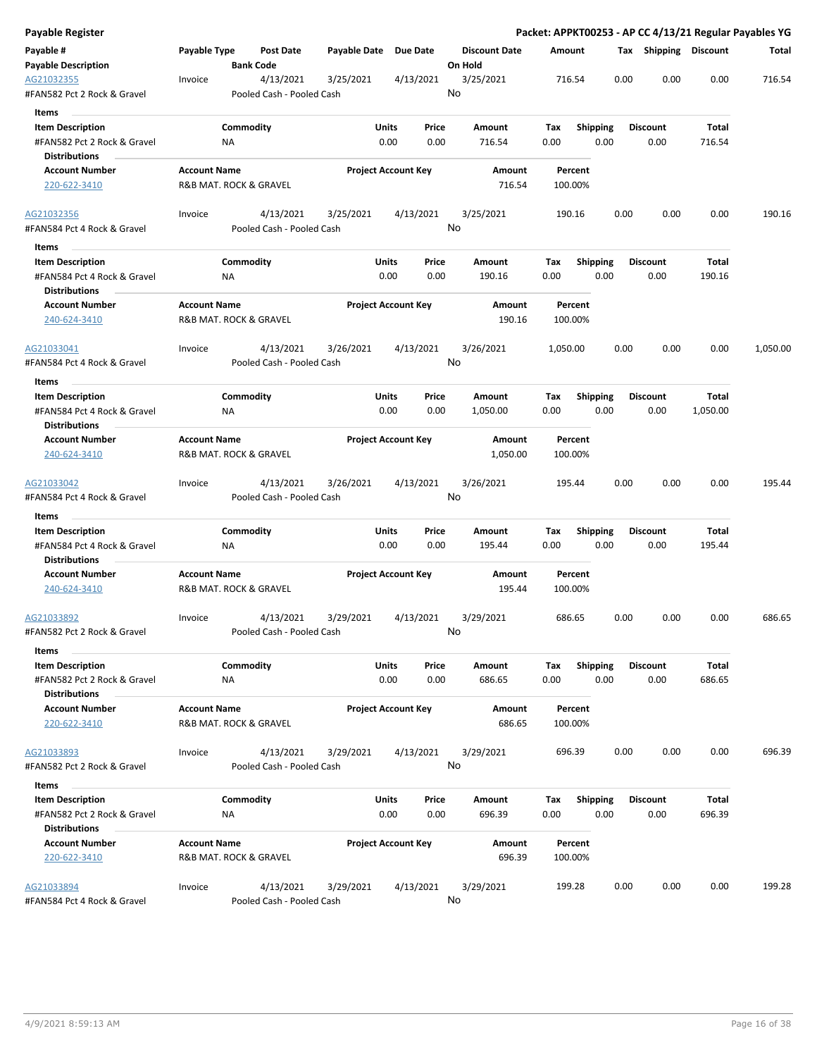| Payable Register                                    |                                               |                  |                                        |                       |                            |           |                         |             |                    |      |      |                       |          | Packet: APPKT00253 - AP CC 4/13/21 Regular Payables YG |
|-----------------------------------------------------|-----------------------------------------------|------------------|----------------------------------------|-----------------------|----------------------------|-----------|-------------------------|-------------|--------------------|------|------|-----------------------|----------|--------------------------------------------------------|
| Payable #                                           | Payable Type                                  |                  | <b>Post Date</b>                       | Payable Date Due Date |                            |           | <b>Discount Date</b>    |             | Amount             |      |      | Tax Shipping Discount |          | Total                                                  |
| <b>Payable Description</b>                          |                                               | <b>Bank Code</b> |                                        |                       |                            |           | On Hold                 |             |                    |      |      |                       |          |                                                        |
| AG21032355<br>#FAN582 Pct 2 Rock & Gravel           | Invoice                                       |                  | 4/13/2021<br>Pooled Cash - Pooled Cash | 3/25/2021             |                            | 4/13/2021 | 3/25/2021<br>No         |             | 716.54             |      | 0.00 | 0.00                  | 0.00     | 716.54                                                 |
| Items                                               |                                               |                  |                                        |                       |                            |           |                         |             |                    |      |      |                       |          |                                                        |
| <b>Item Description</b>                             |                                               | Commodity        |                                        |                       | Units                      | Price     | Amount                  | Tax         | <b>Shipping</b>    |      |      | <b>Discount</b>       | Total    |                                                        |
| #FAN582 Pct 2 Rock & Gravel                         |                                               | ΝA               |                                        |                       | 0.00                       | 0.00      | 716.54                  | 0.00        |                    | 0.00 |      | 0.00                  | 716.54   |                                                        |
| <b>Distributions</b>                                |                                               |                  |                                        |                       |                            |           |                         |             |                    |      |      |                       |          |                                                        |
| <b>Account Number</b>                               | <b>Account Name</b>                           |                  |                                        |                       | <b>Project Account Key</b> |           | Amount                  |             | Percent            |      |      |                       |          |                                                        |
| 220-622-3410                                        | R&B MAT. ROCK & GRAVEL                        |                  |                                        |                       |                            |           | 716.54                  |             | 100.00%            |      |      |                       |          |                                                        |
| AG21032356                                          | Invoice                                       |                  | 4/13/2021                              | 3/25/2021             |                            | 4/13/2021 | 3/25/2021               |             | 190.16             |      | 0.00 | 0.00                  | 0.00     | 190.16                                                 |
| #FAN584 Pct 4 Rock & Gravel<br>Items                |                                               |                  | Pooled Cash - Pooled Cash              |                       |                            |           | No                      |             |                    |      |      |                       |          |                                                        |
| <b>Item Description</b>                             |                                               | Commodity        |                                        |                       | Units                      | Price     | Amount                  | Tax         | <b>Shipping</b>    |      |      | <b>Discount</b>       | Total    |                                                        |
| #FAN584 Pct 4 Rock & Gravel                         |                                               | NA               |                                        |                       | 0.00                       | 0.00      | 190.16                  | 0.00        |                    | 0.00 |      | 0.00                  | 190.16   |                                                        |
| <b>Distributions</b>                                |                                               |                  |                                        |                       |                            |           |                         |             |                    |      |      |                       |          |                                                        |
| <b>Account Number</b><br>240-624-3410               | <b>Account Name</b><br>R&B MAT. ROCK & GRAVEL |                  |                                        |                       | <b>Project Account Key</b> |           | <b>Amount</b><br>190.16 |             | Percent<br>100.00% |      |      |                       |          |                                                        |
| AG21033041                                          | Invoice                                       |                  | 4/13/2021                              | 3/26/2021             |                            | 4/13/2021 | 3/26/2021               | 1,050.00    |                    |      | 0.00 | 0.00                  | 0.00     | 1,050.00                                               |
| #FAN584 Pct 4 Rock & Gravel                         |                                               |                  | Pooled Cash - Pooled Cash              |                       |                            |           | No                      |             |                    |      |      |                       |          |                                                        |
|                                                     |                                               |                  |                                        |                       |                            |           |                         |             |                    |      |      |                       |          |                                                        |
| Items                                               |                                               |                  |                                        |                       |                            |           |                         |             |                    |      |      |                       |          |                                                        |
| <b>Item Description</b>                             |                                               | Commodity        |                                        |                       | Units                      | Price     | <b>Amount</b>           | Tax         | <b>Shipping</b>    | 0.00 |      | <b>Discount</b>       | Total    |                                                        |
| #FAN584 Pct 4 Rock & Gravel<br><b>Distributions</b> |                                               | ΝA               |                                        |                       | 0.00                       | 0.00      | 1,050.00                | 0.00        |                    |      |      | 0.00                  | 1,050.00 |                                                        |
| <b>Account Number</b>                               | <b>Account Name</b>                           |                  |                                        |                       | <b>Project Account Key</b> |           | Amount                  |             | Percent            |      |      |                       |          |                                                        |
| 240-624-3410                                        | R&B MAT. ROCK & GRAVEL                        |                  |                                        |                       |                            |           | 1,050.00                |             | 100.00%            |      |      |                       |          |                                                        |
| AG21033042<br>#FAN584 Pct 4 Rock & Gravel           | Invoice                                       |                  | 4/13/2021<br>Pooled Cash - Pooled Cash | 3/26/2021             |                            | 4/13/2021 | 3/26/2021<br>No         |             | 195.44             |      | 0.00 | 0.00                  | 0.00     | 195.44                                                 |
| Items                                               |                                               |                  |                                        |                       |                            |           |                         |             |                    |      |      |                       |          |                                                        |
| <b>Item Description</b>                             |                                               | Commodity        |                                        |                       | Units                      | Price     | Amount                  | Tax         | Shipping           |      |      | <b>Discount</b>       | Total    |                                                        |
| #FAN584 Pct 4 Rock & Gravel                         |                                               | ΝA               |                                        |                       | 0.00                       | 0.00      | 195.44                  | 0.00        |                    | 0.00 |      | 0.00                  | 195.44   |                                                        |
| <b>Distributions</b>                                |                                               |                  |                                        |                       |                            |           |                         |             |                    |      |      |                       |          |                                                        |
| <b>Account Number</b>                               | <b>Account Name</b>                           |                  |                                        |                       | <b>Project Account Key</b> |           | Amount                  |             | Percent            |      |      |                       |          |                                                        |
| 240-624-3410                                        | R&B MAT. ROCK & GRAVEL                        |                  |                                        |                       |                            |           | 195.44                  |             | 100.00%            |      |      |                       |          |                                                        |
| AG21033892                                          | Invoice                                       |                  | 4/13/2021                              | 3/29/2021             |                            | 4/13/2021 | 3/29/2021               |             | 686.65             |      | 0.00 | 0.00                  | 0.00     | 686.65                                                 |
| #FAN582 Pct 2 Rock & Gravel                         |                                               |                  | Pooled Cash - Pooled Cash              |                       |                            |           | No                      |             |                    |      |      |                       |          |                                                        |
| Items<br><b>Item Description</b>                    |                                               | Commodity        |                                        |                       | Units                      | Price     |                         |             | Shipping           |      |      | <b>Discount</b>       | Total    |                                                        |
| #FAN582 Pct 2 Rock & Gravel                         |                                               | NA               |                                        |                       | 0.00                       | 0.00      | Amount<br>686.65        | Tax<br>0.00 |                    | 0.00 |      | 0.00                  | 686.65   |                                                        |
| <b>Distributions</b>                                |                                               |                  |                                        |                       |                            |           |                         |             |                    |      |      |                       |          |                                                        |
| <b>Account Number</b>                               | <b>Account Name</b>                           |                  |                                        |                       | <b>Project Account Key</b> |           | Amount                  |             | Percent            |      |      |                       |          |                                                        |
| 220-622-3410                                        | R&B MAT. ROCK & GRAVEL                        |                  |                                        |                       |                            |           | 686.65                  |             | 100.00%            |      |      |                       |          |                                                        |
| AG21033893                                          | Invoice                                       |                  | 4/13/2021                              | 3/29/2021             |                            | 4/13/2021 | 3/29/2021               |             | 696.39             |      | 0.00 | 0.00                  | 0.00     | 696.39                                                 |
| #FAN582 Pct 2 Rock & Gravel                         |                                               |                  | Pooled Cash - Pooled Cash              |                       |                            |           | No                      |             |                    |      |      |                       |          |                                                        |
| Items                                               |                                               |                  |                                        |                       |                            |           |                         |             |                    |      |      |                       |          |                                                        |
| <b>Item Description</b>                             |                                               | Commodity        |                                        |                       | Units                      | Price     | Amount                  | Tax         | <b>Shipping</b>    |      |      | <b>Discount</b>       | Total    |                                                        |
| #FAN582 Pct 2 Rock & Gravel                         |                                               | ΝA               |                                        |                       | 0.00                       | 0.00      | 696.39                  | 0.00        |                    | 0.00 |      | 0.00                  | 696.39   |                                                        |
| <b>Distributions</b>                                |                                               |                  |                                        |                       |                            |           |                         |             |                    |      |      |                       |          |                                                        |
| <b>Account Number</b>                               | <b>Account Name</b>                           |                  |                                        |                       | <b>Project Account Key</b> |           | Amount                  |             | Percent            |      |      |                       |          |                                                        |
| 220-622-3410                                        | R&B MAT. ROCK & GRAVEL                        |                  |                                        |                       |                            |           | 696.39                  |             | 100.00%            |      |      |                       |          |                                                        |
| AG21033894                                          | Invoice                                       |                  | 4/13/2021                              | 3/29/2021             |                            | 4/13/2021 | 3/29/2021               |             | 199.28             |      | 0.00 | 0.00                  | 0.00     | 199.28                                                 |
| #FAN584 Pct 4 Rock & Gravel                         |                                               |                  | Pooled Cash - Pooled Cash              |                       |                            |           | No                      |             |                    |      |      |                       |          |                                                        |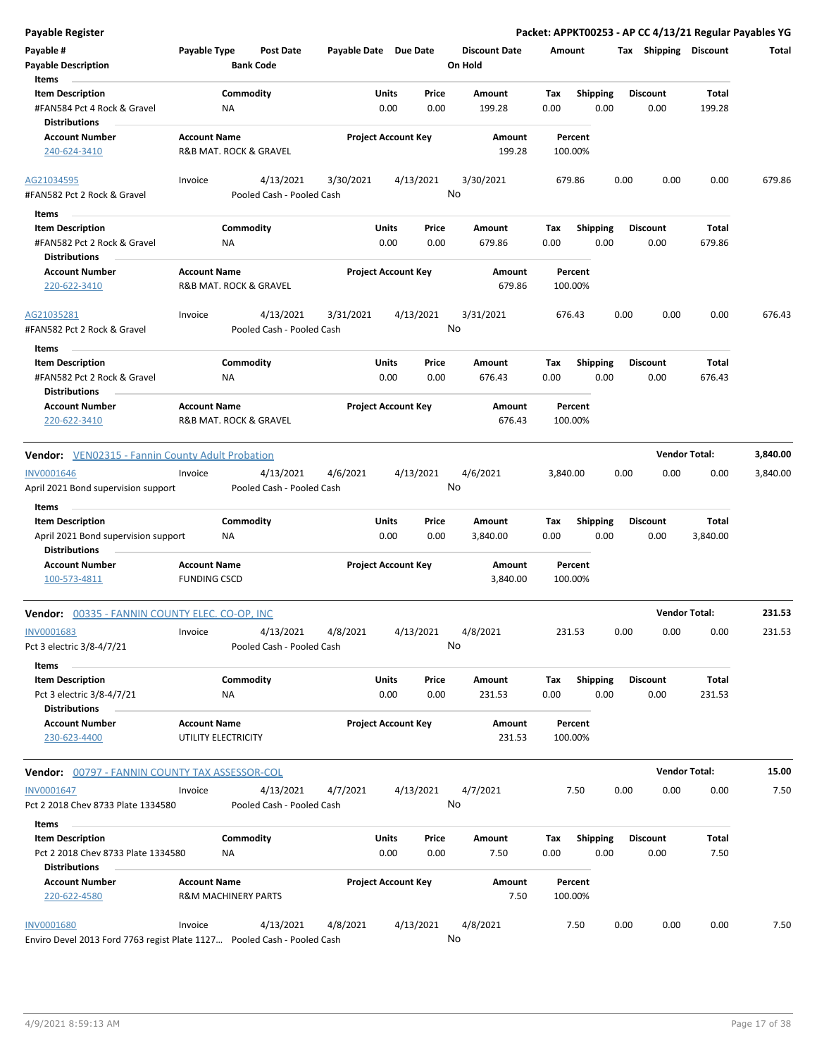| Payable #                                                               | Payable Type                   | <b>Post Date</b>          | Payable Date Due Date |                            |           | <b>Discount Date</b> | Amount   |                 |      | Tax Shipping Discount |                      | Total    |
|-------------------------------------------------------------------------|--------------------------------|---------------------------|-----------------------|----------------------------|-----------|----------------------|----------|-----------------|------|-----------------------|----------------------|----------|
| <b>Payable Description</b>                                              |                                | <b>Bank Code</b>          |                       |                            |           | On Hold              |          |                 |      |                       |                      |          |
| Items                                                                   |                                |                           |                       |                            |           |                      |          |                 |      |                       |                      |          |
| <b>Item Description</b>                                                 |                                | Commodity                 |                       | Units                      | Price     | Amount               | Tax      | <b>Shipping</b> |      | <b>Discount</b>       | Total                |          |
| #FAN584 Pct 4 Rock & Gravel<br><b>Distributions</b>                     | ΝA                             |                           |                       | 0.00                       | 0.00      | 199.28               | 0.00     | 0.00            |      | 0.00                  | 199.28               |          |
| <b>Account Number</b>                                                   | <b>Account Name</b>            |                           |                       | <b>Project Account Key</b> |           | Amount               | Percent  |                 |      |                       |                      |          |
| 240-624-3410                                                            | R&B MAT. ROCK & GRAVEL         |                           |                       |                            |           | 199.28               | 100.00%  |                 |      |                       |                      |          |
| AG21034595                                                              | Invoice                        | 4/13/2021                 | 3/30/2021             |                            | 4/13/2021 | 3/30/2021            | 679.86   |                 | 0.00 | 0.00                  | 0.00                 | 679.86   |
| #FAN582 Pct 2 Rock & Gravel                                             |                                | Pooled Cash - Pooled Cash |                       |                            |           | No                   |          |                 |      |                       |                      |          |
| Items                                                                   |                                |                           |                       |                            |           |                      |          |                 |      |                       |                      |          |
| <b>Item Description</b>                                                 |                                | Commodity                 |                       | Units                      | Price     | Amount               | Tax      | <b>Shipping</b> |      | <b>Discount</b>       | Total                |          |
| #FAN582 Pct 2 Rock & Gravel                                             | NA                             |                           |                       | 0.00                       | 0.00      | 679.86               | 0.00     | 0.00            |      | 0.00                  | 679.86               |          |
| Distributions                                                           |                                |                           |                       |                            |           |                      |          |                 |      |                       |                      |          |
| <b>Account Number</b>                                                   | <b>Account Name</b>            |                           |                       | <b>Project Account Key</b> |           | Amount               | Percent  |                 |      |                       |                      |          |
| 220-622-3410                                                            | R&B MAT. ROCK & GRAVEL         |                           |                       |                            |           | 679.86               | 100.00%  |                 |      |                       |                      |          |
| AG21035281                                                              | Invoice                        | 4/13/2021                 | 3/31/2021             |                            | 4/13/2021 | 3/31/2021            | 676.43   |                 | 0.00 | 0.00                  | 0.00                 | 676.43   |
| #FAN582 Pct 2 Rock & Gravel                                             |                                | Pooled Cash - Pooled Cash |                       |                            |           | No                   |          |                 |      |                       |                      |          |
| Items                                                                   |                                |                           |                       |                            |           |                      |          |                 |      |                       |                      |          |
| <b>Item Description</b>                                                 |                                | Commodity                 |                       | Units                      | Price     | Amount               | Tax      | <b>Shipping</b> |      | <b>Discount</b>       | <b>Total</b>         |          |
| #FAN582 Pct 2 Rock & Gravel                                             | ΝA                             |                           |                       | 0.00                       | 0.00      | 676.43               | 0.00     | 0.00            |      | 0.00                  | 676.43               |          |
| <b>Distributions</b>                                                    |                                |                           |                       |                            |           |                      |          |                 |      |                       |                      |          |
| <b>Account Number</b>                                                   | <b>Account Name</b>            |                           |                       | <b>Project Account Key</b> |           | Amount               | Percent  |                 |      |                       |                      |          |
| 220-622-3410                                                            | R&B MAT. ROCK & GRAVEL         |                           |                       |                            |           | 676.43               | 100.00%  |                 |      |                       |                      |          |
| <b>Vendor:</b> VEN02315 - Fannin County Adult Probation                 |                                |                           |                       |                            |           |                      |          |                 |      |                       | <b>Vendor Total:</b> | 3,840.00 |
| <b>INV0001646</b>                                                       | Invoice                        | 4/13/2021                 | 4/6/2021              |                            | 4/13/2021 | 4/6/2021             | 3,840.00 |                 | 0.00 | 0.00                  | 0.00                 | 3,840.00 |
| April 2021 Bond supervision support                                     |                                | Pooled Cash - Pooled Cash |                       |                            |           | No                   |          |                 |      |                       |                      |          |
| Items                                                                   |                                |                           |                       |                            |           |                      |          |                 |      |                       |                      |          |
| <b>Item Description</b>                                                 |                                | Commodity                 |                       | Units                      | Price     | Amount               | Tax      | Shipping        |      | <b>Discount</b>       | Total                |          |
| April 2021 Bond supervision support<br><b>Distributions</b>             | NA                             |                           |                       | 0.00                       | 0.00      | 3,840.00             | 0.00     | 0.00            |      | 0.00                  | 3,840.00             |          |
| Account Number                                                          | <b>Account Name</b>            |                           |                       | <b>Project Account Key</b> |           | Amount               | Percent  |                 |      |                       |                      |          |
| 100-573-4811                                                            | <b>FUNDING CSCD</b>            |                           |                       |                            |           | 3,840.00             | 100.00%  |                 |      |                       |                      |          |
| Vendor: 00335 - FANNIN COUNTY ELEC. CO-OP, INC                          |                                |                           |                       |                            |           |                      |          |                 |      |                       | <b>Vendor Total:</b> | 231.53   |
| INV0001683                                                              | Invoice                        | 4/13/2021                 | 4/8/2021              |                            | 4/13/2021 | 4/8/2021             | 231.53   |                 | 0.00 | 0.00                  | 0.00                 | 231.53   |
| Pct 3 electric 3/8-4/7/21                                               |                                | Pooled Cash - Pooled Cash |                       |                            |           | No                   |          |                 |      |                       |                      |          |
| Items                                                                   |                                |                           |                       |                            |           |                      |          |                 |      |                       |                      |          |
| <b>Item Description</b>                                                 |                                | Commodity                 |                       | <b>Units</b>               | Price     | Amount               | Tax      | <b>Shipping</b> |      | <b>Discount</b>       | Total                |          |
| Pct 3 electric 3/8-4/7/21<br><b>Distributions</b>                       | ΝA                             |                           |                       | 0.00                       | 0.00      | 231.53               | 0.00     | 0.00            |      | 0.00                  | 231.53               |          |
| <b>Account Number</b>                                                   | <b>Account Name</b>            |                           |                       | <b>Project Account Key</b> |           | Amount               | Percent  |                 |      |                       |                      |          |
| 230-623-4400                                                            | UTILITY ELECTRICITY            |                           |                       |                            |           | 231.53               | 100.00%  |                 |      |                       |                      |          |
| <b>Vendor: 00797 - FANNIN COUNTY TAX ASSESSOR-COL</b>                   |                                |                           |                       |                            |           |                      |          |                 |      |                       | <b>Vendor Total:</b> | 15.00    |
| <b>INV0001647</b>                                                       | Invoice                        | 4/13/2021                 | 4/7/2021              |                            | 4/13/2021 | 4/7/2021             | 7.50     |                 | 0.00 | 0.00                  | 0.00                 | 7.50     |
| Pct 2 2018 Chev 8733 Plate 1334580                                      |                                | Pooled Cash - Pooled Cash |                       |                            |           | No                   |          |                 |      |                       |                      |          |
| Items                                                                   |                                |                           |                       |                            |           |                      |          |                 |      |                       |                      |          |
| <b>Item Description</b>                                                 |                                | Commodity                 |                       | Units                      | Price     | Amount               | Tax      | <b>Shipping</b> |      | <b>Discount</b>       | Total                |          |
| Pct 2 2018 Chev 8733 Plate 1334580<br>Distributions                     | ΝA                             |                           |                       | 0.00                       | 0.00      | 7.50                 | 0.00     | 0.00            |      | 0.00                  | 7.50                 |          |
| <b>Account Number</b>                                                   | <b>Account Name</b>            |                           |                       | <b>Project Account Key</b> |           | Amount               | Percent  |                 |      |                       |                      |          |
| 220-622-4580                                                            | <b>R&amp;M MACHINERY PARTS</b> |                           |                       |                            |           | 7.50                 | 100.00%  |                 |      |                       |                      |          |
| <b>INV0001680</b>                                                       | Invoice                        | 4/13/2021                 | 4/8/2021              |                            | 4/13/2021 | 4/8/2021             | 7.50     |                 | 0.00 | 0.00                  | 0.00                 | 7.50     |
| Enviro Devel 2013 Ford 7763 regist Plate 1127 Pooled Cash - Pooled Cash |                                |                           |                       |                            |           | No                   |          |                 |      |                       |                      |          |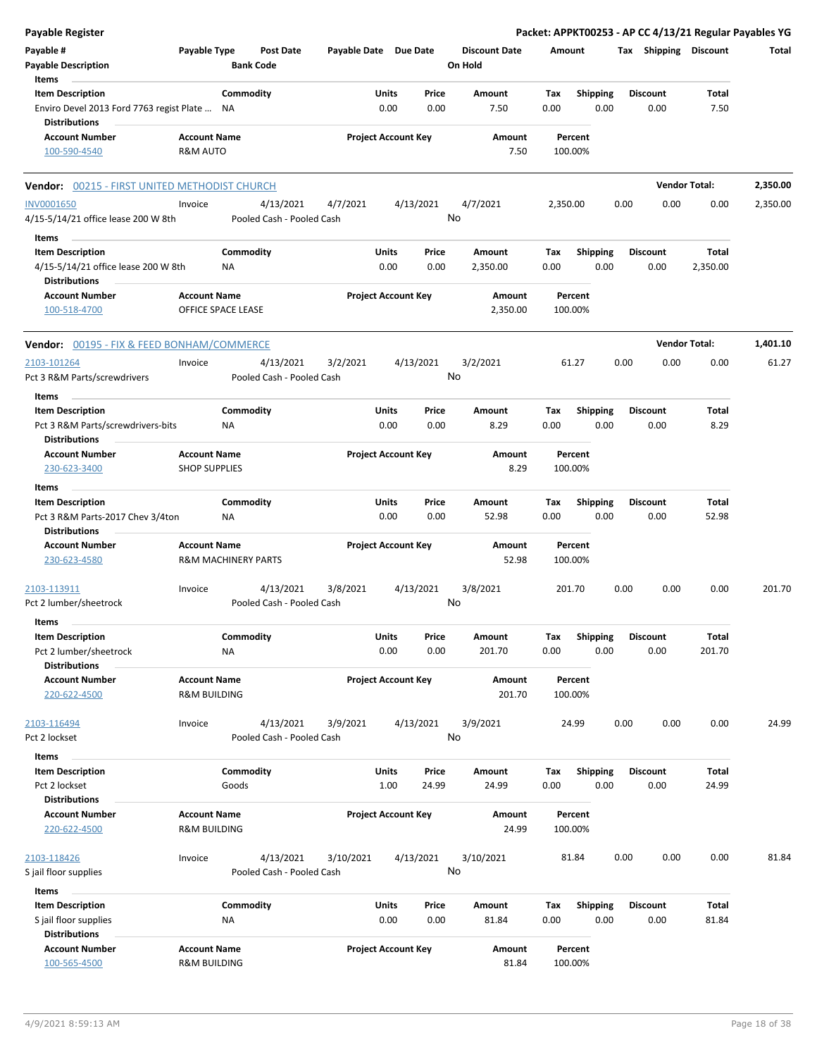|          | Packet: APPKT00253 - AP CC 4/13/21 Regular Payables YG |                         |      |                         |                    |             |                                 |                 |                            |                                        |                                                       | <b>Payable Register</b>                                                                |
|----------|--------------------------------------------------------|-------------------------|------|-------------------------|--------------------|-------------|---------------------------------|-----------------|----------------------------|----------------------------------------|-------------------------------------------------------|----------------------------------------------------------------------------------------|
| Total    |                                                        | Tax Shipping Discount   |      |                         | Amount             |             | <b>Discount Date</b><br>On Hold |                 | Payable Date Due Date      | <b>Post Date</b><br><b>Bank Code</b>   | Payable Type                                          | Payable #<br><b>Payable Description</b>                                                |
|          | Total                                                  | <b>Discount</b>         |      |                         |                    | Tax         | Amount                          | Price           | Units                      | Commodity                              |                                                       | Items<br><b>Item Description</b>                                                       |
|          | 7.50                                                   | 0.00                    |      | <b>Shipping</b><br>0.00 |                    | 0.00        | 7.50                            | 0.00            | 0.00                       |                                        | ΝA                                                    | Enviro Devel 2013 Ford 7763 regist Plate<br><b>Distributions</b>                       |
|          |                                                        |                         |      |                         | Percent            |             | Amount                          |                 | <b>Project Account Key</b> |                                        | <b>Account Name</b>                                   | <b>Account Number</b>                                                                  |
|          |                                                        |                         |      |                         | 100.00%            |             | 7.50                            |                 |                            |                                        | R&M AUTO                                              | 100-590-4540                                                                           |
| 2,350.00 |                                                        | <b>Vendor Total:</b>    |      |                         |                    |             |                                 |                 |                            |                                        |                                                       | Vendor: 00215 - FIRST UNITED METHODIST CHURCH                                          |
| 2,350.00 | 0.00                                                   | 0.00                    | 0.00 |                         | 2,350.00           |             | 4/7/2021                        | 4/13/2021<br>No | 4/7/2021                   | 4/13/2021<br>Pooled Cash - Pooled Cash | Invoice                                               | <b>INV0001650</b><br>4/15-5/14/21 office lease 200 W 8th                               |
|          |                                                        |                         |      |                         |                    |             |                                 |                 |                            |                                        |                                                       | Items                                                                                  |
|          | Total<br>2,350.00                                      | <b>Discount</b><br>0.00 |      | <b>Shipping</b><br>0.00 |                    | Tax<br>0.00 | Amount<br>2,350.00              | Price<br>0.00   | Units<br>0.00              | Commodity                              | ΝA                                                    | <b>Item Description</b><br>4/15-5/14/21 office lease 200 W 8th<br><b>Distributions</b> |
|          |                                                        |                         |      |                         | Percent<br>100.00% |             | Amount<br>2,350.00              |                 | <b>Project Account Key</b> |                                        | <b>Account Name</b><br>OFFICE SPACE LEASE             | <b>Account Number</b><br>100-518-4700                                                  |
| 1,401.10 |                                                        | <b>Vendor Total:</b>    |      |                         |                    |             |                                 |                 |                            |                                        |                                                       | <b>Vendor: 00195 - FIX &amp; FEED BONHAM/COMMERCE</b>                                  |
| 61.27    | 0.00                                                   | 0.00                    | 0.00 |                         | 61.27              |             | 3/2/2021                        | 4/13/2021<br>No | 3/2/2021                   | 4/13/2021<br>Pooled Cash - Pooled Cash | Invoice                                               | 2103-101264<br>Pct 3 R&M Parts/screwdrivers                                            |
|          |                                                        |                         |      |                         |                    |             |                                 |                 |                            |                                        |                                                       | Items                                                                                  |
|          | Total<br>8.29                                          | <b>Discount</b><br>0.00 |      | <b>Shipping</b><br>0.00 |                    | Tax<br>0.00 | Amount<br>8.29                  | Price<br>0.00   | Units<br>0.00              | Commodity                              | ΝA                                                    | <b>Item Description</b><br>Pct 3 R&M Parts/screwdrivers-bits<br><b>Distributions</b>   |
|          |                                                        |                         |      |                         | Percent<br>100.00% |             | Amount<br>8.29                  |                 | <b>Project Account Key</b> |                                        | <b>Account Name</b><br><b>SHOP SUPPLIES</b>           | <b>Account Number</b><br>230-623-3400                                                  |
|          |                                                        |                         |      |                         |                    |             |                                 |                 |                            |                                        |                                                       | Items                                                                                  |
|          | Total                                                  | <b>Discount</b>         |      | <b>Shipping</b>         |                    | Tax         | Amount                          | Price           | Units                      | Commodity                              |                                                       | <b>Item Description</b>                                                                |
|          | 52.98                                                  | 0.00                    |      | 0.00                    |                    | 0.00        | 52.98                           | 0.00            | 0.00                       |                                        | <b>NA</b>                                             | Pct 3 R&M Parts-2017 Chev 3/4ton<br><b>Distributions</b>                               |
|          |                                                        |                         |      |                         | Percent<br>100.00% |             | Amount<br>52.98                 |                 | <b>Project Account Key</b> |                                        | <b>Account Name</b><br><b>R&amp;M MACHINERY PARTS</b> | <b>Account Number</b><br>230-623-4580                                                  |
| 201.70   | 0.00                                                   | 0.00                    | 0.00 |                         | 201.70             |             | 3/8/2021                        | 4/13/2021<br>No | 3/8/2021                   | 4/13/2021<br>Pooled Cash - Pooled Cash | Invoice                                               | 2103-113911<br>Pct 2 lumber/sheetrock                                                  |
|          | Total                                                  | <b>Discount</b>         |      |                         |                    |             | Amount                          | Price           | Units                      | Commodity                              |                                                       | Items<br><b>Item Description</b>                                                       |
|          | 201.70                                                 | 0.00                    |      | Shipping<br>0.00        |                    | Tax<br>0.00 | 201.70                          | 0.00            | 0.00                       |                                        | NA                                                    | Pct 2 lumber/sheetrock<br><b>Distributions</b>                                         |
|          |                                                        |                         |      |                         | Percent<br>100.00% |             | Amount<br>201.70                |                 | <b>Project Account Key</b> |                                        | <b>Account Name</b><br><b>R&amp;M BUILDING</b>        | <b>Account Number</b><br>220-622-4500                                                  |
| 24.99    | 0.00                                                   | 0.00                    | 0.00 |                         | 24.99              |             | 3/9/2021                        | 4/13/2021<br>No | 3/9/2021                   | 4/13/2021<br>Pooled Cash - Pooled Cash | Invoice                                               | 2103-116494<br>Pct 2 lockset                                                           |
|          |                                                        |                         |      |                         |                    |             |                                 |                 |                            |                                        |                                                       | Items                                                                                  |
|          | Total                                                  | <b>Discount</b>         |      | <b>Shipping</b>         |                    | Tax         | Amount                          | Price           | Units                      | Commodity                              |                                                       | <b>Item Description</b><br>Pct 2 lockset                                               |
|          | 24.99                                                  | 0.00                    |      | 0.00                    |                    | 0.00        | 24.99                           | 24.99           | 1.00                       |                                        | Goods                                                 | <b>Distributions</b>                                                                   |
|          |                                                        |                         |      |                         | Percent            |             | Amount                          |                 | <b>Project Account Key</b> |                                        | <b>Account Name</b>                                   | <b>Account Number</b>                                                                  |
|          |                                                        |                         |      |                         | 100.00%            |             | 24.99                           |                 |                            |                                        | R&M BUILDING                                          | 220-622-4500                                                                           |
| 81.84    | 0.00                                                   | 0.00                    | 0.00 |                         | 81.84              |             | 3/10/2021                       | 4/13/2021       | 3/10/2021                  | 4/13/2021                              | Invoice                                               | 2103-118426                                                                            |
|          |                                                        |                         |      |                         |                    |             |                                 | No              |                            | Pooled Cash - Pooled Cash              |                                                       | S jail floor supplies                                                                  |
|          |                                                        |                         |      |                         |                    |             |                                 |                 |                            |                                        |                                                       | Items                                                                                  |
|          | Total<br>81.84                                         | <b>Discount</b><br>0.00 |      | Shipping<br>0.00        |                    | Tax<br>0.00 | Amount<br>81.84                 | Price<br>0.00   | Units<br>0.00              | Commodity                              | NA                                                    | <b>Item Description</b><br>S jail floor supplies                                       |
|          |                                                        |                         |      |                         | Percent<br>100.00% |             | Amount<br>81.84                 |                 | <b>Project Account Key</b> |                                        | <b>Account Name</b><br>R&M BUILDING                   | <b>Distributions</b><br><b>Account Number</b><br>100-565-4500                          |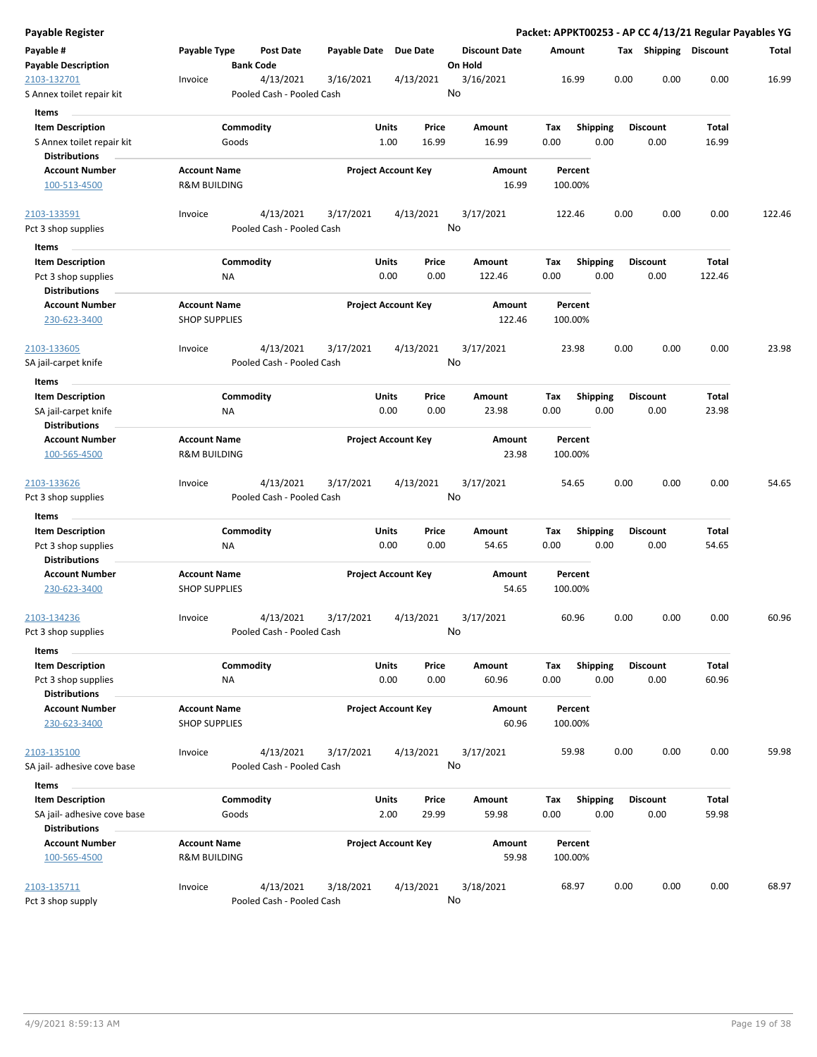| Payable Register                            |                                             |                                        |              |                            |                                 |                    |                 | Packet: APPKT00253 - AP CC 4/13/21 Regular Payables YG |        |        |
|---------------------------------------------|---------------------------------------------|----------------------------------------|--------------|----------------------------|---------------------------------|--------------------|-----------------|--------------------------------------------------------|--------|--------|
| Payable #<br><b>Payable Description</b>     | Payable Type                                | <b>Post Date</b><br><b>Bank Code</b>   | Payable Date | Due Date                   | <b>Discount Date</b><br>On Hold | Amount             |                 | Tax Shipping Discount                                  |        | Total  |
| 2103-132701<br>S Annex toilet repair kit    | Invoice                                     | 4/13/2021<br>Pooled Cash - Pooled Cash | 3/16/2021    | 4/13/2021                  | 3/16/2021<br>No                 | 16.99              |                 | 0.00<br>0.00                                           | 0.00   | 16.99  |
| <b>Items</b>                                |                                             |                                        |              |                            |                                 |                    |                 |                                                        |        |        |
| <b>Item Description</b>                     |                                             | Commodity                              | Units        | Price                      | Amount                          | Tax                | <b>Shipping</b> | <b>Discount</b>                                        | Total  |        |
| S Annex toilet repair kit                   |                                             | Goods                                  |              | 1.00<br>16.99              | 16.99                           | 0.00               | 0.00            | 0.00                                                   | 16.99  |        |
| <b>Distributions</b>                        |                                             |                                        |              |                            |                                 |                    |                 |                                                        |        |        |
| <b>Account Number</b>                       | <b>Account Name</b>                         |                                        |              | <b>Project Account Key</b> | Amount                          | Percent            |                 |                                                        |        |        |
| 100-513-4500                                | <b>R&amp;M BUILDING</b>                     |                                        |              |                            | 16.99                           | 100.00%            |                 |                                                        |        |        |
| 2103-133591                                 | Invoice                                     | 4/13/2021                              | 3/17/2021    | 4/13/2021                  | 3/17/2021                       | 122.46             |                 | 0.00<br>0.00                                           | 0.00   | 122.46 |
| Pct 3 shop supplies                         |                                             | Pooled Cash - Pooled Cash              |              |                            | No                              |                    |                 |                                                        |        |        |
| Items<br><b>Item Description</b>            |                                             | Commodity                              | Units        | Price                      | Amount                          | Tax                | <b>Shipping</b> | <b>Discount</b>                                        | Total  |        |
| Pct 3 shop supplies<br><b>Distributions</b> | NA                                          |                                        |              | 0.00<br>0.00               | 122.46                          | 0.00               | 0.00            | 0.00                                                   | 122.46 |        |
| <b>Account Number</b><br>230-623-3400       | <b>Account Name</b><br><b>SHOP SUPPLIES</b> |                                        |              | <b>Project Account Key</b> | Amount<br>122.46                | Percent<br>100.00% |                 |                                                        |        |        |
| 2103-133605                                 | Invoice                                     | 4/13/2021                              | 3/17/2021    | 4/13/2021                  | 3/17/2021                       | 23.98              |                 | 0.00<br>0.00                                           | 0.00   | 23.98  |
| SA jail-carpet knife                        |                                             | Pooled Cash - Pooled Cash              |              |                            | No                              |                    |                 |                                                        |        |        |
| Items                                       |                                             |                                        |              |                            |                                 |                    |                 |                                                        |        |        |
| <b>Item Description</b>                     |                                             | Commodity                              | Units        | Price                      | Amount                          | Tax                | Shipping        | <b>Discount</b>                                        | Total  |        |
| SA jail-carpet knife                        | ΝA                                          |                                        |              | 0.00<br>0.00               | 23.98                           | 0.00               | 0.00            | 0.00                                                   | 23.98  |        |
| <b>Distributions</b>                        |                                             |                                        |              |                            |                                 |                    |                 |                                                        |        |        |
| <b>Account Number</b>                       | <b>Account Name</b>                         |                                        |              | <b>Project Account Key</b> | Amount                          | Percent            |                 |                                                        |        |        |
| 100-565-4500                                | <b>R&amp;M BUILDING</b>                     |                                        |              |                            | 23.98                           | 100.00%            |                 |                                                        |        |        |
| 2103-133626                                 | Invoice                                     | 4/13/2021                              | 3/17/2021    | 4/13/2021                  | 3/17/2021                       | 54.65              |                 | 0.00<br>0.00                                           | 0.00   | 54.65  |
| Pct 3 shop supplies                         |                                             | Pooled Cash - Pooled Cash              |              |                            | No                              |                    |                 |                                                        |        |        |
| Items                                       |                                             |                                        |              |                            |                                 |                    |                 |                                                        |        |        |
| <b>Item Description</b>                     |                                             | Commodity                              | Units        | Price                      | Amount                          | Tax                | <b>Shipping</b> | <b>Discount</b>                                        | Total  |        |
| Pct 3 shop supplies<br><b>Distributions</b> | ΝA                                          |                                        |              | 0.00<br>0.00               | 54.65                           | 0.00               | 0.00            | 0.00                                                   | 54.65  |        |
| <b>Account Number</b>                       | <b>Account Name</b>                         |                                        |              | <b>Project Account Key</b> | Amount                          | Percent            |                 |                                                        |        |        |
| 230-623-3400                                | <b>SHOP SUPPLIES</b>                        |                                        |              |                            | 54.65                           | 100.00%            |                 |                                                        |        |        |
| 2103-134236                                 | Invoice                                     | 4/13/2021                              | 3/17/2021    | 4/13/2021                  | 3/17/2021                       | 60.96              |                 | 0.00<br>0.00                                           | 0.00   | 60.96  |
| Pct 3 shop supplies                         |                                             | Pooled Cash - Pooled Cash              |              |                            | No                              |                    |                 |                                                        |        |        |
| Items                                       |                                             |                                        |              |                            |                                 |                    |                 |                                                        |        |        |
| <b>Item Description</b>                     |                                             | Commodity                              | Units        | Price                      | Amount                          | Tax                | Shipping        | <b>Discount</b>                                        | Total  |        |
| Pct 3 shop supplies                         | <b>NA</b>                                   |                                        |              | 0.00<br>0.00               | 60.96                           | 0.00               | 0.00            | 0.00                                                   | 60.96  |        |
| <b>Distributions</b>                        |                                             |                                        |              |                            |                                 |                    |                 |                                                        |        |        |
| <b>Account Number</b>                       | <b>Account Name</b>                         |                                        |              | <b>Project Account Key</b> | Amount                          | Percent            |                 |                                                        |        |        |
| 230-623-3400                                | <b>SHOP SUPPLIES</b>                        |                                        |              |                            | 60.96                           | 100.00%            |                 |                                                        |        |        |
| 2103-135100                                 | Invoice                                     | 4/13/2021                              | 3/17/2021    | 4/13/2021                  | 3/17/2021                       | 59.98              |                 | 0.00<br>0.00                                           | 0.00   | 59.98  |
| SA jail- adhesive cove base                 |                                             | Pooled Cash - Pooled Cash              |              |                            | No                              |                    |                 |                                                        |        |        |
| Items                                       |                                             |                                        |              |                            |                                 |                    |                 |                                                        |        |        |
| <b>Item Description</b>                     |                                             | Commodity                              | Units        | Price                      | Amount                          | Tax                | <b>Shipping</b> | <b>Discount</b>                                        | Total  |        |
| SA jail- adhesive cove base                 |                                             | Goods                                  |              | 2.00<br>29.99              | 59.98                           | 0.00               | 0.00            | 0.00                                                   | 59.98  |        |
| <b>Distributions</b>                        |                                             |                                        |              |                            |                                 |                    |                 |                                                        |        |        |
| <b>Account Number</b>                       | <b>Account Name</b>                         |                                        |              | <b>Project Account Key</b> | Amount                          | Percent            |                 |                                                        |        |        |
| 100-565-4500                                | <b>R&amp;M BUILDING</b>                     |                                        |              |                            | 59.98                           | 100.00%            |                 |                                                        |        |        |
|                                             |                                             |                                        |              |                            |                                 |                    |                 |                                                        |        |        |
| 2103-135711<br>Pct 3 shop supply            | Invoice                                     | 4/13/2021<br>Pooled Cash - Pooled Cash | 3/18/2021    | 4/13/2021                  | 3/18/2021<br>No                 | 68.97              |                 | 0.00<br>0.00                                           | 0.00   | 68.97  |
|                                             |                                             |                                        |              |                            |                                 |                    |                 |                                                        |        |        |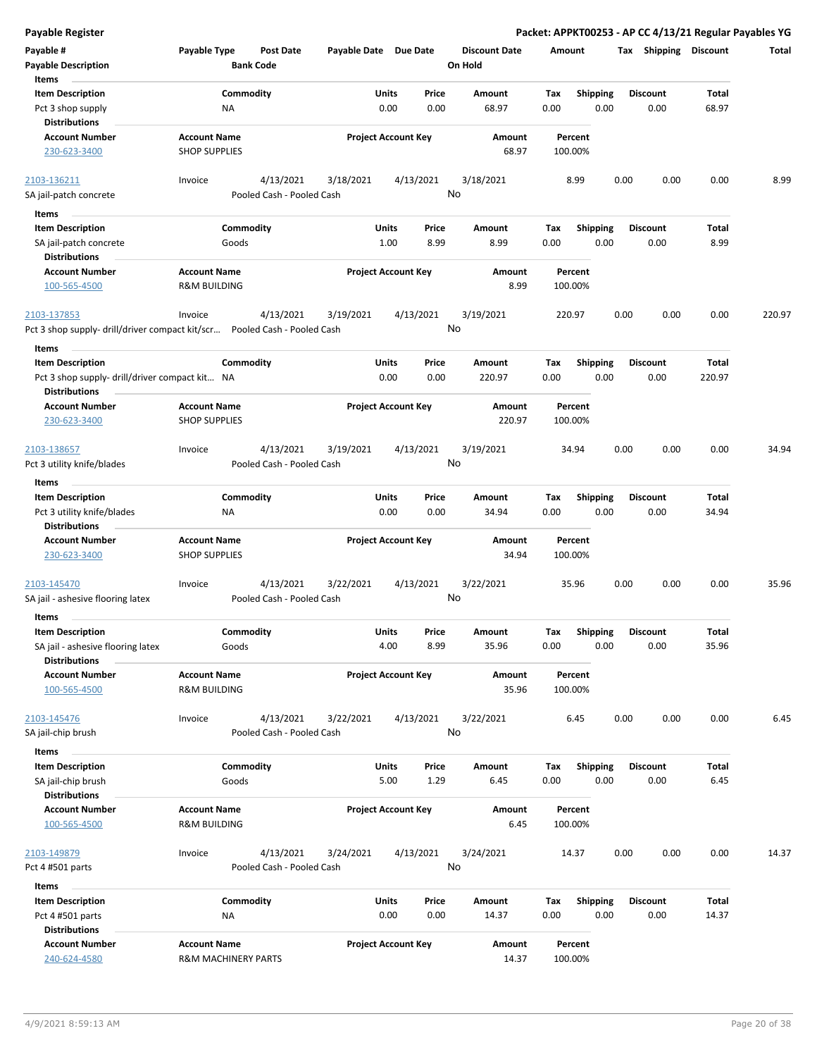| <b>Payable Register</b>                                                                                    |                                                       |                                        |                       |                            |               |                                 |                    |                         |      |                         |                 | Packet: APPKT00253 - AP CC 4/13/21 Regular Payables YG |
|------------------------------------------------------------------------------------------------------------|-------------------------------------------------------|----------------------------------------|-----------------------|----------------------------|---------------|---------------------------------|--------------------|-------------------------|------|-------------------------|-----------------|--------------------------------------------------------|
| Payable #<br><b>Payable Description</b>                                                                    | Payable Type                                          | <b>Post Date</b><br><b>Bank Code</b>   | Payable Date Due Date |                            |               | <b>Discount Date</b><br>On Hold | Amount             |                         |      | Tax Shipping Discount   |                 | Total                                                  |
| Items                                                                                                      |                                                       |                                        |                       |                            |               |                                 |                    |                         |      |                         |                 |                                                        |
| <b>Item Description</b><br>Pct 3 shop supply                                                               | Commodity<br>ΝA                                       |                                        |                       | <b>Units</b><br>0.00       | Price<br>0.00 | Amount<br>68.97                 | Tax<br>0.00        | <b>Shipping</b><br>0.00 |      | <b>Discount</b><br>0.00 | Total<br>68.97  |                                                        |
| <b>Distributions</b><br><b>Account Number</b>                                                              | <b>Account Name</b>                                   |                                        |                       |                            |               |                                 |                    |                         |      |                         |                 |                                                        |
| 230-623-3400                                                                                               | <b>SHOP SUPPLIES</b>                                  |                                        |                       | <b>Project Account Key</b> |               | Amount<br>68.97                 | Percent<br>100.00% |                         |      |                         |                 |                                                        |
| 2103-136211                                                                                                | Invoice                                               | 4/13/2021                              | 3/18/2021             | 4/13/2021                  |               | 3/18/2021                       | 8.99               |                         | 0.00 | 0.00                    | 0.00            | 8.99                                                   |
| SA jail-patch concrete                                                                                     |                                                       | Pooled Cash - Pooled Cash              |                       |                            |               | No                              |                    |                         |      |                         |                 |                                                        |
| Items                                                                                                      |                                                       |                                        |                       |                            |               |                                 |                    |                         |      |                         |                 |                                                        |
| <b>Item Description</b>                                                                                    | Commodity                                             |                                        |                       | Units                      | Price         | Amount                          | Tax                | <b>Shipping</b>         |      | <b>Discount</b>         | Total           |                                                        |
| SA jail-patch concrete<br><b>Distributions</b>                                                             | Goods                                                 |                                        |                       | 1.00                       | 8.99          | 8.99                            | 0.00               | 0.00                    |      | 0.00                    | 8.99            |                                                        |
| <b>Account Number</b><br>100-565-4500                                                                      | <b>Account Name</b><br><b>R&amp;M BUILDING</b>        |                                        |                       | <b>Project Account Key</b> |               | Amount<br>8.99                  | Percent<br>100.00% |                         |      |                         |                 |                                                        |
| 2103-137853<br>Pct 3 shop supply- drill/driver compact kit/scr Pooled Cash - Pooled Cash                   | Invoice                                               | 4/13/2021                              | 3/19/2021             | 4/13/2021                  |               | 3/19/2021<br>No                 | 220.97             |                         | 0.00 | 0.00                    | 0.00            | 220.97                                                 |
|                                                                                                            |                                                       |                                        |                       |                            |               |                                 |                    |                         |      |                         |                 |                                                        |
| Items<br><b>Item Description</b><br>Pct 3 shop supply- drill/driver compact kit NA<br><b>Distributions</b> | Commodity                                             |                                        |                       | Units<br>0.00              | Price<br>0.00 | Amount<br>220.97                | Tax<br>0.00        | <b>Shipping</b><br>0.00 |      | <b>Discount</b><br>0.00 | Total<br>220.97 |                                                        |
| <b>Account Number</b>                                                                                      | <b>Account Name</b>                                   |                                        |                       | <b>Project Account Key</b> |               | Amount                          | Percent            |                         |      |                         |                 |                                                        |
| 230-623-3400                                                                                               | <b>SHOP SUPPLIES</b>                                  |                                        |                       |                            |               | 220.97                          | 100.00%            |                         |      |                         |                 |                                                        |
| 2103-138657                                                                                                | Invoice                                               | 4/13/2021                              | 3/19/2021             | 4/13/2021                  |               | 3/19/2021                       | 34.94              |                         | 0.00 | 0.00                    | 0.00            | 34.94                                                  |
| Pct 3 utility knife/blades                                                                                 |                                                       | Pooled Cash - Pooled Cash              |                       |                            |               | No                              |                    |                         |      |                         |                 |                                                        |
| Items                                                                                                      |                                                       |                                        |                       |                            |               |                                 |                    |                         |      |                         |                 |                                                        |
| <b>Item Description</b>                                                                                    | Commodity                                             |                                        |                       | Units                      | Price         | Amount                          | Tax                | <b>Shipping</b>         |      | <b>Discount</b>         | Total           |                                                        |
| Pct 3 utility knife/blades<br><b>Distributions</b>                                                         | ΝA                                                    |                                        |                       | 0.00                       | 0.00          | 34.94                           | 0.00               | 0.00                    |      | 0.00                    | 34.94           |                                                        |
| <b>Account Number</b><br>230-623-3400                                                                      | <b>Account Name</b><br><b>SHOP SUPPLIES</b>           |                                        |                       | <b>Project Account Key</b> |               | Amount<br>34.94                 | Percent<br>100.00% |                         |      |                         |                 |                                                        |
| 2103-145470                                                                                                | Invoice                                               | 4/13/2021                              | 3/22/2021             | 4/13/2021                  |               | 3/22/2021                       | 35.96              |                         | 0.00 | 0.00                    | 0.00            | 35.96                                                  |
| SA jail - ashesive flooring latex                                                                          |                                                       | Pooled Cash - Pooled Cash              |                       |                            |               | No                              |                    |                         |      |                         |                 |                                                        |
| Items                                                                                                      |                                                       |                                        |                       |                            |               |                                 |                    |                         |      |                         |                 |                                                        |
| <b>Item Description</b>                                                                                    | Commodity                                             |                                        |                       | Units                      | Price         | Amount                          | Tax                | Shipping                |      | <b>Discount</b>         | Total           |                                                        |
| SA jail - ashesive flooring latex<br><b>Distributions</b>                                                  | Goods                                                 |                                        |                       | 4.00                       | 8.99          | 35.96                           | 0.00               | 0.00                    |      | 0.00                    | 35.96           |                                                        |
| <b>Account Number</b><br>100-565-4500                                                                      | <b>Account Name</b><br><b>R&amp;M BUILDING</b>        |                                        |                       | <b>Project Account Key</b> |               | Amount<br>35.96                 | Percent<br>100.00% |                         |      |                         |                 |                                                        |
| 2103-145476<br>SA jail-chip brush                                                                          | Invoice                                               | 4/13/2021<br>Pooled Cash - Pooled Cash | 3/22/2021             | 4/13/2021                  |               | 3/22/2021<br>No                 | 6.45               |                         | 0.00 | 0.00                    | 0.00            | 6.45                                                   |
| Items                                                                                                      |                                                       |                                        |                       |                            |               |                                 |                    |                         |      |                         |                 |                                                        |
| <b>Item Description</b>                                                                                    | Commodity                                             |                                        |                       | Units                      | Price         | Amount                          | Tax                | <b>Shipping</b>         |      | <b>Discount</b>         | Total           |                                                        |
| SA jail-chip brush<br><b>Distributions</b>                                                                 | Goods                                                 |                                        |                       | 5.00                       | 1.29          | 6.45                            | 0.00               | 0.00                    |      | 0.00                    | 6.45            |                                                        |
| <b>Account Number</b><br>100-565-4500                                                                      | <b>Account Name</b><br><b>R&amp;M BUILDING</b>        |                                        |                       | <b>Project Account Key</b> |               | Amount<br>6.45                  | Percent<br>100.00% |                         |      |                         |                 |                                                        |
| 2103-149879<br>Pct 4 #501 parts                                                                            | Invoice                                               | 4/13/2021<br>Pooled Cash - Pooled Cash | 3/24/2021             | 4/13/2021                  |               | 3/24/2021<br>No                 | 14.37              |                         | 0.00 | 0.00                    | 0.00            | 14.37                                                  |
| Items                                                                                                      |                                                       |                                        |                       |                            |               |                                 |                    |                         |      |                         |                 |                                                        |
| <b>Item Description</b>                                                                                    | Commodity                                             |                                        |                       | Units                      | Price         | Amount                          | Tax                | <b>Shipping</b>         |      | <b>Discount</b>         | Total           |                                                        |
| Pct 4 #501 parts<br><b>Distributions</b>                                                                   | ΝA                                                    |                                        |                       | 0.00                       | 0.00          | 14.37                           | 0.00               | 0.00                    |      | 0.00                    | 14.37           |                                                        |
| <b>Account Number</b><br>240-624-4580                                                                      | <b>Account Name</b><br><b>R&amp;M MACHINERY PARTS</b> |                                        |                       | <b>Project Account Key</b> |               | Amount<br>14.37                 | Percent<br>100.00% |                         |      |                         |                 |                                                        |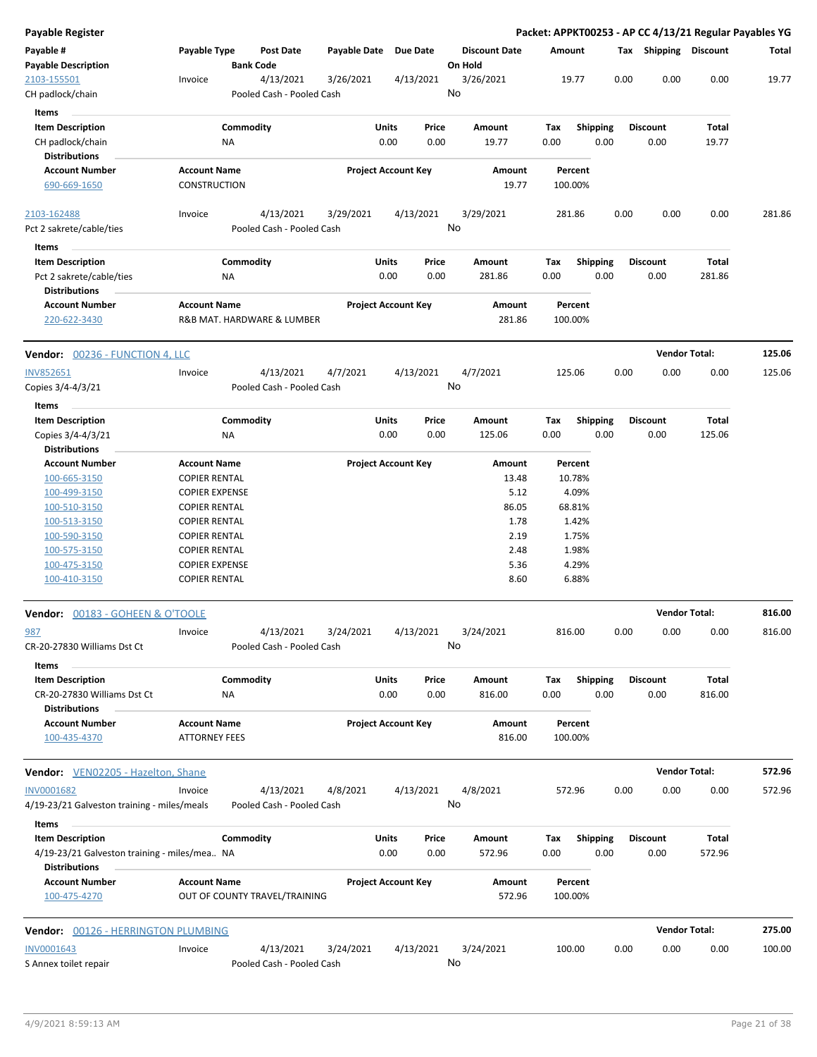| <b>Payable Register</b>                                                 |                               |                           |                       |                                |                      | Packet: APPKT00253 - AP CC 4/13/21 Regular Payables YG |      |                       |                        |              |
|-------------------------------------------------------------------------|-------------------------------|---------------------------|-----------------------|--------------------------------|----------------------|--------------------------------------------------------|------|-----------------------|------------------------|--------------|
| Payable #                                                               | Payable Type                  | <b>Post Date</b>          | Payable Date Due Date |                                | <b>Discount Date</b> | Amount                                                 |      | Tax Shipping Discount |                        | <b>Total</b> |
| <b>Payable Description</b>                                              |                               | <b>Bank Code</b>          |                       |                                | On Hold              |                                                        |      |                       |                        |              |
| 2103-155501                                                             | Invoice                       | 4/13/2021                 | 3/26/2021             | 4/13/2021                      | 3/26/2021            | 19.77                                                  | 0.00 | 0.00                  | 0.00                   | 19.77        |
| CH padlock/chain                                                        |                               | Pooled Cash - Pooled Cash |                       |                                | No                   |                                                        |      |                       |                        |              |
| Items                                                                   |                               |                           |                       |                                |                      |                                                        |      |                       |                        |              |
| <b>Item Description</b>                                                 | Commodity                     |                           |                       | Units<br>Price                 | Amount               | <b>Shipping</b><br>Tax                                 |      | <b>Discount</b>       | Total                  |              |
| CH padlock/chain                                                        | NA                            |                           |                       | 0.00<br>0.00                   | 19.77                | 0.00                                                   | 0.00 | 0.00                  | 19.77                  |              |
| <b>Distributions</b>                                                    |                               |                           |                       |                                |                      |                                                        |      |                       |                        |              |
| <b>Account Number</b>                                                   | <b>Account Name</b>           |                           |                       | <b>Project Account Key</b>     | Amount               | Percent                                                |      |                       |                        |              |
| 690-669-1650                                                            | <b>CONSTRUCTION</b>           |                           |                       |                                | 19.77                | 100.00%                                                |      |                       |                        |              |
| 2103-162488                                                             | Invoice                       | 4/13/2021                 | 3/29/2021             | 4/13/2021                      | 3/29/2021            | 281.86                                                 | 0.00 | 0.00                  | 0.00                   | 281.86       |
| Pct 2 sakrete/cable/ties                                                |                               | Pooled Cash - Pooled Cash |                       |                                | No                   |                                                        |      |                       |                        |              |
| Items                                                                   |                               |                           |                       |                                |                      |                                                        |      |                       |                        |              |
| <b>Item Description</b>                                                 | Commodity                     |                           |                       | Units<br>Price                 | Amount               | Tax<br><b>Shipping</b>                                 |      | <b>Discount</b>       | Total                  |              |
| Pct 2 sakrete/cable/ties                                                | NA                            |                           |                       | 0.00<br>0.00                   | 281.86               | 0.00                                                   | 0.00 | 0.00                  | 281.86                 |              |
| <b>Distributions</b>                                                    |                               |                           |                       |                                |                      |                                                        |      |                       |                        |              |
| <b>Account Number</b>                                                   | <b>Account Name</b>           |                           |                       | <b>Project Account Key</b>     | Amount               | Percent                                                |      |                       |                        |              |
| 220-622-3430                                                            | R&B MAT. HARDWARE & LUMBER    |                           |                       |                                | 281.86               | 100.00%                                                |      |                       |                        |              |
| <b>Vendor: 00236 - FUNCTION 4, LLC</b>                                  |                               |                           |                       |                                |                      |                                                        |      |                       | <b>Vendor Total:</b>   | 125.06       |
| <b>INV852651</b>                                                        | Invoice                       | 4/13/2021                 | 4/7/2021              | 4/13/2021                      | 4/7/2021             | 125.06                                                 | 0.00 | 0.00                  | 0.00                   | 125.06       |
| Copies 3/4-4/3/21                                                       |                               | Pooled Cash - Pooled Cash |                       |                                | No                   |                                                        |      |                       |                        |              |
| Items                                                                   |                               |                           |                       |                                |                      |                                                        |      |                       |                        |              |
| <b>Item Description</b>                                                 | Commodity                     |                           |                       | Units<br>Price                 | Amount               | Shipping<br>Tax                                        |      | Discount              | Total                  |              |
| Copies 3/4-4/3/21                                                       | NA                            |                           |                       | 0.00<br>0.00                   | 125.06               | 0.00                                                   | 0.00 | 0.00                  | 125.06                 |              |
| <b>Distributions</b>                                                    |                               |                           |                       |                                |                      |                                                        |      |                       |                        |              |
| <b>Account Number</b>                                                   | <b>Account Name</b>           |                           |                       | <b>Project Account Key</b>     | Amount               | Percent                                                |      |                       |                        |              |
| 100-665-3150                                                            | <b>COPIER RENTAL</b>          |                           |                       |                                | 13.48                | 10.78%                                                 |      |                       |                        |              |
| 100-499-3150                                                            | <b>COPIER EXPENSE</b>         |                           |                       |                                | 5.12                 | 4.09%                                                  |      |                       |                        |              |
| 100-510-3150                                                            | <b>COPIER RENTAL</b>          |                           |                       |                                | 86.05                | 68.81%                                                 |      |                       |                        |              |
| 100-513-3150                                                            | <b>COPIER RENTAL</b>          |                           |                       |                                | 1.78                 | 1.42%                                                  |      |                       |                        |              |
| 100-590-3150                                                            | <b>COPIER RENTAL</b>          |                           |                       |                                | 2.19                 | 1.75%                                                  |      |                       |                        |              |
| 100-575-3150                                                            | <b>COPIER RENTAL</b>          |                           |                       |                                | 2.48                 | 1.98%                                                  |      |                       |                        |              |
| 100-475-3150                                                            | <b>COPIER EXPENSE</b>         |                           |                       |                                | 5.36                 | 4.29%                                                  |      |                       |                        |              |
| 100-410-3150                                                            | <b>COPIER RENTAL</b>          |                           |                       |                                | 8.60                 | 6.88%                                                  |      |                       |                        |              |
| Vendor: 00183 - GOHEEN & O'TOOLE                                        |                               |                           |                       |                                |                      |                                                        |      |                       | <b>Vendor Total:</b>   | 816.00       |
| 987                                                                     | Invoice                       | 4/13/2021                 | 3/24/2021             | 4/13/2021                      | 3/24/2021            | 816.00                                                 | 0.00 | 0.00                  | 0.00                   | 816.00       |
| CR-20-27830 Williams Dst Ct                                             |                               | Pooled Cash - Pooled Cash |                       |                                | No                   |                                                        |      |                       |                        |              |
| Items                                                                   |                               |                           |                       |                                |                      |                                                        |      |                       |                        |              |
| <b>Item Description</b>                                                 | Commodity                     |                           |                       | Units<br>Price                 | Amount               | Tax<br><b>Shipping</b>                                 |      | Discount              | Total                  |              |
| CR-20-27830 Williams Dst Ct                                             | ΝA                            |                           |                       | 0.00<br>0.00                   | 816.00               | 0.00                                                   | 0.00 | 0.00                  | 816.00                 |              |
| <b>Distributions</b>                                                    |                               |                           |                       |                                |                      |                                                        |      |                       |                        |              |
| <b>Account Number</b>                                                   | <b>Account Name</b>           |                           |                       | <b>Project Account Key</b>     | Amount               | Percent                                                |      |                       |                        |              |
| 100-435-4370                                                            | <b>ATTORNEY FEES</b>          |                           |                       |                                | 816.00               | 100.00%                                                |      |                       |                        |              |
| <b>Vendor:</b> VEN02205 - Hazelton, Shane                               |                               |                           |                       |                                |                      |                                                        |      |                       | <b>Vendor Total:</b>   | 572.96       |
| <b>INV0001682</b>                                                       | Invoice                       | 4/13/2021                 | 4/8/2021              | 4/13/2021                      | 4/8/2021             | 572.96                                                 | 0.00 | 0.00                  | 0.00                   | 572.96       |
| 4/19-23/21 Galveston training - miles/meals                             |                               | Pooled Cash - Pooled Cash |                       |                                | No                   |                                                        |      |                       |                        |              |
| Items                                                                   |                               |                           |                       |                                |                      |                                                        |      |                       |                        |              |
| <b>Item Description</b><br>4/19-23/21 Galveston training - miles/mea NA | Commodity                     |                           |                       | Units<br>Price<br>0.00<br>0.00 | Amount<br>572.96     | Tax<br><b>Shipping</b><br>0.00                         | 0.00 | Discount<br>0.00      | <b>Total</b><br>572.96 |              |
| <b>Distributions</b><br><b>Account Number</b>                           | <b>Account Name</b>           |                           |                       | <b>Project Account Key</b>     | Amount               | Percent                                                |      |                       |                        |              |
| 100-475-4270                                                            | OUT OF COUNTY TRAVEL/TRAINING |                           |                       |                                | 572.96               | 100.00%                                                |      |                       |                        |              |
| <b>Vendor: 00126 - HERRINGTON PLUMBING</b>                              |                               |                           |                       |                                |                      |                                                        |      |                       | <b>Vendor Total:</b>   | 275.00       |
| <b>INV0001643</b>                                                       | Invoice                       | 4/13/2021                 | 3/24/2021             | 4/13/2021                      | 3/24/2021            | 100.00                                                 | 0.00 | 0.00                  | 0.00                   | 100.00       |
| S Annex toilet repair                                                   |                               | Pooled Cash - Pooled Cash |                       |                                | No                   |                                                        |      |                       |                        |              |
|                                                                         |                               |                           |                       |                                |                      |                                                        |      |                       |                        |              |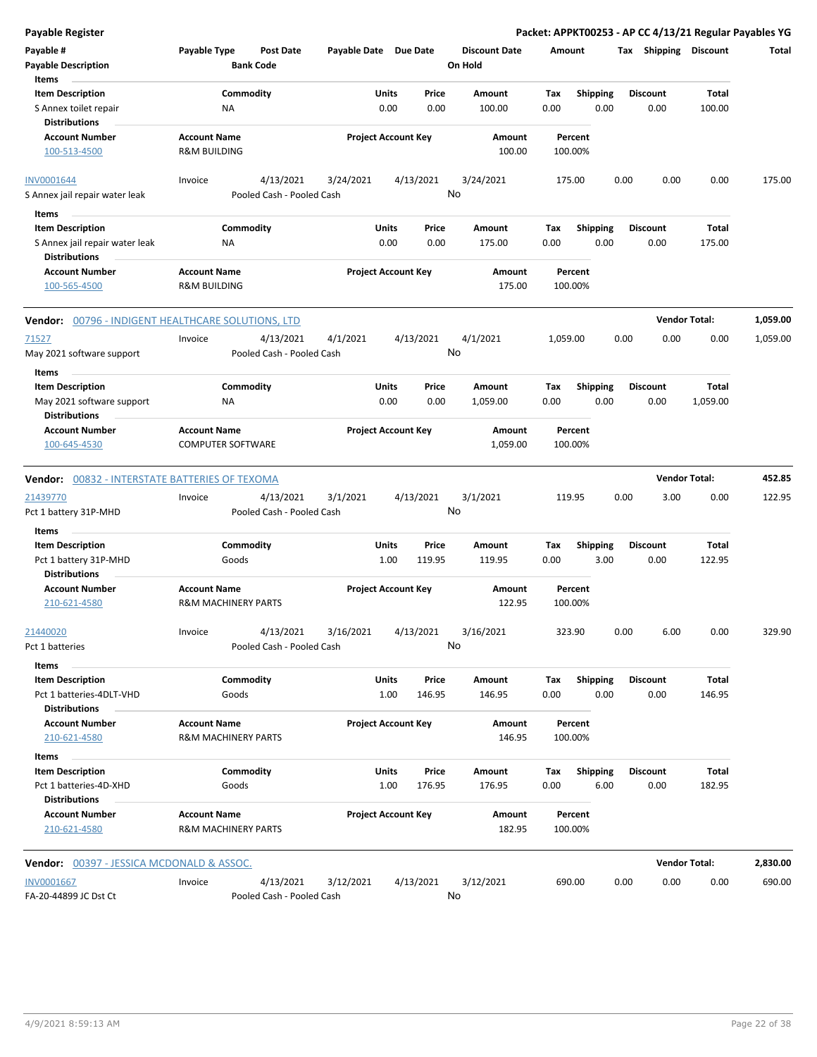| <b>Payable Register</b>                                                           |                                                       |                                        |                            |                            |                 |                                 |                    |                         |                         |      | Packet: APPKT00253 - AP CC 4/13/21 Regular Payables YG |          |
|-----------------------------------------------------------------------------------|-------------------------------------------------------|----------------------------------------|----------------------------|----------------------------|-----------------|---------------------------------|--------------------|-------------------------|-------------------------|------|--------------------------------------------------------|----------|
| Payable #<br><b>Payable Description</b>                                           | Payable Type                                          | <b>Post Date</b><br><b>Bank Code</b>   | Payable Date Due Date      |                            |                 | <b>Discount Date</b><br>On Hold | Amount             |                         | Tax Shipping Discount   |      |                                                        | Total    |
| Items<br><b>Item Description</b><br>S Annex toilet repair                         | Commodity<br>NA                                       |                                        |                            | Units<br>0.00              | Price<br>0.00   | Amount<br>100.00                | Tax<br>0.00        | Shipping<br>0.00        | <b>Discount</b><br>0.00 |      | Total<br>100.00                                        |          |
| <b>Distributions</b><br><b>Account Number</b><br>100-513-4500                     | <b>Account Name</b><br><b>R&amp;M BUILDING</b>        |                                        |                            | <b>Project Account Key</b> |                 | Amount<br>100.00                | Percent<br>100.00% |                         |                         |      |                                                        |          |
| <b>INV0001644</b>                                                                 | Invoice                                               | 4/13/2021                              | 3/24/2021                  | 4/13/2021                  |                 | 3/24/2021                       | 175.00             |                         | 0.00                    | 0.00 | 0.00                                                   | 175.00   |
| S Annex jail repair water leak                                                    |                                                       | Pooled Cash - Pooled Cash              |                            |                            | No              |                                 |                    |                         |                         |      |                                                        |          |
| Items                                                                             |                                                       |                                        |                            |                            |                 |                                 |                    |                         |                         |      |                                                        |          |
| <b>Item Description</b><br>S Annex jail repair water leak<br><b>Distributions</b> | Commodity<br>ΝA                                       |                                        |                            | Units<br>0.00              | Price<br>0.00   | Amount<br>175.00                | Tax<br>0.00        | <b>Shipping</b><br>0.00 | <b>Discount</b><br>0.00 |      | Total<br>175.00                                        |          |
| <b>Account Number</b><br>100-565-4500                                             | <b>Account Name</b><br><b>R&amp;M BUILDING</b>        |                                        |                            | <b>Project Account Key</b> |                 | Amount<br>175.00                | Percent<br>100.00% |                         |                         |      |                                                        |          |
| Vendor: 00796 - INDIGENT HEALTHCARE SOLUTIONS, LTD                                |                                                       |                                        |                            |                            |                 |                                 |                    |                         |                         |      | <b>Vendor Total:</b>                                   | 1,059.00 |
| 71527<br>May 2021 software support                                                | Invoice                                               | 4/13/2021<br>Pooled Cash - Pooled Cash | 4/1/2021                   | 4/13/2021                  | No              | 4/1/2021                        | 1,059.00           |                         | 0.00                    | 0.00 | 0.00                                                   | 1,059.00 |
| Items                                                                             |                                                       |                                        |                            |                            |                 |                                 |                    |                         |                         |      |                                                        |          |
| <b>Item Description</b><br>May 2021 software support                              | Commodity<br>ΝA                                       |                                        |                            | Units<br>0.00              | Price<br>0.00   | Amount<br>1,059.00              | Tax<br>0.00        | <b>Shipping</b><br>0.00 | <b>Discount</b><br>0.00 |      | Total<br>1,059.00                                      |          |
| <b>Distributions</b>                                                              |                                                       |                                        |                            |                            |                 |                                 |                    |                         |                         |      |                                                        |          |
| <b>Account Number</b><br>100-645-4530                                             | <b>Account Name</b><br><b>COMPUTER SOFTWARE</b>       |                                        | <b>Project Account Key</b> |                            |                 | Amount<br>1,059.00              | Percent<br>100.00% |                         |                         |      |                                                        |          |
| <b>Vendor: 00832 - INTERSTATE BATTERIES OF TEXOMA</b>                             |                                                       |                                        |                            |                            |                 |                                 |                    |                         |                         |      | <b>Vendor Total:</b>                                   | 452.85   |
| 21439770<br>Pct 1 battery 31P-MHD                                                 | Invoice                                               | 4/13/2021<br>Pooled Cash - Pooled Cash | 3/1/2021                   | 4/13/2021                  | No              | 3/1/2021                        | 119.95             |                         | 0.00                    | 3.00 | 0.00                                                   | 122.95   |
| Items                                                                             |                                                       |                                        |                            |                            |                 |                                 |                    |                         |                         |      |                                                        |          |
| <b>Item Description</b><br>Pct 1 battery 31P-MHD                                  | Commodity<br>Goods                                    |                                        |                            | Units<br>1.00              | Price<br>119.95 | Amount<br>119.95                | Tax<br>0.00        | <b>Shipping</b><br>3.00 | <b>Discount</b><br>0.00 |      | Total<br>122.95                                        |          |
| <b>Distributions</b><br><b>Account Number</b><br>210-621-4580                     | <b>Account Name</b><br><b>R&amp;M MACHINERY PARTS</b> |                                        |                            | <b>Project Account Key</b> |                 | Amount<br>122.95                | Percent<br>100.00% |                         |                         |      |                                                        |          |
| 21440020<br>Pct 1 batteries                                                       | Invoice                                               | 4/13/2021<br>Pooled Cash - Pooled Cash | 3/16/2021                  | 4/13/2021                  | No              | 3/16/2021                       | 323.90             |                         | 0.00                    | 6.00 | 0.00                                                   | 329.90   |
| Items                                                                             |                                                       |                                        |                            |                            |                 |                                 |                    |                         |                         |      |                                                        |          |
| <b>Item Description</b><br>Pct 1 batteries-4DLT-VHD<br><b>Distributions</b>       | Commodity<br>Goods                                    |                                        |                            | <b>Units</b><br>1.00       | Price<br>146.95 | Amount<br>146.95                | Tax<br>0.00        | Shipping<br>0.00        | <b>Discount</b><br>0.00 |      | Total<br>146.95                                        |          |
| <b>Account Number</b><br>210-621-4580                                             | <b>Account Name</b><br><b>R&amp;M MACHINERY PARTS</b> |                                        |                            | <b>Project Account Key</b> |                 | Amount<br>146.95                | Percent<br>100.00% |                         |                         |      |                                                        |          |
| Items                                                                             |                                                       |                                        |                            |                            |                 |                                 |                    |                         |                         |      |                                                        |          |
| <b>Item Description</b><br>Pct 1 batteries-4D-XHD<br><b>Distributions</b>         | Commodity<br>Goods                                    |                                        |                            | <b>Units</b><br>1.00       | Price<br>176.95 | Amount<br>176.95                | Tax<br>0.00        | <b>Shipping</b><br>6.00 | <b>Discount</b><br>0.00 |      | Total<br>182.95                                        |          |
| <b>Account Number</b><br>210-621-4580                                             | <b>Account Name</b><br><b>R&amp;M MACHINERY PARTS</b> |                                        |                            | <b>Project Account Key</b> |                 | Amount<br>182.95                | Percent<br>100.00% |                         |                         |      |                                                        |          |
| <b>Vendor:</b> 00397 - JESSICA MCDONALD & ASSOC.                                  |                                                       |                                        |                            |                            |                 |                                 |                    |                         |                         |      | <b>Vendor Total:</b>                                   | 2,830.00 |
| <b>INV0001667</b><br>FA-20-44899 JC Dst Ct                                        | Invoice                                               | 4/13/2021<br>Pooled Cash - Pooled Cash | 3/12/2021                  | 4/13/2021                  | No              | 3/12/2021                       | 690.00             |                         | 0.00                    | 0.00 | 0.00                                                   | 690.00   |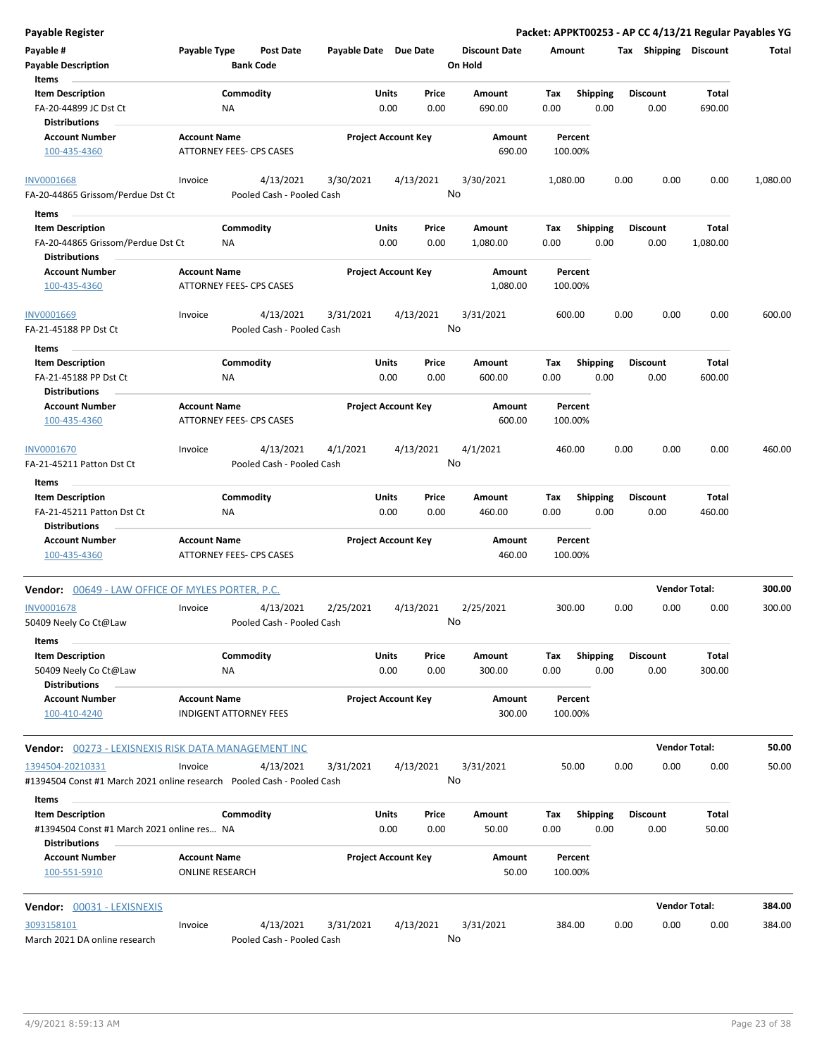| <b>Payable Register</b>                                                   |                                               |                                 |                                        |                       |               |                            |                      |             |                         |      |                         |                      | Packet: APPKT00253 - AP CC 4/13/21 Regular Payables YG |
|---------------------------------------------------------------------------|-----------------------------------------------|---------------------------------|----------------------------------------|-----------------------|---------------|----------------------------|----------------------|-------------|-------------------------|------|-------------------------|----------------------|--------------------------------------------------------|
| Payable #                                                                 | Payable Type                                  |                                 | Post Date                              | Payable Date Due Date |               |                            | <b>Discount Date</b> | Amount      |                         |      | Tax Shipping Discount   |                      | Total                                                  |
| <b>Payable Description</b>                                                |                                               | <b>Bank Code</b>                |                                        |                       |               |                            | On Hold              |             |                         |      |                         |                      |                                                        |
| Items                                                                     |                                               |                                 |                                        |                       |               |                            |                      |             |                         |      |                         |                      |                                                        |
| <b>Item Description</b>                                                   |                                               | Commodity                       |                                        |                       | Units         | Price                      | <b>Amount</b>        | Tax         | <b>Shipping</b>         |      | <b>Discount</b>         | Total                |                                                        |
| FA-20-44899 JC Dst Ct<br><b>Distributions</b>                             |                                               | ΝA                              |                                        |                       | 0.00          | 0.00                       | 690.00               | 0.00        | 0.00                    |      | 0.00                    | 690.00               |                                                        |
| <b>Account Number</b>                                                     | <b>Account Name</b>                           |                                 |                                        |                       |               | <b>Project Account Key</b> | Amount               |             | Percent                 |      |                         |                      |                                                        |
| 100-435-4360                                                              |                                               | ATTORNEY FEES- CPS CASES        |                                        |                       |               |                            | 690.00               |             | 100.00%                 |      |                         |                      |                                                        |
| <b>INV0001668</b>                                                         | Invoice                                       |                                 | 4/13/2021                              | 3/30/2021             |               | 4/13/2021                  | 3/30/2021            | 1,080.00    |                         | 0.00 | 0.00                    | 0.00                 | 1,080.00                                               |
| FA-20-44865 Grissom/Perdue Dst Ct<br>Items<br>$\sim$                      |                                               |                                 | Pooled Cash - Pooled Cash              |                       |               |                            | No                   |             |                         |      |                         |                      |                                                        |
| <b>Item Description</b>                                                   |                                               | Commodity                       |                                        |                       | Units         | Price                      | Amount               | Tax         | <b>Shipping</b>         |      | <b>Discount</b>         | Total                |                                                        |
| FA-20-44865 Grissom/Perdue Dst Ct                                         |                                               | ΝA                              |                                        |                       | 0.00          | 0.00                       | 1,080.00             | 0.00        | 0.00                    |      | 0.00                    | 1,080.00             |                                                        |
| <b>Distributions</b>                                                      |                                               |                                 |                                        |                       |               |                            |                      |             |                         |      |                         |                      |                                                        |
| <b>Account Number</b>                                                     | <b>Account Name</b>                           |                                 |                                        |                       |               | <b>Project Account Key</b> | Amount               |             | Percent                 |      |                         |                      |                                                        |
| 100-435-4360                                                              |                                               | <b>ATTORNEY FEES- CPS CASES</b> |                                        |                       |               |                            | 1,080.00             |             | 100.00%                 |      |                         |                      |                                                        |
| <b>INV0001669</b>                                                         | Invoice                                       |                                 | 4/13/2021                              | 3/31/2021             |               | 4/13/2021                  | 3/31/2021            |             | 600.00                  | 0.00 | 0.00                    | 0.00                 | 600.00                                                 |
| FA-21-45188 PP Dst Ct                                                     |                                               |                                 | Pooled Cash - Pooled Cash              |                       |               |                            | No                   |             |                         |      |                         |                      |                                                        |
| Items                                                                     |                                               |                                 |                                        |                       |               |                            |                      |             |                         |      |                         |                      |                                                        |
| <b>Item Description</b>                                                   |                                               | Commodity                       |                                        |                       | Units         | Price                      | Amount               | Tax         | <b>Shipping</b>         |      | <b>Discount</b>         | Total                |                                                        |
| FA-21-45188 PP Dst Ct                                                     |                                               | ΝA                              |                                        |                       | 0.00          | 0.00                       | 600.00               | 0.00        | 0.00                    |      | 0.00                    | 600.00               |                                                        |
| <b>Distributions</b>                                                      |                                               |                                 |                                        |                       |               |                            |                      |             |                         |      |                         |                      |                                                        |
| <b>Account Number</b>                                                     | <b>Account Name</b>                           |                                 |                                        |                       |               | <b>Project Account Key</b> | Amount               |             | Percent                 |      |                         |                      |                                                        |
| 100-435-4360                                                              |                                               | ATTORNEY FEES- CPS CASES        |                                        |                       |               |                            | 600.00               |             | 100.00%                 |      |                         |                      |                                                        |
| INV0001670                                                                | Invoice                                       |                                 | 4/13/2021                              | 4/1/2021              |               | 4/13/2021                  | 4/1/2021             |             | 460.00                  | 0.00 | 0.00                    | 0.00                 | 460.00                                                 |
| FA-21-45211 Patton Dst Ct                                                 |                                               |                                 | Pooled Cash - Pooled Cash              |                       |               |                            | No                   |             |                         |      |                         |                      |                                                        |
| Items                                                                     |                                               |                                 |                                        |                       |               |                            |                      |             |                         |      |                         |                      |                                                        |
| <b>Item Description</b>                                                   |                                               | Commodity                       |                                        |                       | <b>Units</b>  | Price                      | Amount               | Tax         | <b>Shipping</b>         |      | <b>Discount</b>         | Total                |                                                        |
| FA-21-45211 Patton Dst Ct<br><b>Distributions</b>                         |                                               | NA.                             |                                        |                       | 0.00          | 0.00                       | 460.00               | 0.00        | 0.00                    |      | 0.00                    | 460.00               |                                                        |
| <b>Account Number</b>                                                     | <b>Account Name</b>                           |                                 |                                        |                       |               | <b>Project Account Key</b> | Amount               |             | Percent                 |      |                         |                      |                                                        |
| 100-435-4360                                                              |                                               | ATTORNEY FEES- CPS CASES        |                                        |                       |               |                            | 460.00               |             | 100.00%                 |      |                         |                      |                                                        |
| <b>Vendor:</b> 00649 - LAW OFFICE OF MYLES PORTER, P.C.                   |                                               |                                 |                                        |                       |               |                            |                      |             |                         |      |                         | <b>Vendor Total:</b> | 300.00                                                 |
| <b>INV0001678</b>                                                         | Invoice                                       |                                 | 4/13/2021                              | 2/25/2021             |               | 4/13/2021                  | 2/25/2021            |             | 300.00                  | 0.00 | 0.00                    | 0.00                 | 300.00                                                 |
| 50409 Neely Co Ct@Law<br>Items                                            |                                               |                                 | Pooled Cash - Pooled Cash              |                       |               |                            | <b>No</b>            |             |                         |      |                         |                      |                                                        |
| <b>Item Description</b>                                                   |                                               | Commodity                       |                                        |                       | Units         | Price                      | Amount               | Тах         | Shipping                |      | <b>Discount</b>         | <b>Total</b>         |                                                        |
| 50409 Neely Co Ct@Law<br><b>Distributions</b>                             |                                               | NA.                             |                                        |                       | 0.00          | 0.00                       | 300.00               | 0.00        | 0.00                    |      | 0.00                    | 300.00               |                                                        |
| <b>Account Number</b>                                                     | <b>Account Name</b>                           |                                 |                                        |                       |               | <b>Project Account Key</b> | Amount               |             | Percent                 |      |                         |                      |                                                        |
| 100-410-4240                                                              |                                               | <b>INDIGENT ATTORNEY FEES</b>   |                                        |                       |               |                            | 300.00               |             | 100.00%                 |      |                         |                      |                                                        |
| Vendor: 00273 - LEXISNEXIS RISK DATA MANAGEMENT INC                       |                                               |                                 |                                        |                       |               |                            |                      |             |                         |      |                         | <b>Vendor Total:</b> | 50.00                                                  |
| 1394504-20210331                                                          | Invoice                                       |                                 | 4/13/2021                              | 3/31/2021             |               | 4/13/2021                  | 3/31/2021            |             | 50.00                   | 0.00 | 0.00                    | 0.00                 | 50.00                                                  |
| #1394504 Const #1 March 2021 online research    Pooled Cash - Pooled Cash |                                               |                                 |                                        |                       |               | No                         |                      |             |                         |      |                         |                      |                                                        |
| Items                                                                     |                                               |                                 |                                        |                       |               |                            |                      |             |                         |      |                         |                      |                                                        |
| <b>Item Description</b><br>#1394504 Const #1 March 2021 online res NA     |                                               | Commodity                       |                                        |                       | Units<br>0.00 | Price<br>0.00              | Amount<br>50.00      | Тах<br>0.00 | <b>Shipping</b><br>0.00 |      | <b>Discount</b><br>0.00 | Total<br>50.00       |                                                        |
| <b>Distributions</b>                                                      |                                               |                                 |                                        |                       |               |                            |                      |             |                         |      |                         |                      |                                                        |
| <b>Account Number</b><br>100-551-5910                                     | <b>Account Name</b><br><b>ONLINE RESEARCH</b> |                                 |                                        |                       |               | <b>Project Account Key</b> | Amount<br>50.00      |             | Percent<br>100.00%      |      |                         |                      |                                                        |
| Vendor: 00031 - LEXISNEXIS                                                |                                               |                                 |                                        |                       |               |                            |                      |             |                         |      |                         | <b>Vendor Total:</b> | 384.00                                                 |
|                                                                           |                                               |                                 |                                        |                       |               |                            |                      |             |                         |      |                         |                      |                                                        |
| 3093158101<br>March 2021 DA online research                               | Invoice                                       |                                 | 4/13/2021<br>Pooled Cash - Pooled Cash | 3/31/2021             |               | 4/13/2021                  | 3/31/2021<br>No      |             | 384.00                  | 0.00 | 0.00                    | 0.00                 | 384.00                                                 |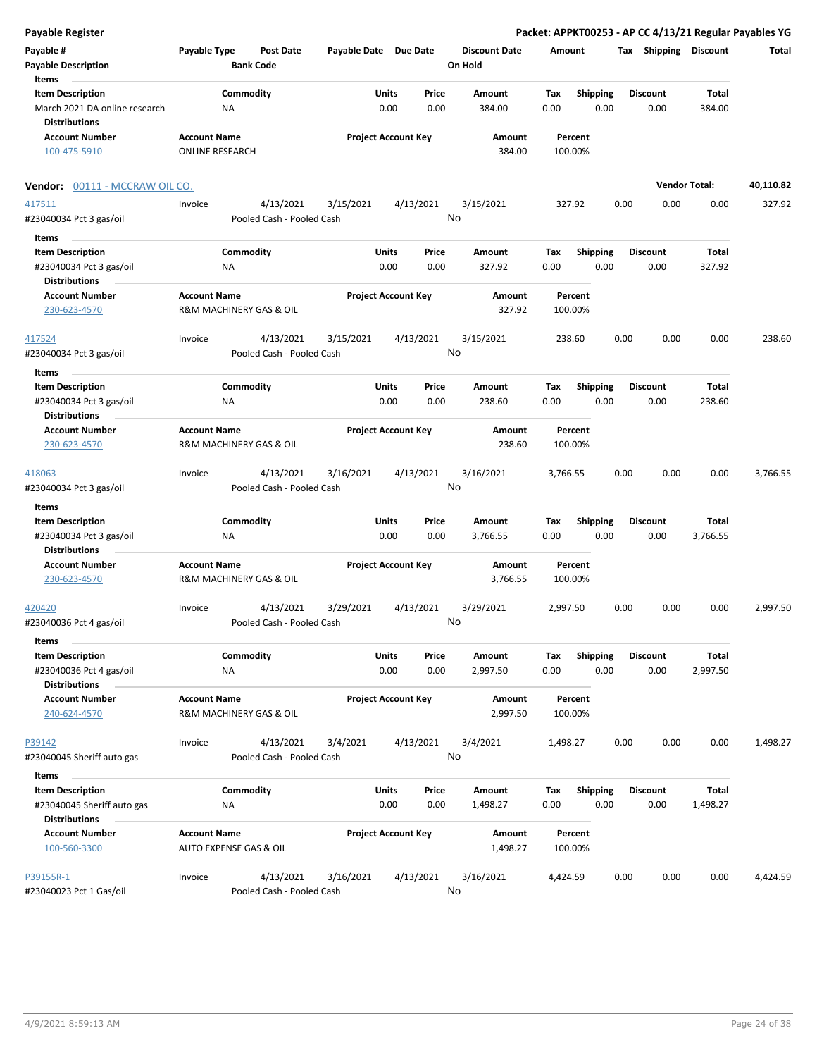| <b>Payable Register</b>                                                    |                                               |                                        |                       |                                |                                 |             |                         |      |                         |                      | Packet: APPKT00253 - AP CC 4/13/21 Regular Payables YG |
|----------------------------------------------------------------------------|-----------------------------------------------|----------------------------------------|-----------------------|--------------------------------|---------------------------------|-------------|-------------------------|------|-------------------------|----------------------|--------------------------------------------------------|
| Payable #<br><b>Payable Description</b>                                    | Payable Type                                  | <b>Post Date</b><br><b>Bank Code</b>   | Payable Date Due Date |                                | <b>Discount Date</b><br>On Hold | Amount      |                         |      | Tax Shipping Discount   |                      | Total                                                  |
| Items                                                                      |                                               |                                        |                       |                                |                                 |             |                         |      |                         |                      |                                                        |
| <b>Item Description</b>                                                    |                                               | Commodity                              |                       | Price<br>Units                 | Amount                          | Tax         | <b>Shipping</b>         |      | <b>Discount</b>         | Total                |                                                        |
| March 2021 DA online research<br><b>Distributions</b>                      |                                               | NA                                     |                       | 0.00<br>0.00                   | 384.00                          | 0.00        | 0.00                    |      | 0.00                    | 384.00               |                                                        |
| <b>Account Number</b><br>100-475-5910                                      | <b>Account Name</b><br><b>ONLINE RESEARCH</b> |                                        |                       | <b>Project Account Key</b>     | Amount<br>384.00                |             | Percent<br>100.00%      |      |                         |                      |                                                        |
| Vendor: 00111 - MCCRAW OIL CO.                                             |                                               |                                        |                       |                                |                                 |             |                         |      |                         | <b>Vendor Total:</b> | 40,110.82                                              |
| 417511<br>#23040034 Pct 3 gas/oil                                          | Invoice                                       | 4/13/2021<br>Pooled Cash - Pooled Cash | 3/15/2021             | 4/13/2021                      | 3/15/2021<br>No                 |             | 327.92                  | 0.00 | 0.00                    | 0.00                 | 327.92                                                 |
| Items                                                                      |                                               |                                        |                       |                                |                                 |             |                         |      |                         |                      |                                                        |
| <b>Item Description</b>                                                    |                                               | Commodity                              |                       | Units<br>Price                 | Amount                          | Tax         | <b>Shipping</b>         |      | <b>Discount</b>         | Total                |                                                        |
| #23040034 Pct 3 gas/oil<br><b>Distributions</b>                            |                                               | ΝA                                     |                       | 0.00<br>0.00                   | 327.92                          | 0.00        | 0.00                    |      | 0.00                    | 327.92               |                                                        |
| <b>Account Number</b><br>230-623-4570                                      | <b>Account Name</b>                           | R&M MACHINERY GAS & OIL                |                       | <b>Project Account Key</b>     | Amount<br>327.92                |             | Percent<br>100.00%      |      |                         |                      |                                                        |
| 417524<br>#23040034 Pct 3 gas/oil                                          | Invoice                                       | 4/13/2021<br>Pooled Cash - Pooled Cash | 3/15/2021             | 4/13/2021                      | 3/15/2021<br>No                 |             | 238.60                  | 0.00 | 0.00                    | 0.00                 | 238.60                                                 |
| Items                                                                      |                                               |                                        |                       |                                |                                 |             |                         |      |                         |                      |                                                        |
| <b>Item Description</b>                                                    |                                               | Commodity                              |                       | Units<br>Price                 | Amount                          | Tax         | <b>Shipping</b>         |      | <b>Discount</b>         | Total                |                                                        |
| #23040034 Pct 3 gas/oil<br><b>Distributions</b>                            |                                               | ΝA                                     |                       | 0.00<br>0.00                   | 238.60                          | 0.00        | 0.00                    |      | 0.00                    | 238.60               |                                                        |
| <b>Account Number</b><br>230-623-4570                                      | <b>Account Name</b>                           | R&M MACHINERY GAS & OIL                |                       | <b>Project Account Key</b>     | Amount<br>238.60                |             | Percent<br>100.00%      |      |                         |                      |                                                        |
|                                                                            |                                               |                                        |                       |                                |                                 |             |                         |      |                         |                      |                                                        |
| 418063<br>#23040034 Pct 3 gas/oil                                          | Invoice                                       | 4/13/2021<br>Pooled Cash - Pooled Cash | 3/16/2021             | 4/13/2021                      | 3/16/2021<br>No                 | 3,766.55    |                         | 0.00 | 0.00                    | 0.00                 | 3,766.55                                               |
| Items                                                                      |                                               |                                        |                       |                                |                                 |             |                         |      |                         |                      |                                                        |
| <b>Item Description</b>                                                    |                                               | Commodity                              |                       | Units<br>Price                 | Amount                          | Tax         | <b>Shipping</b>         |      | <b>Discount</b>         | Total                |                                                        |
| #23040034 Pct 3 gas/oil<br><b>Distributions</b>                            |                                               | ΝA                                     |                       | 0.00<br>0.00                   | 3,766.55                        | 0.00        | 0.00                    |      | 0.00                    | 3,766.55             |                                                        |
| <b>Account Number</b><br>230-623-4570                                      | <b>Account Name</b>                           | R&M MACHINERY GAS & OIL                |                       | <b>Project Account Key</b>     | Amount<br>3,766.55              |             | Percent<br>100.00%      |      |                         |                      |                                                        |
| 420420<br>#23040036 Pct 4 gas/oil                                          | Invoice                                       | 4/13/2021<br>Pooled Cash - Pooled Cash | 3/29/2021             | 4/13/2021                      | 3/29/2021<br>No.                | 2,997.50    |                         | 0.00 | 0.00                    | 0.00                 | 2,997.50                                               |
| Items                                                                      |                                               |                                        |                       |                                |                                 |             |                         |      |                         |                      |                                                        |
| <b>Item Description</b><br>#23040036 Pct 4 gas/oil<br><b>Distributions</b> |                                               | Commodity<br>NA                        |                       | Units<br>Price<br>0.00<br>0.00 | Amount<br>2,997.50              | Tax<br>0.00 | <b>Shipping</b><br>0.00 |      | <b>Discount</b><br>0.00 | Total<br>2,997.50    |                                                        |
| <b>Account Number</b><br>240-624-4570                                      | <b>Account Name</b>                           | R&M MACHINERY GAS & OIL                |                       | <b>Project Account Key</b>     | Amount<br>2,997.50              |             | Percent<br>100.00%      |      |                         |                      |                                                        |
| P39142<br>#23040045 Sheriff auto gas                                       | Invoice                                       | 4/13/2021<br>Pooled Cash - Pooled Cash | 3/4/2021              | 4/13/2021                      | 3/4/2021<br>No                  | 1,498.27    |                         | 0.00 | 0.00                    | 0.00                 | 1,498.27                                               |
|                                                                            |                                               |                                        |                       |                                |                                 |             |                         |      |                         |                      |                                                        |
| Items<br><b>Item Description</b>                                           |                                               | Commodity                              |                       | Units<br>Price                 | Amount                          | Tax         | <b>Shipping</b>         |      | <b>Discount</b>         | Total                |                                                        |
| #23040045 Sheriff auto gas<br><b>Distributions</b>                         |                                               | NA                                     |                       | 0.00<br>0.00                   | 1,498.27                        | 0.00        | 0.00                    |      | 0.00                    | 1,498.27             |                                                        |
| <b>Account Number</b>                                                      | <b>Account Name</b>                           |                                        |                       | <b>Project Account Key</b>     | Amount                          |             | Percent                 |      |                         |                      |                                                        |
| 100-560-3300                                                               |                                               | AUTO EXPENSE GAS & OIL                 |                       |                                | 1,498.27                        |             | 100.00%                 |      |                         |                      |                                                        |
| P39155R-1                                                                  | Invoice                                       | 4/13/2021                              | 3/16/2021             | 4/13/2021                      | 3/16/2021                       | 4,424.59    |                         | 0.00 | 0.00                    | 0.00                 | 4,424.59                                               |
| #23040023 Pct 1 Gas/oil                                                    |                                               | Pooled Cash - Pooled Cash              |                       |                                | No                              |             |                         |      |                         |                      |                                                        |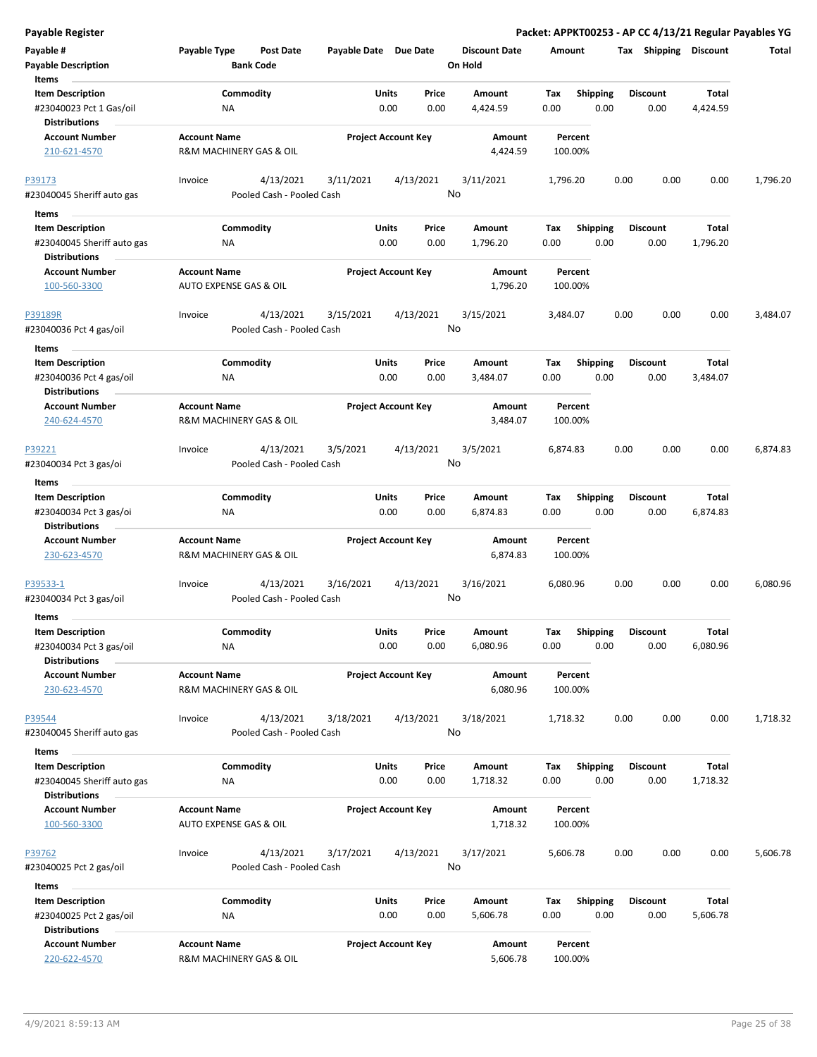| <b>Payable Register</b>                                                                |                                                          |                                        |                            |                            |               |                                 |             |                         |      |                         |                          | Packet: APPKT00253 - AP CC 4/13/21 Regular Payables YG |
|----------------------------------------------------------------------------------------|----------------------------------------------------------|----------------------------------------|----------------------------|----------------------------|---------------|---------------------------------|-------------|-------------------------|------|-------------------------|--------------------------|--------------------------------------------------------|
| Payable #<br><b>Payable Description</b>                                                | <b>Payable Type</b>                                      | <b>Post Date</b><br><b>Bank Code</b>   | Payable Date Due Date      |                            |               | <b>Discount Date</b><br>On Hold | Amount      |                         |      | Tax Shipping Discount   |                          | Total                                                  |
| Items<br><b>Item Description</b><br>#23040023 Pct 1 Gas/oil                            | ΝA                                                       | Commodity                              |                            | <b>Units</b><br>0.00       | Price<br>0.00 | Amount<br>4,424.59              | Tax<br>0.00 | <b>Shipping</b><br>0.00 |      | <b>Discount</b><br>0.00 | <b>Total</b><br>4,424.59 |                                                        |
| <b>Distributions</b><br><b>Account Number</b><br>210-621-4570                          | <b>Account Name</b><br>R&M MACHINERY GAS & OIL           |                                        |                            | <b>Project Account Key</b> |               | Amount<br>4,424.59              |             | Percent<br>100.00%      |      |                         |                          |                                                        |
| P39173<br>#23040045 Sheriff auto gas                                                   | Invoice                                                  | 4/13/2021<br>Pooled Cash - Pooled Cash | 3/11/2021                  |                            | 4/13/2021     | 3/11/2021<br>No                 | 1,796.20    |                         | 0.00 | 0.00                    | 0.00                     | 1,796.20                                               |
| Items<br><b>Item Description</b><br>#23040045 Sheriff auto gas<br><b>Distributions</b> | ΝA                                                       | Commodity                              |                            | Units<br>0.00              | Price<br>0.00 | Amount<br>1,796.20              | Tax<br>0.00 | <b>Shipping</b><br>0.00 |      | <b>Discount</b><br>0.00 | Total<br>1,796.20        |                                                        |
| <b>Account Number</b><br>100-560-3300                                                  | <b>Account Name</b><br><b>AUTO EXPENSE GAS &amp; OIL</b> |                                        | <b>Project Account Key</b> |                            |               | Amount<br>1,796.20              |             | Percent<br>100.00%      |      |                         |                          |                                                        |
| P39189R<br>#23040036 Pct 4 gas/oil                                                     | Invoice                                                  | 4/13/2021<br>Pooled Cash - Pooled Cash | 3/15/2021                  |                            | 4/13/2021     | 3/15/2021<br>No                 | 3,484.07    |                         | 0.00 | 0.00                    | 0.00                     | 3,484.07                                               |
| Items<br><b>Item Description</b><br>#23040036 Pct 4 gas/oil<br><b>Distributions</b>    | <b>NA</b>                                                | Commodity                              |                            | Units<br>0.00              | Price<br>0.00 | Amount<br>3,484.07              | Tax<br>0.00 | <b>Shipping</b><br>0.00 |      | <b>Discount</b><br>0.00 | Total<br>3,484.07        |                                                        |
| <b>Account Number</b><br>240-624-4570                                                  | <b>Account Name</b><br>R&M MACHINERY GAS & OIL           |                                        | <b>Project Account Key</b> |                            |               | Amount<br>3,484.07              |             | Percent<br>100.00%      |      |                         |                          |                                                        |
| P39221<br>#23040034 Pct 3 gas/oi                                                       | Invoice                                                  | 4/13/2021<br>Pooled Cash - Pooled Cash | 3/5/2021                   |                            | 4/13/2021     | 3/5/2021<br>No                  | 6,874.83    |                         | 0.00 | 0.00                    | 0.00                     | 6,874.83                                               |
| Items                                                                                  |                                                          |                                        |                            |                            |               |                                 |             |                         |      |                         |                          |                                                        |
| <b>Item Description</b><br>#23040034 Pct 3 gas/oi<br><b>Distributions</b>              | ΝA                                                       | Commodity                              |                            | Units<br>0.00              | Price<br>0.00 | Amount<br>6,874.83              | Tax<br>0.00 | <b>Shipping</b><br>0.00 |      | <b>Discount</b><br>0.00 | Total<br>6,874.83        |                                                        |
| <b>Account Number</b><br>230-623-4570                                                  | <b>Account Name</b><br>R&M MACHINERY GAS & OIL           |                                        | <b>Project Account Key</b> |                            |               | Amount<br>6,874.83              |             | Percent<br>100.00%      |      |                         |                          |                                                        |
| P39533-1<br>#23040034 Pct 3 gas/oil                                                    | Invoice                                                  | 4/13/2021<br>Pooled Cash - Pooled Cash | 3/16/2021                  |                            | 4/13/2021     | 3/16/2021<br>No                 | 6,080.96    |                         | 0.00 | 0.00                    | 0.00                     | 6,080.96                                               |
| Items<br><b>Item Description</b><br>#23040034 Pct 3 gas/oil                            | ΝA                                                       | Commodity                              |                            | Units<br>0.00              | Price<br>0.00 | Amount<br>6,080.96              | Tax<br>0.00 | Shipping<br>0.00        |      | <b>Discount</b><br>0.00 | <b>Total</b><br>6,080.96 |                                                        |
| <b>Distributions</b><br><b>Account Number</b><br>230-623-4570                          | <b>Account Name</b><br>R&M MACHINERY GAS & OIL           |                                        | <b>Project Account Key</b> |                            |               | Amount<br>6,080.96              |             | Percent<br>100.00%      |      |                         |                          |                                                        |
| P39544<br>#23040045 Sheriff auto gas                                                   | Invoice                                                  | 4/13/2021<br>Pooled Cash - Pooled Cash | 3/18/2021                  |                            | 4/13/2021     | 3/18/2021<br>No                 | 1,718.32    |                         | 0.00 | 0.00                    | 0.00                     | 1,718.32                                               |
| Items<br><b>Item Description</b><br>#23040045 Sheriff auto gas                         | ΝA                                                       | Commodity                              |                            | Units<br>0.00              | Price<br>0.00 | Amount<br>1,718.32              | Тах<br>0.00 | <b>Shipping</b><br>0.00 |      | <b>Discount</b><br>0.00 | <b>Total</b><br>1,718.32 |                                                        |
| <b>Distributions</b><br><b>Account Number</b><br>100-560-3300                          | <b>Account Name</b><br>AUTO EXPENSE GAS & OIL            |                                        |                            | <b>Project Account Key</b> |               | Amount<br>1,718.32              |             | Percent<br>100.00%      |      |                         |                          |                                                        |
| P39762<br>#23040025 Pct 2 gas/oil                                                      | Invoice                                                  | 4/13/2021<br>Pooled Cash - Pooled Cash | 3/17/2021                  |                            | 4/13/2021     | 3/17/2021<br>No                 | 5,606.78    |                         | 0.00 | 0.00                    | 0.00                     | 5,606.78                                               |
| Items                                                                                  |                                                          |                                        |                            |                            |               |                                 |             |                         |      |                         |                          |                                                        |
| <b>Item Description</b><br>#23040025 Pct 2 gas/oil<br><b>Distributions</b>             | ΝA                                                       | Commodity                              |                            | Units<br>0.00              | Price<br>0.00 | Amount<br>5,606.78              | Tax<br>0.00 | <b>Shipping</b><br>0.00 |      | <b>Discount</b><br>0.00 | Total<br>5,606.78        |                                                        |
| <b>Account Number</b><br>220-622-4570                                                  | <b>Account Name</b><br>R&M MACHINERY GAS & OIL           |                                        |                            | <b>Project Account Key</b> |               | Amount<br>5,606.78              |             | Percent<br>100.00%      |      |                         |                          |                                                        |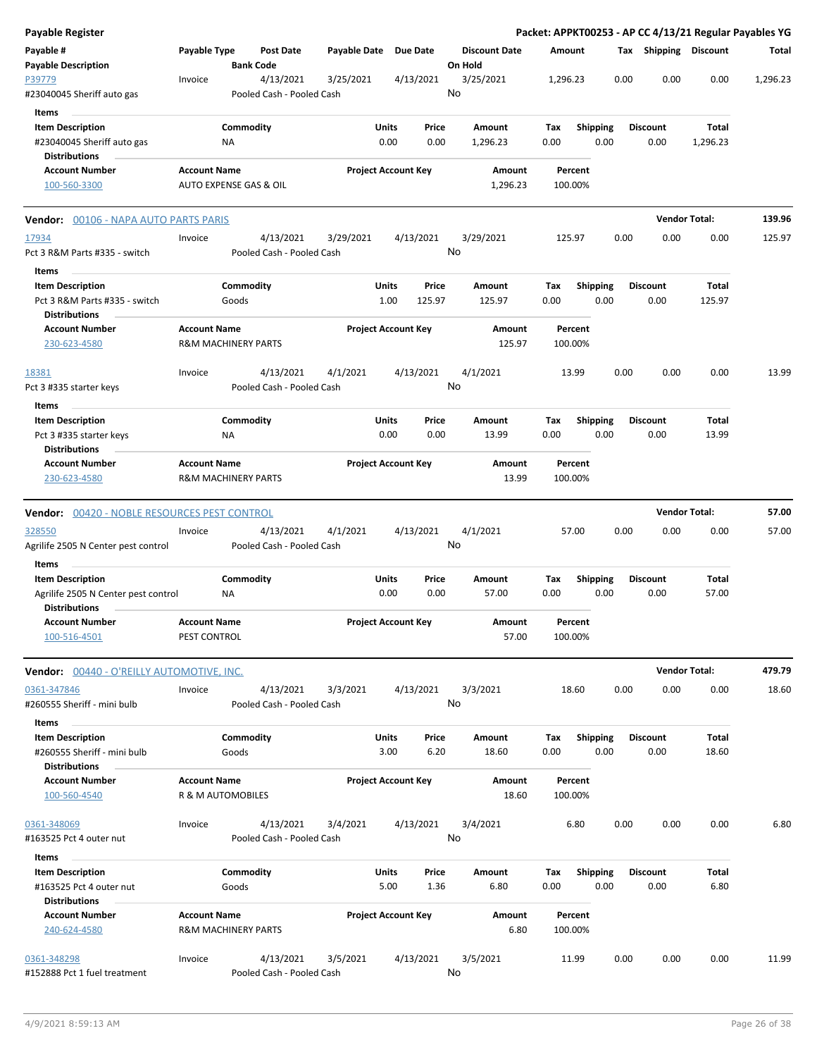| <b>Payable Register</b>                                                   |                     |                                      |                       |                                  |                                 |             |                         |      |                         | Packet: APPKT00253 - AP CC 4/13/21 Regular Payables YG |          |
|---------------------------------------------------------------------------|---------------------|--------------------------------------|-----------------------|----------------------------------|---------------------------------|-------------|-------------------------|------|-------------------------|--------------------------------------------------------|----------|
| Payable #<br><b>Payable Description</b>                                   | Payable Type        | <b>Post Date</b><br><b>Bank Code</b> | Payable Date Due Date |                                  | <b>Discount Date</b><br>On Hold |             | Amount                  |      | Tax Shipping Discount   |                                                        | Total    |
| P39779                                                                    | Invoice             | 4/13/2021                            | 3/25/2021             | 4/13/2021                        | 3/25/2021<br>No                 | 1,296.23    |                         | 0.00 | 0.00                    | 0.00                                                   | 1,296.23 |
| #23040045 Sheriff auto gas                                                |                     | Pooled Cash - Pooled Cash            |                       |                                  |                                 |             |                         |      |                         |                                                        |          |
| Items                                                                     |                     |                                      |                       |                                  |                                 |             |                         |      |                         |                                                        |          |
| <b>Item Description</b><br>#23040045 Sheriff auto gas                     |                     | Commodity<br>ΝA                      |                       | Units<br>Price<br>0.00<br>0.00   | Amount<br>1,296.23              | Tax<br>0.00 | <b>Shipping</b><br>0.00 |      | <b>Discount</b><br>0.00 | Total<br>1,296.23                                      |          |
| <b>Distributions</b>                                                      |                     |                                      |                       |                                  |                                 |             |                         |      |                         |                                                        |          |
| <b>Account Number</b><br>100-560-3300                                     | <b>Account Name</b> | <b>AUTO EXPENSE GAS &amp; OIL</b>    |                       | <b>Project Account Key</b>       | Amount<br>1,296.23              |             | Percent<br>100.00%      |      |                         |                                                        |          |
| <b>Vendor: 00106 - NAPA AUTO PARTS PARIS</b>                              |                     |                                      |                       |                                  |                                 |             |                         |      |                         | <b>Vendor Total:</b>                                   | 139.96   |
| 17934                                                                     | Invoice             | 4/13/2021                            | 3/29/2021             | 4/13/2021                        | 3/29/2021                       |             | 125.97                  | 0.00 | 0.00                    | 0.00                                                   | 125.97   |
| Pct 3 R&M Parts #335 - switch                                             |                     | Pooled Cash - Pooled Cash            |                       |                                  | No                              |             |                         |      |                         |                                                        |          |
| Items                                                                     |                     |                                      |                       |                                  |                                 |             |                         |      |                         |                                                        |          |
| <b>Item Description</b><br>Pct 3 R&M Parts #335 - switch<br>Distributions |                     | Commodity<br>Goods                   |                       | Units<br>Price<br>125.97<br>1.00 | Amount<br>125.97                | Tax<br>0.00 | <b>Shipping</b><br>0.00 |      | <b>Discount</b><br>0.00 | Total<br>125.97                                        |          |
| <b>Account Number</b><br>230-623-4580                                     | <b>Account Name</b> | <b>R&amp;M MACHINERY PARTS</b>       |                       | <b>Project Account Key</b>       | Amount<br>125.97                |             | Percent<br>100.00%      |      |                         |                                                        |          |
| 18381                                                                     | Invoice             | 4/13/2021                            | 4/1/2021              | 4/13/2021                        | 4/1/2021                        |             | 13.99                   | 0.00 | 0.00                    | 0.00                                                   | 13.99    |
| Pct 3 #335 starter keys                                                   |                     | Pooled Cash - Pooled Cash            |                       |                                  | No                              |             |                         |      |                         |                                                        |          |
| Items                                                                     |                     |                                      |                       |                                  |                                 |             |                         |      |                         |                                                        |          |
| <b>Item Description</b>                                                   |                     | Commodity                            |                       | Units<br>Price                   | Amount                          | Tax         | <b>Shipping</b>         |      | <b>Discount</b>         | Total                                                  |          |
| Pct 3 #335 starter keys                                                   |                     | NA                                   |                       | 0.00<br>0.00                     | 13.99                           | 0.00        | 0.00                    |      | 0.00                    | 13.99                                                  |          |
| <b>Distributions</b>                                                      |                     |                                      |                       |                                  |                                 |             |                         |      |                         |                                                        |          |
| <b>Account Number</b>                                                     | <b>Account Name</b> |                                      |                       | <b>Project Account Key</b>       | Amount                          |             | Percent                 |      |                         |                                                        |          |
| 230-623-4580                                                              |                     | <b>R&amp;M MACHINERY PARTS</b>       |                       |                                  | 13.99                           |             | 100.00%                 |      |                         |                                                        |          |
| <b>Vendor: 00420 - NOBLE RESOURCES PEST CONTROL</b>                       |                     |                                      |                       |                                  |                                 |             |                         |      |                         | <b>Vendor Total:</b>                                   | 57.00    |
| 328550                                                                    | Invoice             | 4/13/2021                            | 4/1/2021              | 4/13/2021                        | 4/1/2021                        |             | 57.00                   | 0.00 | 0.00                    | 0.00                                                   | 57.00    |
| Agrilife 2505 N Center pest control                                       |                     | Pooled Cash - Pooled Cash            |                       |                                  | No                              |             |                         |      |                         |                                                        |          |
| Items                                                                     |                     |                                      |                       |                                  |                                 |             |                         |      |                         |                                                        |          |
| <b>Item Description</b>                                                   |                     | Commodity                            |                       | Units<br>Price                   | Amount                          | Tax         | <b>Shipping</b>         |      | <b>Discount</b>         | Total                                                  |          |
| Agrilife 2505 N Center pest control<br><b>Distributions</b>               |                     | ΝA                                   |                       | 0.00<br>0.00                     | 57.00                           | 0.00        | 0.00                    |      | 0.00                    | 57.00                                                  |          |
| Account Number                                                            | <b>Account Name</b> |                                      |                       | <b>Project Account Key</b>       | Amount                          |             | Percent                 |      |                         |                                                        |          |
| 100-516-4501                                                              | PEST CONTROL        |                                      |                       |                                  | 57.00                           |             | 100.00%                 |      |                         |                                                        |          |
| Vendor: 00440 - O'REILLY AUTOMOTIVE, INC.                                 |                     |                                      |                       |                                  |                                 |             |                         |      |                         | <b>Vendor Total:</b>                                   | 479.79   |
| 0361-347846                                                               | Invoice             | 4/13/2021                            | 3/3/2021              | 4/13/2021                        | 3/3/2021                        |             | 18.60                   | 0.00 | 0.00                    | 0.00                                                   | 18.60    |
| #260555 Sheriff - mini bulb                                               |                     | Pooled Cash - Pooled Cash            |                       |                                  | No                              |             |                         |      |                         |                                                        |          |
| Items                                                                     |                     |                                      |                       |                                  |                                 |             |                         |      |                         |                                                        |          |
| <b>Item Description</b>                                                   |                     | Commodity                            |                       | Units<br>Price                   | Amount                          | Tax         | <b>Shipping</b>         |      | <b>Discount</b>         | Total                                                  |          |
| #260555 Sheriff - mini bulb                                               |                     | Goods                                |                       | 3.00<br>6.20                     | 18.60                           | 0.00        | 0.00                    |      | 0.00                    | 18.60                                                  |          |
| <b>Distributions</b>                                                      |                     |                                      |                       |                                  |                                 |             |                         |      |                         |                                                        |          |
| <b>Account Number</b>                                                     | <b>Account Name</b> |                                      |                       | <b>Project Account Key</b>       | Amount                          |             | Percent                 |      |                         |                                                        |          |
| 100-560-4540                                                              |                     | R & M AUTOMOBILES                    |                       |                                  | 18.60                           |             | 100.00%                 |      |                         |                                                        |          |
| 0361-348069                                                               | Invoice             | 4/13/2021                            | 3/4/2021              | 4/13/2021                        | 3/4/2021                        |             | 6.80                    | 0.00 | 0.00                    | 0.00                                                   | 6.80     |
| #163525 Pct 4 outer nut                                                   |                     | Pooled Cash - Pooled Cash            |                       |                                  | No                              |             |                         |      |                         |                                                        |          |
| Items                                                                     |                     |                                      |                       |                                  |                                 |             |                         |      |                         |                                                        |          |
| <b>Item Description</b>                                                   |                     | Commodity                            |                       | Units<br>Price                   | Amount                          | Tax         | <b>Shipping</b>         |      | <b>Discount</b>         | Total                                                  |          |
| #163525 Pct 4 outer nut                                                   |                     | Goods                                |                       | 5.00<br>1.36                     | 6.80                            | 0.00        | 0.00                    |      | 0.00                    | 6.80                                                   |          |
| <b>Distributions</b>                                                      |                     |                                      |                       |                                  |                                 |             |                         |      |                         |                                                        |          |
| <b>Account Number</b><br>240-624-4580                                     | <b>Account Name</b> | <b>R&amp;M MACHINERY PARTS</b>       |                       | <b>Project Account Key</b>       | Amount<br>6.80                  |             | Percent<br>100.00%      |      |                         |                                                        |          |
| 0361-348298                                                               | Invoice             | 4/13/2021                            | 3/5/2021              | 4/13/2021                        | 3/5/2021                        |             | 11.99                   | 0.00 | 0.00                    | 0.00                                                   | 11.99    |
| #152888 Pct 1 fuel treatment                                              |                     | Pooled Cash - Pooled Cash            |                       |                                  | No                              |             |                         |      |                         |                                                        |          |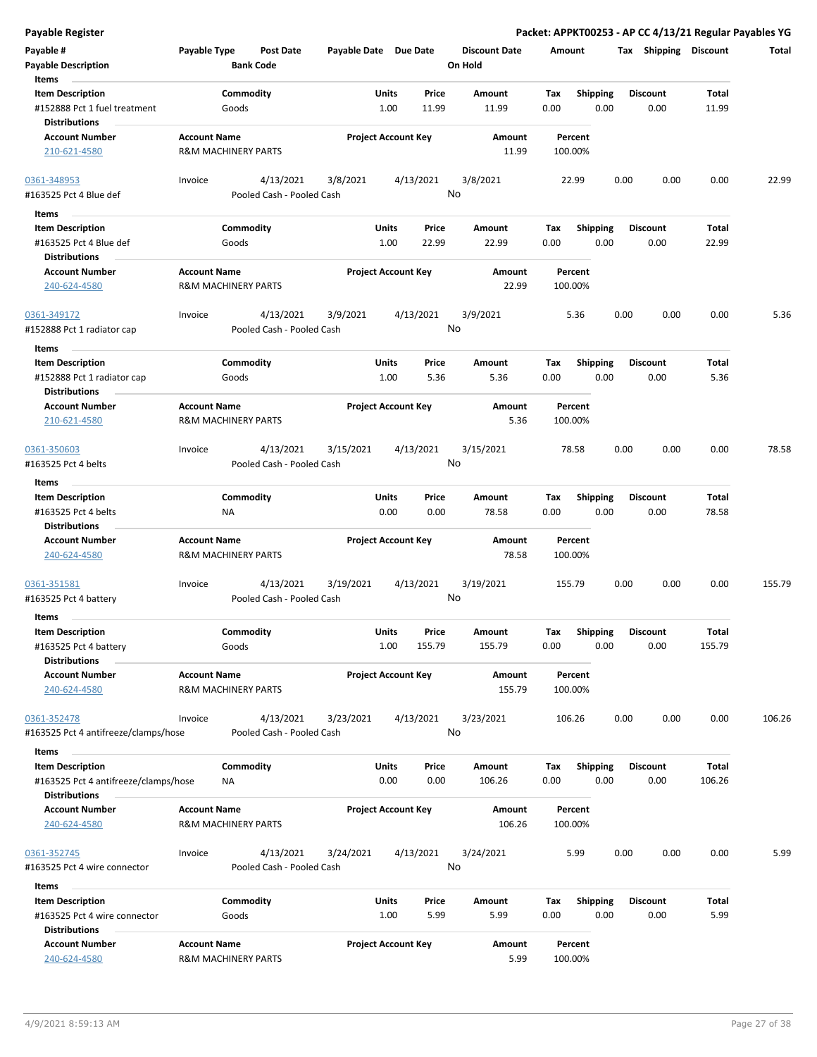| Payable #<br><b>Payable Description</b>              | Payable Type                                          |           | Post Date<br><b>Bank Code</b> | Payable Date Due Date |              |                            | <b>Discount Date</b><br>On Hold | Amount |                    |      | Tax Shipping Discount |              | Total  |
|------------------------------------------------------|-------------------------------------------------------|-----------|-------------------------------|-----------------------|--------------|----------------------------|---------------------------------|--------|--------------------|------|-----------------------|--------------|--------|
| Items                                                |                                                       |           |                               |                       |              |                            |                                 |        |                    |      |                       |              |        |
| <b>Item Description</b>                              |                                                       | Commodity |                               |                       | Units        | Price                      | Amount                          | Tax    | <b>Shipping</b>    |      | <b>Discount</b>       | Total        |        |
| #152888 Pct 1 fuel treatment<br><b>Distributions</b> |                                                       | Goods     |                               |                       | 1.00         | 11.99                      | 11.99                           | 0.00   | 0.00               |      | 0.00                  | 11.99        |        |
| <b>Account Number</b>                                | <b>Account Name</b>                                   |           |                               |                       |              | <b>Project Account Key</b> | Amount                          |        | Percent            |      |                       |              |        |
| 210-621-4580                                         | <b>R&amp;M MACHINERY PARTS</b>                        |           |                               |                       |              |                            | 11.99                           |        | 100.00%            |      |                       |              |        |
| 0361-348953                                          | Invoice                                               |           | 4/13/2021                     | 3/8/2021              |              | 4/13/2021                  | 3/8/2021<br>No                  |        | 22.99              | 0.00 | 0.00                  | 0.00         | 22.99  |
| #163525 Pct 4 Blue def                               |                                                       |           | Pooled Cash - Pooled Cash     |                       |              |                            |                                 |        |                    |      |                       |              |        |
| Items                                                |                                                       |           |                               |                       |              |                            |                                 |        |                    |      |                       |              |        |
| <b>Item Description</b>                              |                                                       | Commodity |                               |                       | Units        | Price                      | Amount                          | Tax    | <b>Shipping</b>    |      | <b>Discount</b>       | Total        |        |
| #163525 Pct 4 Blue def                               |                                                       | Goods     |                               |                       | 1.00         | 22.99                      | 22.99                           | 0.00   | 0.00               |      | 0.00                  | 22.99        |        |
| <b>Distributions</b>                                 |                                                       |           |                               |                       |              |                            |                                 |        |                    |      |                       |              |        |
| <b>Account Number</b>                                | <b>Account Name</b>                                   |           |                               |                       |              | <b>Project Account Key</b> | Amount                          |        | Percent            |      |                       |              |        |
| 240-624-4580                                         | <b>R&amp;M MACHINERY PARTS</b>                        |           |                               |                       |              |                            | 22.99                           |        | 100.00%            |      |                       |              |        |
| 0361-349172                                          | Invoice                                               |           | 4/13/2021                     | 3/9/2021              |              | 4/13/2021                  | 3/9/2021                        |        | 5.36               | 0.00 | 0.00                  | 0.00         | 5.36   |
| #152888 Pct 1 radiator cap                           |                                                       |           | Pooled Cash - Pooled Cash     |                       |              |                            | No                              |        |                    |      |                       |              |        |
| <b>Items</b>                                         |                                                       |           |                               |                       |              |                            |                                 |        |                    |      |                       |              |        |
| <b>Item Description</b>                              |                                                       | Commodity |                               |                       | Units        | Price                      | <b>Amount</b>                   | Tax    | <b>Shipping</b>    |      | <b>Discount</b>       | Total        |        |
| #152888 Pct 1 radiator cap                           |                                                       | Goods     |                               |                       | 1.00         | 5.36                       | 5.36                            | 0.00   | 0.00               |      | 0.00                  | 5.36         |        |
| <b>Distributions</b>                                 |                                                       |           |                               |                       |              |                            |                                 |        |                    |      |                       |              |        |
| <b>Account Number</b>                                | <b>Account Name</b>                                   |           |                               |                       |              | <b>Project Account Key</b> | Amount                          |        | Percent            |      |                       |              |        |
| 210-621-4580                                         | <b>R&amp;M MACHINERY PARTS</b>                        |           |                               |                       |              |                            | 5.36                            |        | 100.00%            |      |                       |              |        |
| 0361-350603                                          | Invoice                                               |           | 4/13/2021                     | 3/15/2021             |              | 4/13/2021                  | 3/15/2021                       |        | 78.58              | 0.00 | 0.00                  | 0.00         | 78.58  |
| #163525 Pct 4 belts                                  |                                                       |           | Pooled Cash - Pooled Cash     |                       |              |                            | No                              |        |                    |      |                       |              |        |
| Items                                                |                                                       |           |                               |                       |              |                            |                                 |        |                    |      |                       |              |        |
| <b>Item Description</b>                              |                                                       | Commodity |                               |                       | Units        | Price                      | Amount                          | Tax    | Shipping           |      | <b>Discount</b>       | Total        |        |
| #163525 Pct 4 belts                                  |                                                       | <b>NA</b> |                               |                       | 0.00         | 0.00                       | 78.58                           | 0.00   | 0.00               |      | 0.00                  | 78.58        |        |
| <b>Distributions</b>                                 |                                                       |           |                               |                       |              |                            |                                 |        |                    |      |                       |              |        |
| <b>Account Number</b>                                | <b>Account Name</b>                                   |           |                               |                       |              | <b>Project Account Key</b> | Amount                          |        | Percent            |      |                       |              |        |
| 240-624-4580                                         | R&M MACHINERY PARTS                                   |           |                               |                       |              |                            | 78.58                           |        | 100.00%            |      |                       |              |        |
|                                                      |                                                       |           |                               |                       |              |                            |                                 |        |                    |      |                       |              |        |
| 0361-351581                                          | Invoice                                               |           | 4/13/2021                     | 3/19/2021             |              | 4/13/2021                  | 3/19/2021                       |        | 155.79             | 0.00 | 0.00                  | 0.00         | 155.79 |
| #163525 Pct 4 battery                                |                                                       |           | Pooled Cash - Pooled Cash     |                       |              |                            | No                              |        |                    |      |                       |              |        |
| Items                                                |                                                       |           |                               |                       |              |                            |                                 |        |                    |      |                       |              |        |
| <b>Item Description</b>                              |                                                       | Commodity |                               |                       | <b>Units</b> | Price                      | Amount                          | Tax    | <b>Shipping</b>    |      | <b>Discount</b>       | <b>Total</b> |        |
| #163525 Pct 4 battery                                |                                                       | Goods     |                               |                       | 1.00         | 155.79                     | 155.79                          | 0.00   | 0.00               |      | 0.00                  | 155.79       |        |
| <b>Distributions</b>                                 |                                                       |           |                               |                       |              |                            |                                 |        |                    |      |                       |              |        |
| <b>Account Number</b><br>240-624-4580                | <b>Account Name</b><br><b>R&amp;M MACHINERY PARTS</b> |           |                               |                       |              | <b>Project Account Key</b> | Amount<br>155.79                |        | Percent<br>100.00% |      |                       |              |        |
| 0361-352478                                          | Invoice                                               |           | 4/13/2021                     | 3/23/2021             |              | 4/13/2021                  | 3/23/2021                       |        | 106.26             | 0.00 | 0.00                  | 0.00         | 106.26 |
| #163525 Pct 4 antifreeze/clamps/hose                 |                                                       |           | Pooled Cash - Pooled Cash     |                       |              |                            | No                              |        |                    |      |                       |              |        |
|                                                      |                                                       |           |                               |                       |              |                            |                                 |        |                    |      |                       |              |        |
| Items                                                |                                                       |           |                               |                       |              |                            |                                 |        |                    |      |                       |              |        |
| <b>Item Description</b>                              |                                                       | Commodity |                               |                       | Units        | Price                      | Amount                          | Тах    | Shipping           |      | <b>Discount</b>       | Total        |        |
| #163525 Pct 4 antifreeze/clamps/hose                 |                                                       | ΝA        |                               |                       | 0.00         | 0.00                       | 106.26                          | 0.00   | 0.00               |      | 0.00                  | 106.26       |        |
| <b>Distributions</b>                                 |                                                       |           |                               |                       |              |                            |                                 |        |                    |      |                       |              |        |
| <b>Account Number</b>                                | <b>Account Name</b>                                   |           |                               |                       |              | <b>Project Account Key</b> | Amount                          |        | Percent            |      |                       |              |        |
| 240-624-4580                                         | <b>R&amp;M MACHINERY PARTS</b>                        |           |                               |                       |              |                            | 106.26                          |        | 100.00%            |      |                       |              |        |
| 0361-352745                                          | Invoice                                               |           | 4/13/2021                     | 3/24/2021             |              | 4/13/2021                  | 3/24/2021                       |        | 5.99               | 0.00 | 0.00                  | 0.00         | 5.99   |
| #163525 Pct 4 wire connector                         |                                                       |           | Pooled Cash - Pooled Cash     |                       |              |                            | No                              |        |                    |      |                       |              |        |
| Items                                                |                                                       |           |                               |                       |              |                            |                                 |        |                    |      |                       |              |        |
| <b>Item Description</b>                              |                                                       | Commodity |                               |                       | Units        | Price                      | Amount                          | Tax    | Shipping           |      | <b>Discount</b>       | Total        |        |
|                                                      |                                                       |           |                               |                       | 1.00         |                            | 5.99                            | 0.00   | 0.00               |      | 0.00                  | 5.99         |        |
| #163525 Pct 4 wire connector<br><b>Distributions</b> |                                                       | Goods     |                               |                       |              | 5.99                       |                                 |        |                    |      |                       |              |        |
| <b>Account Number</b>                                | <b>Account Name</b>                                   |           |                               |                       |              | <b>Project Account Key</b> | Amount                          |        | Percent            |      |                       |              |        |
| 240-624-4580                                         | <b>R&amp;M MACHINERY PARTS</b>                        |           |                               |                       |              |                            | 5.99                            |        | 100.00%            |      |                       |              |        |
|                                                      |                                                       |           |                               |                       |              |                            |                                 |        |                    |      |                       |              |        |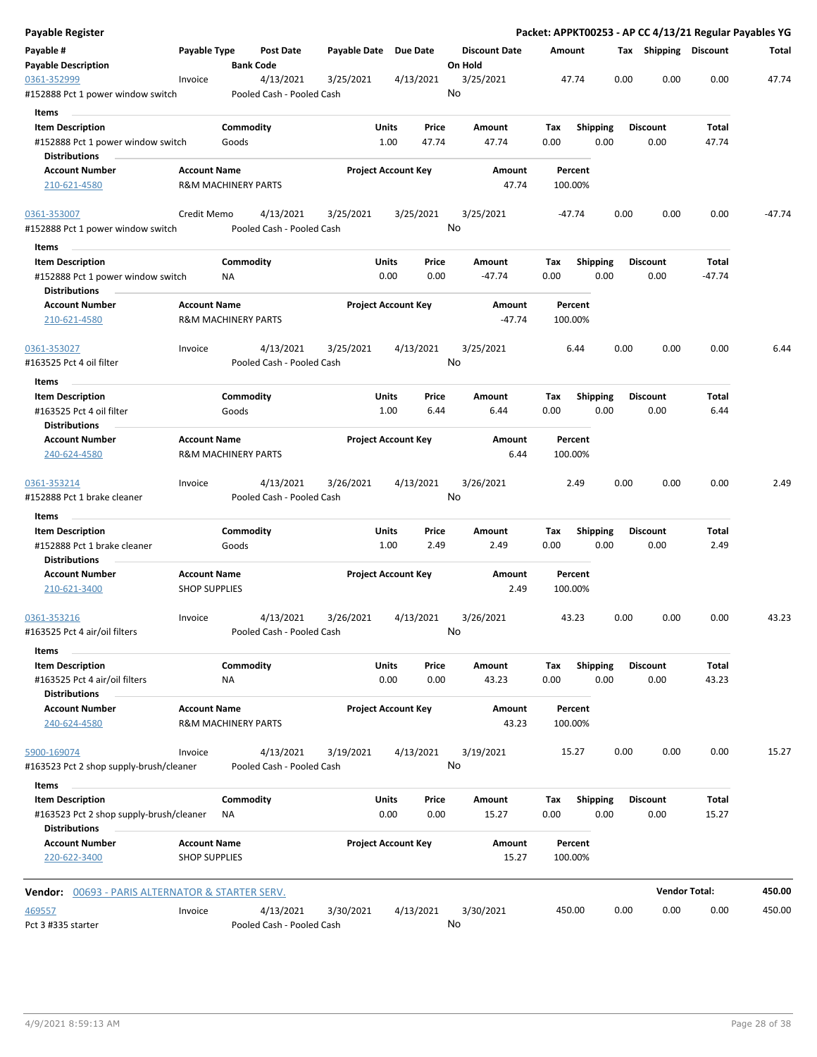| Payable Register                                                   |                                                       |                    |                                        |                            |               |                |                 |                      |             |                 |      |                         | Packet: APPKT00253 - AP CC 4/13/21 Regular Payables YG |          |
|--------------------------------------------------------------------|-------------------------------------------------------|--------------------|----------------------------------------|----------------------------|---------------|----------------|-----------------|----------------------|-------------|-----------------|------|-------------------------|--------------------------------------------------------|----------|
| Payable #<br><b>Payable Description</b>                            | Payable Type                                          |                    | Post Date<br><b>Bank Code</b>          | Payable Date Due Date      |               |                | On Hold         | <b>Discount Date</b> | Amount      |                 |      | Tax Shipping Discount   |                                                        | Total    |
| 0361-352999<br>#152888 Pct 1 power window switch                   | Invoice                                               |                    | 4/13/2021<br>Pooled Cash - Pooled Cash | 3/25/2021                  |               | 4/13/2021      | 3/25/2021<br>No |                      |             | 47.74           | 0.00 | 0.00                    | 0.00                                                   | 47.74    |
| Items                                                              |                                                       |                    |                                        |                            |               |                |                 |                      |             |                 |      |                         |                                                        |          |
| <b>Item Description</b><br>#152888 Pct 1 power window switch       |                                                       | Commodity<br>Goods |                                        |                            | Units<br>1.00 | Price<br>47.74 |                 | Amount<br>47.74      | Tax<br>0.00 | <b>Shipping</b> | 0.00 | <b>Discount</b><br>0.00 | Total<br>47.74                                         |          |
| <b>Distributions</b>                                               |                                                       |                    |                                        |                            |               |                |                 |                      |             |                 |      |                         |                                                        |          |
| <b>Account Number</b><br>210-621-4580                              | <b>Account Name</b><br><b>R&amp;M MACHINERY PARTS</b> |                    |                                        | <b>Project Account Key</b> |               |                |                 | Amount<br>47.74      | 100.00%     | Percent         |      |                         |                                                        |          |
| 0361-353007                                                        | Credit Memo                                           |                    | 4/13/2021                              | 3/25/2021                  |               | 3/25/2021      | 3/25/2021       |                      |             | -47.74          | 0.00 | 0.00                    | 0.00                                                   | $-47.74$ |
| #152888 Pct 1 power window switch                                  |                                                       |                    | Pooled Cash - Pooled Cash              |                            |               |                | No              |                      |             |                 |      |                         |                                                        |          |
| Items                                                              |                                                       |                    |                                        |                            |               |                |                 |                      |             |                 |      |                         |                                                        |          |
| <b>Item Description</b>                                            |                                                       | Commodity          |                                        |                            | Units         | Price          |                 | Amount               | Tax         | <b>Shipping</b> |      | <b>Discount</b>         | Total                                                  |          |
| #152888 Pct 1 power window switch<br><b>Distributions</b>          |                                                       | <b>NA</b>          |                                        |                            | 0.00          | 0.00           |                 | $-47.74$             | 0.00        |                 | 0.00 | 0.00                    | $-47.74$                                               |          |
| <b>Account Number</b><br>210-621-4580                              | <b>Account Name</b><br><b>R&amp;M MACHINERY PARTS</b> |                    |                                        | <b>Project Account Key</b> |               |                |                 | Amount<br>$-47.74$   | 100.00%     | Percent         |      |                         |                                                        |          |
| 0361-353027<br>#163525 Pct 4 oil filter                            | Invoice                                               |                    | 4/13/2021<br>Pooled Cash - Pooled Cash | 3/25/2021                  |               | 4/13/2021      | 3/25/2021<br>No |                      |             | 6.44            | 0.00 | 0.00                    | 0.00                                                   | 6.44     |
|                                                                    |                                                       |                    |                                        |                            |               |                |                 |                      |             |                 |      |                         |                                                        |          |
| Items                                                              |                                                       |                    |                                        |                            |               |                |                 |                      |             |                 |      |                         |                                                        |          |
| <b>Item Description</b><br>#163525 Pct 4 oil filter                |                                                       | Commodity<br>Goods |                                        |                            | Units<br>1.00 | Price<br>6.44  |                 | Amount<br>6.44       | Tax<br>0.00 | <b>Shipping</b> | 0.00 | <b>Discount</b><br>0.00 | Total<br>6.44                                          |          |
| <b>Distributions</b>                                               |                                                       |                    |                                        |                            |               |                |                 |                      |             |                 |      |                         |                                                        |          |
| <b>Account Number</b><br>240-624-4580                              | <b>Account Name</b><br><b>R&amp;M MACHINERY PARTS</b> |                    |                                        | <b>Project Account Key</b> |               |                |                 | Amount<br>6.44       | 100.00%     | Percent         |      |                         |                                                        |          |
| 0361-353214                                                        | Invoice                                               |                    | 4/13/2021                              | 3/26/2021                  |               | 4/13/2021      | 3/26/2021       |                      |             | 2.49            | 0.00 | 0.00                    | 0.00                                                   | 2.49     |
| #152888 Pct 1 brake cleaner<br>Items                               |                                                       |                    | Pooled Cash - Pooled Cash              |                            |               |                | No              |                      |             |                 |      |                         |                                                        |          |
| <b>Item Description</b>                                            |                                                       | Commodity          |                                        |                            | Units         | Price          |                 | Amount               | Tax         | Shipping        |      | <b>Discount</b>         | Total                                                  |          |
| #152888 Pct 1 brake cleaner<br><b>Distributions</b>                |                                                       | Goods              |                                        |                            | 1.00          | 2.49           |                 | 2.49                 | 0.00        |                 | 0.00 | 0.00                    | 2.49                                                   |          |
| <b>Account Number</b>                                              | <b>Account Name</b>                                   |                    |                                        | <b>Project Account Key</b> |               |                |                 | Amount               |             | Percent         |      |                         |                                                        |          |
| 210-621-3400                                                       | <b>SHOP SUPPLIES</b>                                  |                    |                                        |                            |               |                |                 | 2.49                 | 100.00%     |                 |      |                         |                                                        |          |
| 0361-353216                                                        | Invoice                                               |                    | 4/13/2021                              | 3/26/2021                  |               | 4/13/2021      | 3/26/2021       |                      |             | 43.23           | 0.00 | 0.00                    | 0.00                                                   | 43.23    |
| #163525 Pct 4 air/oil filters                                      |                                                       |                    | Pooled Cash - Pooled Cash              |                            |               |                | No              |                      |             |                 |      |                         |                                                        |          |
| Items<br><b>Item Description</b>                                   |                                                       | Commodity          |                                        |                            | Units         | Price          |                 | Amount               | Tax         | Shipping        |      | <b>Discount</b>         | Total                                                  |          |
| #163525 Pct 4 air/oil filters                                      |                                                       | <b>NA</b>          |                                        |                            | 0.00          | 0.00           |                 | 43.23                | 0.00        |                 | 0.00 | 0.00                    | 43.23                                                  |          |
| <b>Distributions</b>                                               |                                                       |                    |                                        |                            |               |                |                 |                      |             |                 |      |                         |                                                        |          |
| <b>Account Number</b><br>240-624-4580                              | <b>Account Name</b><br><b>R&amp;M MACHINERY PARTS</b> |                    |                                        | <b>Project Account Key</b> |               |                |                 | Amount<br>43.23      | 100.00%     | Percent         |      |                         |                                                        |          |
| 5900-169074                                                        | Invoice                                               |                    | 4/13/2021                              | 3/19/2021                  |               | 4/13/2021      | 3/19/2021       |                      |             | 15.27           | 0.00 | 0.00                    | 0.00                                                   | 15.27    |
| #163523 Pct 2 shop supply-brush/cleaner                            |                                                       |                    | Pooled Cash - Pooled Cash              |                            |               |                | No              |                      |             |                 |      |                         |                                                        |          |
| Items                                                              |                                                       |                    |                                        |                            |               |                |                 |                      |             |                 |      |                         |                                                        |          |
| <b>Item Description</b><br>#163523 Pct 2 shop supply-brush/cleaner |                                                       | Commodity<br>ΝA    |                                        |                            | Units<br>0.00 | Price<br>0.00  |                 | Amount<br>15.27      | Tax<br>0.00 | <b>Shipping</b> | 0.00 | <b>Discount</b><br>0.00 | Total<br>15.27                                         |          |
| <b>Distributions</b><br><b>Account Number</b><br>220-622-3400      | <b>Account Name</b><br><b>SHOP SUPPLIES</b>           |                    |                                        | <b>Project Account Key</b> |               |                |                 | Amount<br>15.27      | 100.00%     | Percent         |      |                         |                                                        |          |
| <b>Vendor:</b> 00693 - PARIS ALTERNATOR & STARTER SERV.            |                                                       |                    |                                        |                            |               |                |                 |                      |             |                 |      |                         | <b>Vendor Total:</b>                                   | 450.00   |
|                                                                    |                                                       |                    |                                        |                            |               |                |                 |                      |             |                 |      |                         |                                                        |          |
| 469557<br>Pct 3 #335 starter                                       | Invoice                                               |                    | 4/13/2021<br>Pooled Cash - Pooled Cash | 3/30/2021                  |               | 4/13/2021      | 3/30/2021<br>No |                      | 450.00      |                 | 0.00 | 0.00                    | 0.00                                                   | 450.00   |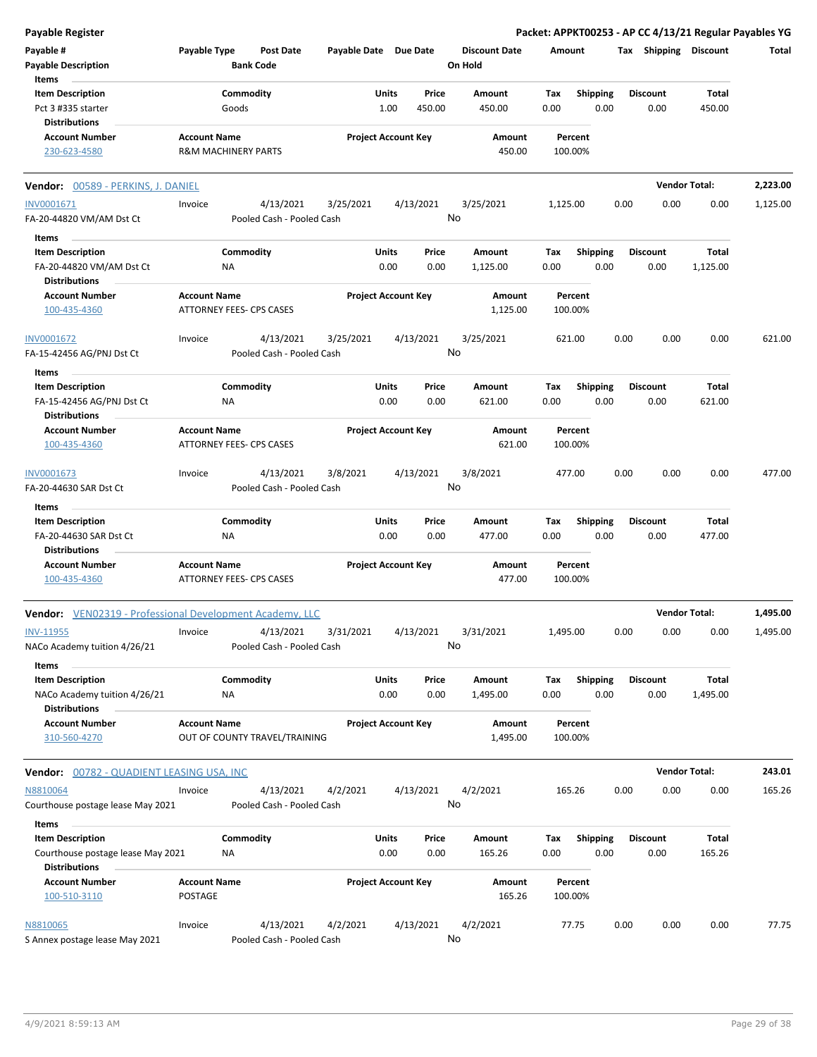| <b>Payable Register</b>                                         |                          |                                 |                               |           |       |                            |    |                      |          |                 |      |                       | Packet: APPKT00253 - AP CC 4/13/21 Regular Payables YG |          |
|-----------------------------------------------------------------|--------------------------|---------------------------------|-------------------------------|-----------|-------|----------------------------|----|----------------------|----------|-----------------|------|-----------------------|--------------------------------------------------------|----------|
| Payable #                                                       | Payable Type             |                                 | <b>Post Date</b>              |           |       | Payable Date Due Date      |    | <b>Discount Date</b> | Amount   |                 |      | Tax Shipping Discount |                                                        | Total    |
| <b>Payable Description</b>                                      |                          | <b>Bank Code</b>                |                               |           |       |                            |    | On Hold              |          |                 |      |                       |                                                        |          |
| Items                                                           |                          |                                 |                               |           |       |                            |    |                      |          |                 |      |                       |                                                        |          |
| <b>Item Description</b>                                         |                          | Commodity                       |                               |           | Units | Price                      |    | Amount               | Tax      | Shipping        |      | <b>Discount</b>       | Total                                                  |          |
| Pct 3 #335 starter                                              |                          | Goods                           |                               |           | 1.00  | 450.00                     |    | 450.00               | 0.00     | 0.00            |      | 0.00                  | 450.00                                                 |          |
| <b>Distributions</b>                                            |                          |                                 |                               |           |       |                            |    |                      |          |                 |      |                       |                                                        |          |
| <b>Account Number</b>                                           | <b>Account Name</b>      |                                 |                               |           |       | <b>Project Account Key</b> |    | Amount               |          | Percent         |      |                       |                                                        |          |
| 230-623-4580                                                    |                          | <b>R&amp;M MACHINERY PARTS</b>  |                               |           |       |                            |    | 450.00               |          | 100.00%         |      |                       |                                                        |          |
|                                                                 |                          |                                 |                               |           |       |                            |    |                      |          |                 |      |                       |                                                        |          |
| Vendor: 00589 - PERKINS, J. DANIEL                              |                          |                                 |                               |           |       |                            |    |                      |          |                 |      |                       | <b>Vendor Total:</b>                                   | 2,223.00 |
| INV0001671                                                      | Invoice                  |                                 | 4/13/2021                     | 3/25/2021 |       | 4/13/2021                  |    | 3/25/2021            | 1,125.00 |                 | 0.00 | 0.00                  | 0.00                                                   | 1,125.00 |
| FA-20-44820 VM/AM Dst Ct                                        |                          |                                 | Pooled Cash - Pooled Cash     |           |       |                            | No |                      |          |                 |      |                       |                                                        |          |
| Items                                                           |                          |                                 |                               |           |       |                            |    |                      |          |                 |      |                       |                                                        |          |
| <b>Item Description</b>                                         |                          | Commodity                       |                               |           | Units | Price                      |    | Amount               | Tax      | <b>Shipping</b> |      | <b>Discount</b>       | Total                                                  |          |
| FA-20-44820 VM/AM Dst Ct                                        |                          | ΝA                              |                               |           | 0.00  | 0.00                       |    | 1,125.00             | 0.00     | 0.00            |      | 0.00                  | 1,125.00                                               |          |
| <b>Distributions</b>                                            |                          |                                 |                               |           |       |                            |    |                      |          |                 |      |                       |                                                        |          |
|                                                                 |                          |                                 |                               |           |       | <b>Project Account Key</b> |    |                      |          | Percent         |      |                       |                                                        |          |
| <b>Account Number</b>                                           | <b>Account Name</b>      |                                 |                               |           |       |                            |    | Amount               |          |                 |      |                       |                                                        |          |
| 100-435-4360                                                    | ATTORNEY FEES- CPS CASES |                                 |                               |           |       |                            |    | 1,125.00             |          | 100.00%         |      |                       |                                                        |          |
| INV0001672                                                      | Invoice                  |                                 | 4/13/2021                     | 3/25/2021 |       | 4/13/2021                  |    | 3/25/2021            |          | 621.00          | 0.00 | 0.00                  | 0.00                                                   | 621.00   |
| FA-15-42456 AG/PNJ Dst Ct                                       |                          |                                 | Pooled Cash - Pooled Cash     |           |       |                            | No |                      |          |                 |      |                       |                                                        |          |
|                                                                 |                          |                                 |                               |           |       |                            |    |                      |          |                 |      |                       |                                                        |          |
| Items                                                           |                          |                                 |                               |           |       |                            |    |                      |          |                 |      |                       |                                                        |          |
| <b>Item Description</b>                                         |                          | Commodity                       |                               |           | Units | Price                      |    | Amount               | Tax      | <b>Shipping</b> |      | <b>Discount</b>       | Total                                                  |          |
| FA-15-42456 AG/PNJ Dst Ct                                       |                          | ΝA                              |                               |           | 0.00  | 0.00                       |    | 621.00               | 0.00     | 0.00            |      | 0.00                  | 621.00                                                 |          |
| <b>Distributions</b>                                            |                          |                                 |                               |           |       |                            |    |                      |          |                 |      |                       |                                                        |          |
| <b>Account Number</b>                                           | <b>Account Name</b>      |                                 |                               |           |       | <b>Project Account Key</b> |    | Amount               |          | Percent         |      |                       |                                                        |          |
| 100-435-4360                                                    |                          | <b>ATTORNEY FEES- CPS CASES</b> |                               |           |       |                            |    | 621.00               |          | 100.00%         |      |                       |                                                        |          |
| INV0001673                                                      | Invoice                  |                                 | 4/13/2021                     | 3/8/2021  |       | 4/13/2021                  |    | 3/8/2021             |          | 477.00          | 0.00 | 0.00                  | 0.00                                                   | 477.00   |
|                                                                 |                          |                                 | Pooled Cash - Pooled Cash     |           |       |                            | No |                      |          |                 |      |                       |                                                        |          |
| FA-20-44630 SAR Dst Ct                                          |                          |                                 |                               |           |       |                            |    |                      |          |                 |      |                       |                                                        |          |
| Items                                                           |                          |                                 |                               |           |       |                            |    |                      |          |                 |      |                       |                                                        |          |
| <b>Item Description</b>                                         |                          | Commodity                       |                               |           | Units | Price                      |    | Amount               | Tax      | <b>Shipping</b> |      | <b>Discount</b>       | Total                                                  |          |
| FA-20-44630 SAR Dst Ct                                          |                          | NA                              |                               |           | 0.00  | 0.00                       |    | 477.00               | 0.00     | 0.00            |      | 0.00                  | 477.00                                                 |          |
| <b>Distributions</b>                                            |                          |                                 |                               |           |       |                            |    |                      |          |                 |      |                       |                                                        |          |
| <b>Account Number</b>                                           | <b>Account Name</b>      |                                 |                               |           |       | <b>Project Account Key</b> |    | Amount               |          | Percent         |      |                       |                                                        |          |
| 100-435-4360                                                    |                          | ATTORNEY FEES- CPS CASES        |                               |           |       |                            |    | 477.00               |          | 100.00%         |      |                       |                                                        |          |
|                                                                 |                          |                                 |                               |           |       |                            |    |                      |          |                 |      |                       | <b>Vendor Total:</b>                                   | 1,495.00 |
| <b>Vendor:</b> VEN02319 - Professional Development Academy, LLC |                          |                                 |                               |           |       |                            |    |                      |          |                 |      |                       |                                                        |          |
| <b>INV-11955</b>                                                | Invoice                  |                                 | 4/13/2021                     | 3/31/2021 |       | 4/13/2021                  |    | 3/31/2021            | 1,495.00 |                 | 0.00 | 0.00                  | 0.00                                                   | 1,495.00 |
| NACo Academy tuition 4/26/21                                    |                          |                                 | Pooled Cash - Pooled Cash     |           |       |                            | No |                      |          |                 |      |                       |                                                        |          |
| Items                                                           |                          |                                 |                               |           |       |                            |    |                      |          |                 |      |                       |                                                        |          |
| <b>Item Description</b>                                         |                          | Commodity                       |                               |           | Units | Price                      |    | Amount               | Tax      | <b>Shipping</b> |      | <b>Discount</b>       | Total                                                  |          |
| NACo Academy tuition 4/26/21                                    |                          | ΝA                              |                               |           | 0.00  | 0.00                       |    | 1,495.00             | 0.00     | 0.00            |      | 0.00                  | 1,495.00                                               |          |
| <b>Distributions</b>                                            |                          |                                 |                               |           |       |                            |    |                      |          |                 |      |                       |                                                        |          |
| <b>Account Number</b>                                           | <b>Account Name</b>      |                                 |                               |           |       | <b>Project Account Key</b> |    | Amount               |          | Percent         |      |                       |                                                        |          |
| 310-560-4270                                                    |                          |                                 | OUT OF COUNTY TRAVEL/TRAINING |           |       |                            |    | 1,495.00             |          | 100.00%         |      |                       |                                                        |          |
|                                                                 |                          |                                 |                               |           |       |                            |    |                      |          |                 |      |                       |                                                        |          |
| Vendor: 00782 - QUADIENT LEASING USA, INC                       |                          |                                 |                               |           |       |                            |    |                      |          |                 |      |                       | <b>Vendor Total:</b>                                   | 243.01   |
| N8810064                                                        | Invoice                  |                                 | 4/13/2021                     | 4/2/2021  |       | 4/13/2021                  |    | 4/2/2021             |          | 165.26          | 0.00 | 0.00                  | 0.00                                                   | 165.26   |
|                                                                 |                          |                                 |                               |           |       |                            | No |                      |          |                 |      |                       |                                                        |          |
| Courthouse postage lease May 2021                               |                          |                                 | Pooled Cash - Pooled Cash     |           |       |                            |    |                      |          |                 |      |                       |                                                        |          |
| Items                                                           |                          |                                 |                               |           |       |                            |    |                      |          |                 |      |                       |                                                        |          |
| <b>Item Description</b>                                         |                          | Commodity                       |                               |           | Units | Price                      |    | Amount               | Tax      | <b>Shipping</b> |      | Discount              | Total                                                  |          |
| Courthouse postage lease May 2021                               |                          | ΝA                              |                               |           | 0.00  | 0.00                       |    | 165.26               | 0.00     | 0.00            |      | 0.00                  | 165.26                                                 |          |
| <b>Distributions</b>                                            |                          |                                 |                               |           |       |                            |    |                      |          |                 |      |                       |                                                        |          |
| <b>Account Number</b>                                           | <b>Account Name</b>      |                                 |                               |           |       | <b>Project Account Key</b> |    | Amount               |          | Percent         |      |                       |                                                        |          |
| 100-510-3110                                                    | POSTAGE                  |                                 |                               |           |       |                            |    | 165.26               |          | 100.00%         |      |                       |                                                        |          |
|                                                                 |                          |                                 |                               |           |       |                            |    |                      |          |                 |      |                       |                                                        |          |
| N8810065                                                        | Invoice                  |                                 | 4/13/2021                     | 4/2/2021  |       | 4/13/2021                  |    | 4/2/2021             |          | 77.75           | 0.00 | 0.00                  | 0.00                                                   | 77.75    |
| S Annex postage lease May 2021                                  |                          |                                 | Pooled Cash - Pooled Cash     |           |       |                            | No |                      |          |                 |      |                       |                                                        |          |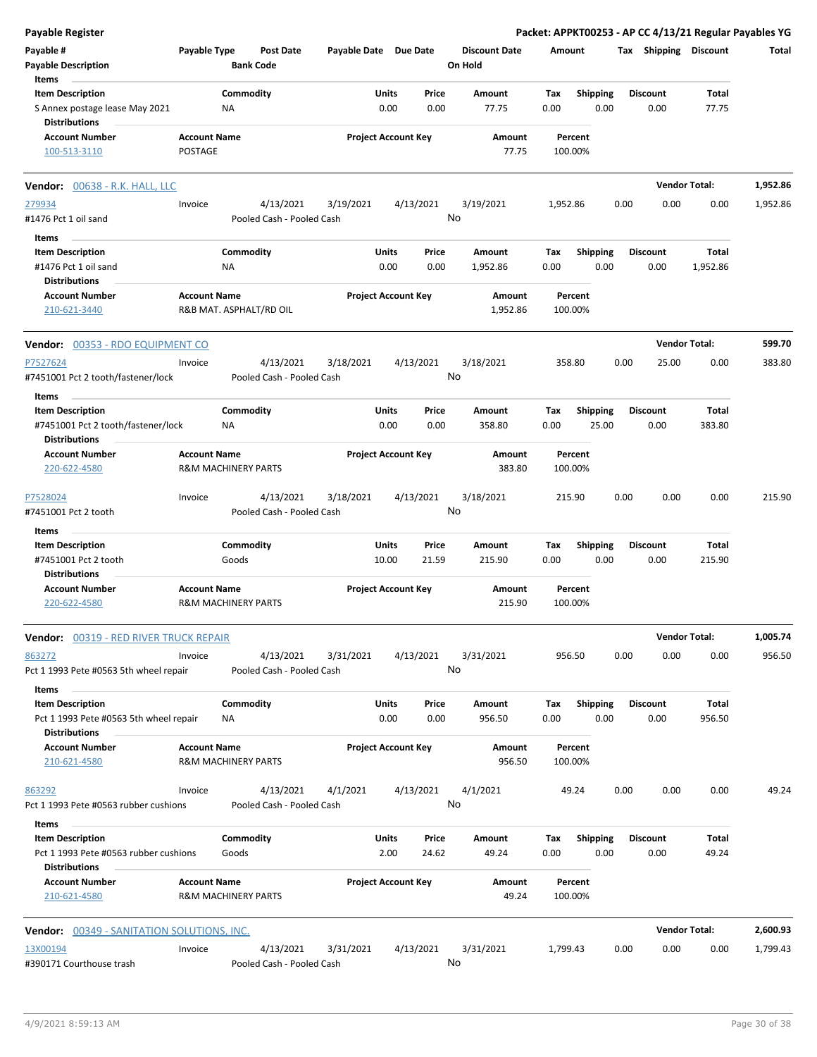| <b>Payable Register</b>                                                                           |                                                       |                    |                                        |                       |                            |                |                                 |             |                          |      |                         | Packet: APPKT00253 - AP CC 4/13/21 Regular Payables YG |          |
|---------------------------------------------------------------------------------------------------|-------------------------------------------------------|--------------------|----------------------------------------|-----------------------|----------------------------|----------------|---------------------------------|-------------|--------------------------|------|-------------------------|--------------------------------------------------------|----------|
| Payable #<br><b>Payable Description</b>                                                           | Payable Type                                          | <b>Bank Code</b>   | Post Date                              | Payable Date Due Date |                            |                | <b>Discount Date</b><br>On Hold |             | Amount                   |      | Tax Shipping Discount   |                                                        | Total    |
| Items<br><b>Item Description</b><br>S Annex postage lease May 2021<br><b>Distributions</b>        |                                                       | Commodity<br>ΝA    |                                        |                       | Units<br>0.00              | Price<br>0.00  | Amount<br>77.75                 | Tax<br>0.00 | Shipping<br>0.00         |      | <b>Discount</b><br>0.00 | Total<br>77.75                                         |          |
| <b>Account Number</b><br>100-513-3110                                                             | <b>Account Name</b><br><b>POSTAGE</b>                 |                    |                                        |                       | <b>Project Account Key</b> |                | Amount<br>77.75                 |             | Percent<br>100.00%       |      |                         |                                                        |          |
| Vendor: 00638 - R.K. HALL, LLC                                                                    |                                                       |                    |                                        |                       |                            |                |                                 |             |                          |      |                         | <b>Vendor Total:</b>                                   | 1,952.86 |
| 279934<br>#1476 Pct 1 oil sand                                                                    | Invoice                                               |                    | 4/13/2021<br>Pooled Cash - Pooled Cash | 3/19/2021             |                            | 4/13/2021      | 3/19/2021<br>No                 | 1,952.86    |                          | 0.00 | 0.00                    | 0.00                                                   | 1,952.86 |
| Items<br><b>Item Description</b><br>#1476 Pct 1 oil sand                                          |                                                       | Commodity<br>ΝA    |                                        |                       | Units<br>0.00              | Price<br>0.00  | Amount<br>1,952.86              | Tax<br>0.00 | <b>Shipping</b><br>0.00  |      | <b>Discount</b><br>0.00 | Total<br>1,952.86                                      |          |
| <b>Distributions</b><br><b>Account Number</b><br>210-621-3440                                     | <b>Account Name</b><br>R&B MAT. ASPHALT/RD OIL        |                    |                                        |                       | <b>Project Account Key</b> |                | Amount<br>1,952.86              |             | Percent<br>100.00%       |      |                         |                                                        |          |
| <b>Vendor: 00353 - RDO EQUIPMENT CO</b>                                                           |                                                       |                    |                                        |                       |                            |                |                                 |             |                          |      |                         | <b>Vendor Total:</b>                                   | 599.70   |
| P7527624<br>#7451001 Pct 2 tooth/fastener/lock                                                    | Invoice                                               |                    | 4/13/2021<br>Pooled Cash - Pooled Cash | 3/18/2021             |                            | 4/13/2021      | 3/18/2021<br>No                 |             | 358.80                   | 0.00 | 25.00                   | 0.00                                                   | 383.80   |
| Items<br><b>Item Description</b><br>#7451001 Pct 2 tooth/fastener/lock<br><b>Distributions</b>    |                                                       | Commodity<br>NA    |                                        |                       | Units<br>0.00              | Price<br>0.00  | Amount<br>358.80                | Tax<br>0.00 | <b>Shipping</b><br>25.00 |      | <b>Discount</b><br>0.00 | Total<br>383.80                                        |          |
| <b>Account Number</b><br>220-622-4580                                                             | <b>Account Name</b><br><b>R&amp;M MACHINERY PARTS</b> |                    |                                        |                       | <b>Project Account Key</b> |                | Amount<br>383.80                |             | Percent<br>100.00%       |      |                         |                                                        |          |
| P7528024<br>#7451001 Pct 2 tooth                                                                  | Invoice                                               |                    | 4/13/2021<br>Pooled Cash - Pooled Cash | 3/18/2021             |                            | 4/13/2021      | 3/18/2021<br>No                 |             | 215.90                   | 0.00 | 0.00                    | 0.00                                                   | 215.90   |
| Items<br><b>Item Description</b><br>#7451001 Pct 2 tooth<br><b>Distributions</b>                  |                                                       | Commodity<br>Goods |                                        |                       | Units<br>10.00             | Price<br>21.59 | Amount<br>215.90                | Tax<br>0.00 | <b>Shipping</b><br>0.00  |      | <b>Discount</b><br>0.00 | Total<br>215.90                                        |          |
| <b>Account Number</b><br>220-622-4580                                                             | <b>Account Name</b><br><b>R&amp;M MACHINERY PARTS</b> |                    |                                        |                       | <b>Project Account Key</b> |                | Amount<br>215.90                |             | Percent<br>100.00%       |      |                         |                                                        |          |
| <b>Vendor:</b> 00319 - RED RIVER TRUCK REPAIR                                                     |                                                       |                    |                                        |                       |                            |                |                                 |             |                          |      |                         | <b>Vendor Total:</b>                                   | 1,005.74 |
| 863272<br>Pct 1 1993 Pete #0563 5th wheel repair<br>Items                                         | Invoice                                               |                    | 4/13/2021<br>Pooled Cash - Pooled Cash | 3/31/2021             |                            | 4/13/2021      | 3/31/2021<br>No                 |             | 956.50                   | 0.00 | 0.00                    | 0.00                                                   | 956.50   |
| <b>Item Description</b><br>Pct 1 1993 Pete #0563 5th wheel repair<br><b>Distributions</b>         |                                                       | Commodity<br>ΝA    |                                        |                       | Units<br>0.00              | Price<br>0.00  | Amount<br>956.50                | Тах<br>0.00 | <b>Shipping</b><br>0.00  |      | <b>Discount</b><br>0.00 | Total<br>956.50                                        |          |
| <b>Account Number</b><br>210-621-4580                                                             | <b>Account Name</b><br><b>R&amp;M MACHINERY PARTS</b> |                    |                                        |                       | <b>Project Account Key</b> |                | Amount<br>956.50                |             | Percent<br>100.00%       |      |                         |                                                        |          |
| 863292<br>Pct 1 1993 Pete #0563 rubber cushions                                                   | Invoice                                               |                    | 4/13/2021<br>Pooled Cash - Pooled Cash | 4/1/2021              |                            | 4/13/2021      | 4/1/2021<br>No                  |             | 49.24                    | 0.00 | 0.00                    | 0.00                                                   | 49.24    |
| Items<br><b>Item Description</b><br>Pct 1 1993 Pete #0563 rubber cushions<br><b>Distributions</b> |                                                       | Commodity<br>Goods |                                        |                       | Units<br>2.00              | Price<br>24.62 | Amount<br>49.24                 | Tax<br>0.00 | <b>Shipping</b><br>0.00  |      | <b>Discount</b><br>0.00 | Total<br>49.24                                         |          |
| <b>Account Number</b><br>210-621-4580                                                             | <b>Account Name</b><br><b>R&amp;M MACHINERY PARTS</b> |                    |                                        |                       | <b>Project Account Key</b> |                | Amount<br>49.24                 |             | Percent<br>100.00%       |      |                         |                                                        |          |
| <b>Vendor: 00349 - SANITATION SOLUTIONS, INC.</b>                                                 |                                                       |                    |                                        |                       |                            |                |                                 |             |                          |      |                         | <b>Vendor Total:</b>                                   | 2,600.93 |
| 13X00194<br>#390171 Courthouse trash                                                              | Invoice                                               |                    | 4/13/2021<br>Pooled Cash - Pooled Cash | 3/31/2021             |                            | 4/13/2021      | 3/31/2021<br>No                 | 1,799.43    |                          | 0.00 | 0.00                    | 0.00                                                   | 1,799.43 |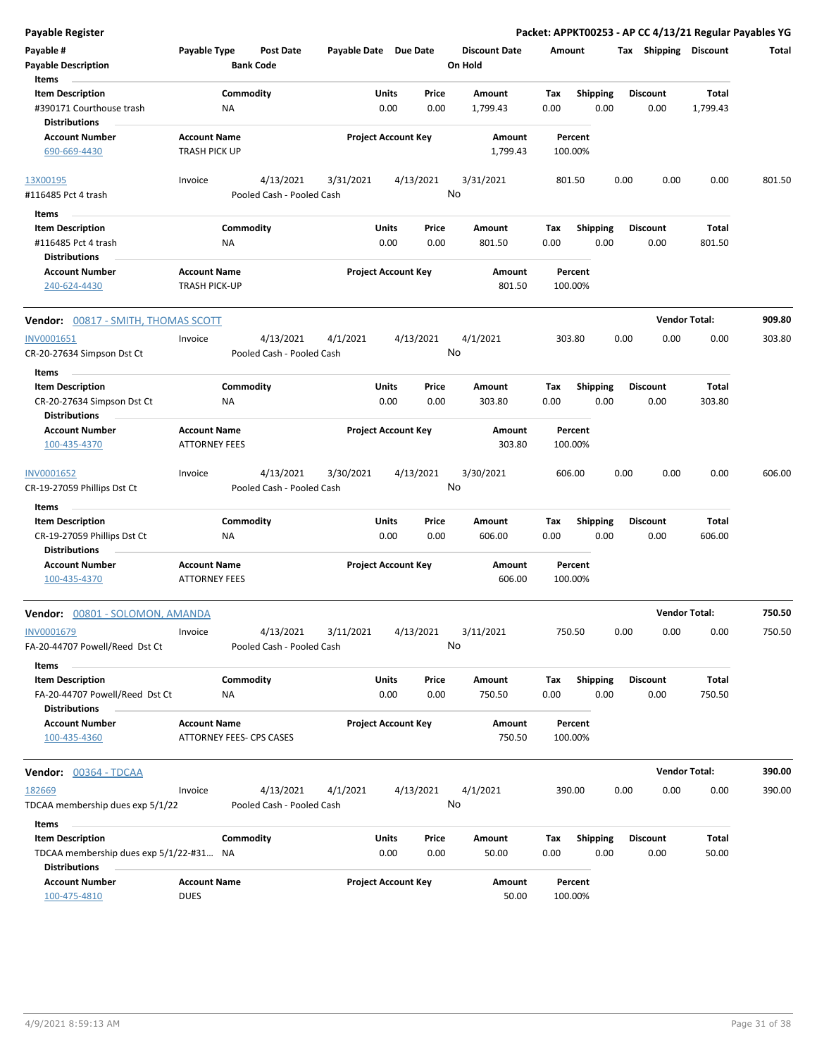| Payable #<br><b>Payable Description</b>                                                             | Payable Type                                |                 | <b>Post Date</b><br><b>Bank Code</b>   | Payable Date Due Date |                            |                 | <b>Discount Date</b><br>On Hold | Amount      |                         | Tax  | <b>Shipping</b>         | <b>Discount</b>   | Total  |
|-----------------------------------------------------------------------------------------------------|---------------------------------------------|-----------------|----------------------------------------|-----------------------|----------------------------|-----------------|---------------------------------|-------------|-------------------------|------|-------------------------|-------------------|--------|
| Items<br><b>Item Description</b><br>#390171 Courthouse trash                                        |                                             | Commodity<br>ΝA |                                        |                       | Units<br>0.00              | Price<br>0.00   | Amount<br>1,799.43              | Tax<br>0.00 | <b>Shipping</b><br>0.00 |      | <b>Discount</b><br>0.00 | Total<br>1,799.43 |        |
| <b>Distributions</b><br><b>Account Number</b><br>690-669-4430                                       | <b>Account Name</b><br><b>TRASH PICK UP</b> |                 |                                        |                       | <b>Project Account Key</b> |                 | Amount<br>1,799.43              |             | Percent<br>100.00%      |      |                         |                   |        |
| 13X00195<br>#116485 Pct 4 trash                                                                     | Invoice                                     |                 | 4/13/2021<br>Pooled Cash - Pooled Cash | 3/31/2021             |                            | 4/13/2021<br>No | 3/31/2021                       |             | 801.50                  | 0.00 | 0.00                    | 0.00              | 801.50 |
| Items                                                                                               |                                             |                 |                                        |                       |                            |                 |                                 |             |                         |      |                         |                   |        |
| <b>Item Description</b><br>#116485 Pct 4 trash<br><b>Distributions</b>                              |                                             | Commodity<br>NA |                                        |                       | Units<br>0.00              | Price<br>0.00   | Amount<br>801.50                | Tax<br>0.00 | <b>Shipping</b><br>0.00 |      | <b>Discount</b><br>0.00 | Total<br>801.50   |        |
| <b>Account Number</b><br>240-624-4430                                                               | <b>Account Name</b><br><b>TRASH PICK-UP</b> |                 |                                        |                       | <b>Project Account Key</b> |                 | Amount<br>801.50                |             | Percent<br>100.00%      |      |                         |                   |        |
| Vendor: 00817 - SMITH, THOMAS SCOTT                                                                 |                                             |                 |                                        |                       |                            |                 |                                 |             |                         |      | <b>Vendor Total:</b>    |                   | 909.80 |
| INV0001651<br>CR-20-27634 Simpson Dst Ct                                                            | Invoice                                     |                 | 4/13/2021<br>Pooled Cash - Pooled Cash | 4/1/2021              |                            | 4/13/2021<br>No | 4/1/2021                        |             | 303.80                  | 0.00 | 0.00                    | 0.00              | 303.80 |
| Items<br><b>Item Description</b><br>CR-20-27634 Simpson Dst Ct                                      |                                             | Commodity<br>NA |                                        |                       | Units<br>0.00              | Price<br>0.00   | Amount<br>303.80                | Tax<br>0.00 | <b>Shipping</b><br>0.00 |      | <b>Discount</b><br>0.00 | Total<br>303.80   |        |
| <b>Distributions</b><br><b>Account Number</b><br>100-435-4370                                       | <b>Account Name</b><br><b>ATTORNEY FEES</b> |                 |                                        |                       | <b>Project Account Key</b> |                 | Amount<br>303.80                |             | Percent<br>100.00%      |      |                         |                   |        |
| INV0001652<br>CR-19-27059 Phillips Dst Ct                                                           | Invoice                                     |                 | 4/13/2021<br>Pooled Cash - Pooled Cash | 3/30/2021             |                            | 4/13/2021<br>No | 3/30/2021                       |             | 606.00                  | 0.00 | 0.00                    | 0.00              | 606.00 |
| Items<br><b>Item Description</b>                                                                    |                                             | Commodity       |                                        |                       | Units                      | Price           | Amount                          | Tax         | <b>Shipping</b>         |      | <b>Discount</b>         | Total             |        |
| CR-19-27059 Phillips Dst Ct<br><b>Distributions</b>                                                 |                                             | ΝA              |                                        |                       | 0.00                       | 0.00            | 606.00                          | 0.00        | 0.00                    |      | 0.00                    | 606.00            |        |
| <b>Account Number</b><br>100-435-4370                                                               | <b>Account Name</b><br><b>ATTORNEY FEES</b> |                 |                                        |                       | <b>Project Account Key</b> |                 | Amount<br>606.00                |             | Percent<br>100.00%      |      |                         |                   |        |
| Vendor: 00801 - SOLOMON, AMANDA                                                                     |                                             |                 |                                        |                       |                            |                 |                                 |             |                         |      | <b>Vendor Total:</b>    |                   | 750.50 |
| INV0001679<br>FA-20-44707 Powell/Reed Dst Ct                                                        | Invoice                                     |                 | 4/13/2021<br>Pooled Cash - Pooled Cash | 3/11/2021             |                            | 4/13/2021<br>No | 3/11/2021                       |             | 750.50                  | 0.00 | 0.00                    | 0.00              | 750.50 |
| Items                                                                                               |                                             | Commodity       |                                        |                       | Units                      |                 |                                 |             |                         |      | <b>Discount</b>         | Total             |        |
| <b>Item Description</b><br>FA-20-44707 Powell/Reed Dst Ct<br><b>Distributions</b>                   |                                             | <b>NA</b>       |                                        |                       | 0.00                       | Price<br>0.00   | Amount<br>750.50                | Tax<br>0.00 | Shipping<br>0.00        |      | 0.00                    | 750.50            |        |
| <b>Account Number</b><br>100-435-4360                                                               | <b>Account Name</b>                         |                 | ATTORNEY FEES- CPS CASES               |                       | <b>Project Account Key</b> |                 | Amount<br>750.50                |             | Percent<br>100.00%      |      |                         |                   |        |
| Vendor: 00364 - TDCAA                                                                               |                                             |                 |                                        |                       |                            |                 |                                 |             |                         |      | <b>Vendor Total:</b>    |                   | 390.00 |
| 182669<br>TDCAA membership dues exp 5/1/22                                                          | Invoice                                     |                 | 4/13/2021<br>Pooled Cash - Pooled Cash | 4/1/2021              |                            | 4/13/2021<br>No | 4/1/2021                        |             | 390.00                  | 0.00 | 0.00                    | 0.00              | 390.00 |
| Items<br><b>Item Description</b><br>TDCAA membership dues exp 5/1/22-#31 NA<br><b>Distributions</b> |                                             | Commodity       |                                        |                       | Units<br>0.00              | Price<br>0.00   | Amount<br>50.00                 | Tax<br>0.00 | <b>Shipping</b><br>0.00 |      | <b>Discount</b><br>0.00 | Total<br>50.00    |        |
| <b>Account Number</b><br>100-475-4810                                                               | <b>Account Name</b><br><b>DUES</b>          |                 |                                        |                       | <b>Project Account Key</b> |                 | Amount<br>50.00                 |             | Percent<br>100.00%      |      |                         |                   |        |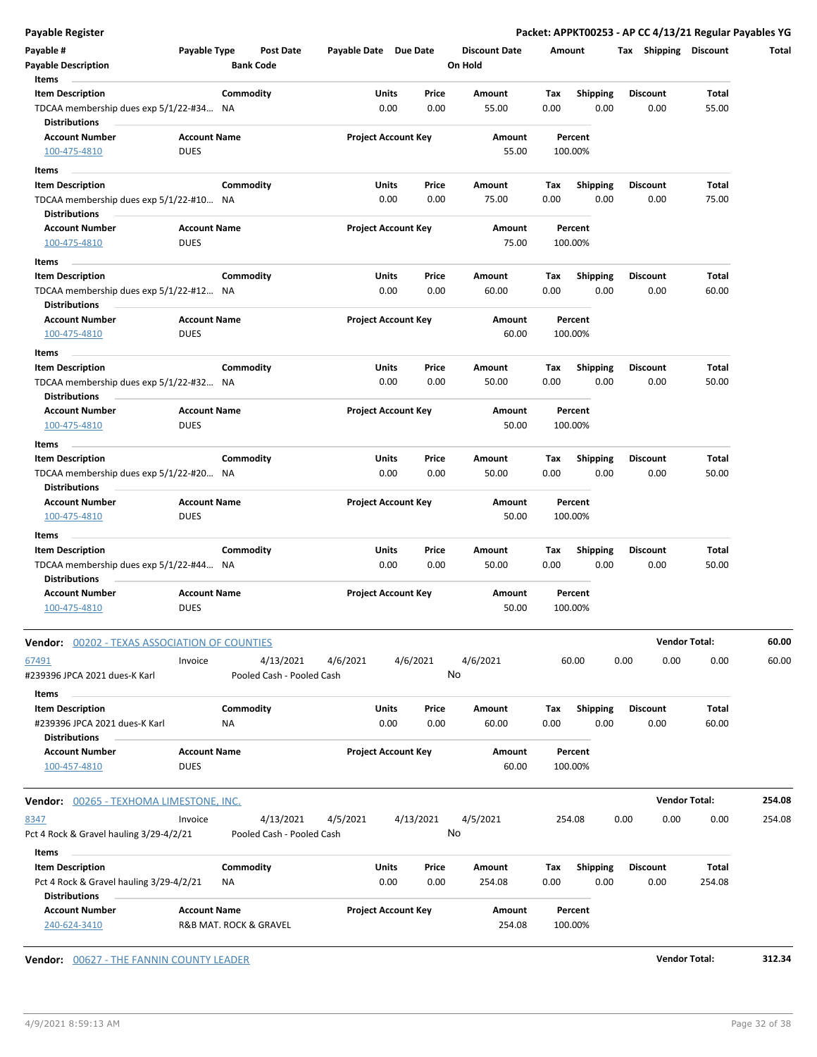| Payable #                                                                                                                                                     | Payable Type                       | <b>Post Date</b> | Payable Date Due Date                              |                            |       | <b>Discount Date</b> | Amount |                         | Tax Shipping    |                      | <b>Discount</b>      | Total  |
|---------------------------------------------------------------------------------------------------------------------------------------------------------------|------------------------------------|------------------|----------------------------------------------------|----------------------------|-------|----------------------|--------|-------------------------|-----------------|----------------------|----------------------|--------|
| <b>Payable Description</b>                                                                                                                                    |                                    | <b>Bank Code</b> |                                                    |                            |       | On Hold              |        |                         |                 |                      |                      |        |
| Items<br><b>Item Description</b>                                                                                                                              |                                    | Commodity        |                                                    | Units                      | Price | Amount               | Tax    |                         | <b>Discount</b> |                      | Total                |        |
| TDCAA membership dues exp 5/1/22-#34 NA                                                                                                                       |                                    |                  |                                                    | 0.00                       | 0.00  | 55.00                | 0.00   | <b>Shipping</b><br>0.00 |                 | 0.00                 | 55.00                |        |
| <b>Distributions</b>                                                                                                                                          |                                    |                  |                                                    |                            |       |                      |        |                         |                 |                      |                      |        |
| <b>Account Number</b>                                                                                                                                         | <b>Account Name</b>                |                  |                                                    | <b>Project Account Key</b> |       | Amount               |        | Percent                 |                 |                      |                      |        |
| 100-475-4810                                                                                                                                                  | <b>DUES</b>                        |                  |                                                    |                            |       | 55.00                |        | 100.00%                 |                 |                      |                      |        |
| Items                                                                                                                                                         |                                    |                  |                                                    |                            |       |                      |        |                         |                 |                      |                      |        |
| <b>Item Description</b>                                                                                                                                       |                                    | Commodity        |                                                    | Units                      | Price | Amount               | Tax    | <b>Shipping</b>         | <b>Discount</b> |                      | Total                |        |
| TDCAA membership dues exp 5/1/22-#10 NA                                                                                                                       |                                    |                  |                                                    | 0.00                       | 0.00  | 75.00                | 0.00   | 0.00                    |                 | 0.00                 | 75.00                |        |
| <b>Distributions</b>                                                                                                                                          |                                    |                  |                                                    |                            |       |                      |        |                         |                 |                      |                      |        |
| <b>Account Number</b>                                                                                                                                         | <b>Account Name</b>                |                  |                                                    | <b>Project Account Key</b> |       | Amount               |        | Percent                 |                 |                      |                      |        |
| 100-475-4810                                                                                                                                                  | <b>DUES</b>                        |                  |                                                    |                            |       | 75.00                |        | 100.00%                 |                 |                      |                      |        |
| Items                                                                                                                                                         |                                    |                  |                                                    |                            |       |                      |        |                         |                 |                      |                      |        |
| <b>Item Description</b>                                                                                                                                       |                                    | Commodity        |                                                    | <b>Units</b>               | Price | Amount               | Tax    | <b>Shipping</b>         | <b>Discount</b> |                      | Total                |        |
| TDCAA membership dues exp 5/1/22-#12 NA<br><b>Distributions</b>                                                                                               |                                    |                  |                                                    | 0.00                       | 0.00  | 60.00                | 0.00   | 0.00                    |                 | 0.00                 | 60.00                |        |
| <b>Account Number</b><br>100-475-4810                                                                                                                         | <b>Account Name</b><br><b>DUES</b> |                  |                                                    | <b>Project Account Key</b> |       | Amount<br>60.00      |        | Percent<br>100.00%      |                 |                      |                      |        |
| Items                                                                                                                                                         |                                    |                  |                                                    |                            |       |                      |        |                         |                 |                      |                      |        |
| <b>Item Description</b>                                                                                                                                       |                                    | Commodity        |                                                    | <b>Units</b>               | Price | Amount               | Tax    | <b>Shipping</b>         | <b>Discount</b> |                      | Total                |        |
| TDCAA membership dues exp 5/1/22-#32 NA<br><b>Distributions</b>                                                                                               |                                    |                  |                                                    | 0.00                       | 0.00  | 50.00                | 0.00   | 0.00                    |                 | 0.00                 | 50.00                |        |
| <b>Account Number</b>                                                                                                                                         | <b>Account Name</b>                |                  |                                                    | <b>Project Account Key</b> |       | Amount               |        | Percent                 |                 |                      |                      |        |
| 100-475-4810                                                                                                                                                  | <b>DUES</b>                        |                  |                                                    |                            |       | 50.00                |        | 100.00%                 |                 |                      |                      |        |
| Items                                                                                                                                                         |                                    |                  |                                                    |                            |       |                      |        |                         |                 |                      |                      |        |
| <b>Item Description</b>                                                                                                                                       |                                    | Commodity        |                                                    | Units                      | Price | Amount               | Tax    | <b>Shipping</b>         | <b>Discount</b> |                      | Total                |        |
| TDCAA membership dues exp 5/1/22-#20 NA<br><b>Distributions</b>                                                                                               |                                    |                  |                                                    | 0.00                       | 0.00  | 50.00                | 0.00   | 0.00                    |                 | 0.00                 | 50.00                |        |
| <b>Account Number</b>                                                                                                                                         | <b>Account Name</b>                |                  |                                                    | <b>Project Account Key</b> |       | Amount               |        | Percent                 |                 |                      |                      |        |
| 100-475-4810                                                                                                                                                  | <b>DUES</b>                        |                  |                                                    |                            |       | 50.00                |        | 100.00%                 |                 |                      |                      |        |
| Items                                                                                                                                                         |                                    |                  |                                                    |                            |       |                      |        |                         |                 |                      |                      |        |
| <b>Item Description</b>                                                                                                                                       |                                    | Commodity        |                                                    | Units                      | Price | Amount               | Tax    | <b>Shipping</b>         | <b>Discount</b> |                      | Total                |        |
| TDCAA membership dues exp 5/1/22-#44 NA<br><b>Distributions</b>                                                                                               |                                    |                  |                                                    | 0.00                       | 0.00  | 50.00                | 0.00   | 0.00                    |                 | 0.00                 | 50.00                |        |
| <b>Account Number</b><br>100-475-4810                                                                                                                         | <b>Account Name</b><br><b>DUES</b> |                  |                                                    | <b>Project Account Key</b> |       | Amount<br>50.00      |        | Percent<br>100.00%      |                 |                      |                      |        |
| Vendor: 00202 - TEXAS ASSOCIATION OF COUNTIES                                                                                                                 |                                    |                  |                                                    |                            |       |                      |        |                         |                 | <b>Vendor Total:</b> |                      | 60.00  |
| 67491<br>#239396 JPCA 2021 dues-K Karl                                                                                                                        | Invoice                            |                  | 4/13/2021<br>4/6/2021<br>Pooled Cash - Pooled Cash | 4/6/2021                   | No    | 4/6/2021             |        | 60.00                   | 0.00            | 0.00                 | 0.00                 | 60.00  |
| Items                                                                                                                                                         |                                    |                  |                                                    |                            |       |                      |        |                         |                 |                      |                      |        |
| <b>Item Description</b>                                                                                                                                       |                                    | Commodity        |                                                    | Units                      | Price | Amount               | Tax    | <b>Shipping</b>         | <b>Discount</b> |                      | Total                |        |
| #239396 JPCA 2021 dues-K Karl<br><b>Distributions</b>                                                                                                         |                                    | ΝA               |                                                    | 0.00                       | 0.00  | 60.00                | 0.00   | 0.00                    |                 | 0.00                 | 60.00                |        |
| <b>Account Number</b>                                                                                                                                         | <b>Account Name</b>                |                  |                                                    | <b>Project Account Key</b> |       | Amount               |        | Percent                 |                 |                      |                      |        |
| 100-457-4810                                                                                                                                                  | <b>DUES</b>                        |                  |                                                    |                            |       | 60.00                |        | 100.00%                 |                 |                      |                      |        |
|                                                                                                                                                               |                                    |                  |                                                    |                            |       |                      |        |                         |                 |                      |                      |        |
|                                                                                                                                                               |                                    |                  |                                                    |                            |       |                      |        |                         |                 |                      | <b>Vendor Total:</b> | 254.08 |
|                                                                                                                                                               | Invoice                            |                  | 4/13/2021<br>4/5/2021                              | 4/13/2021                  |       | 4/5/2021             | 254.08 |                         | 0.00            | 0.00                 | 0.00                 |        |
|                                                                                                                                                               |                                    |                  | Pooled Cash - Pooled Cash                          |                            | No    |                      |        |                         |                 |                      |                      |        |
| Items                                                                                                                                                         |                                    |                  |                                                    |                            |       |                      |        |                         |                 |                      |                      | 254.08 |
| <b>Item Description</b>                                                                                                                                       |                                    | Commodity        |                                                    | Units                      | Price | Amount               | Tax    | Shipping                | <b>Discount</b> |                      | Total                |        |
| <b>Vendor:</b> 00265 - TEXHOMA LIMESTONE, INC.<br>8347<br>Pct 4 Rock & Gravel hauling 3/29-4/2/21<br>Pct 4 Rock & Gravel hauling 3/29-4/2/21<br>Distributions |                                    | ΝA               |                                                    | 0.00                       | 0.00  | 254.08               | 0.00   | 0.00                    |                 | 0.00                 | 254.08               |        |

**Vendor:** 00627 - THE FANNIN COUNTY LEADER **Vendor Total: 312.34**

 $\overline{\phantom{a}}$ 

 $\frac{1}{2}$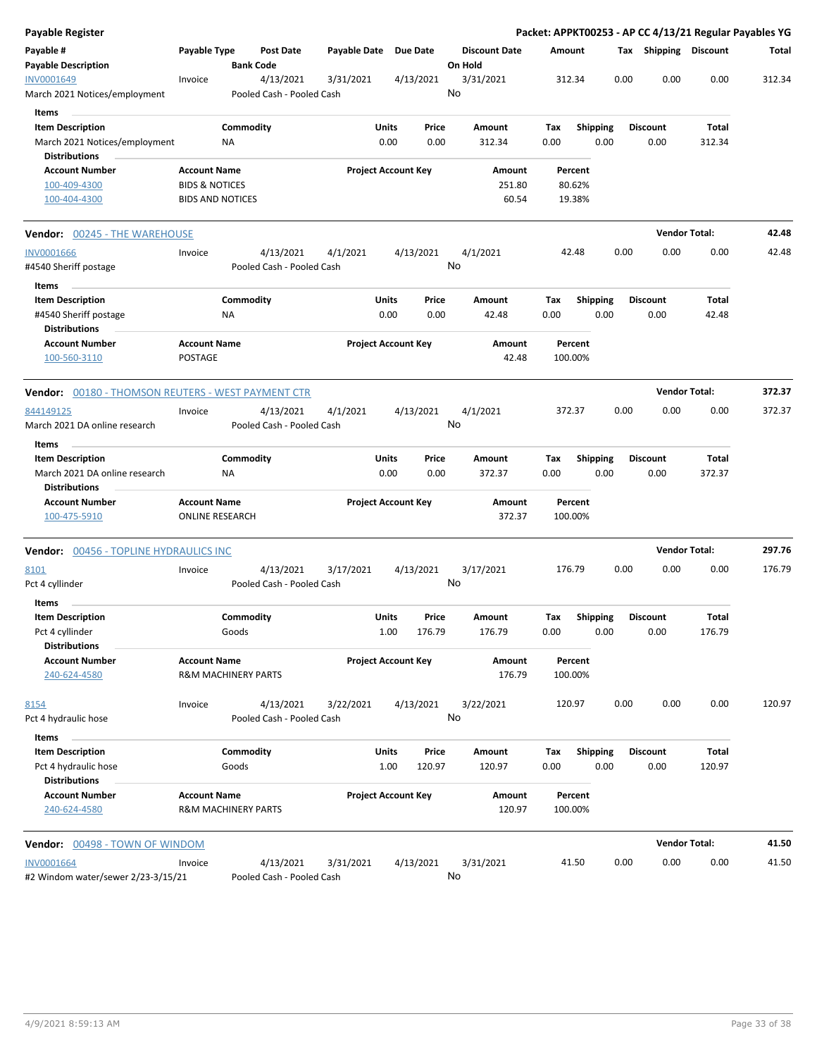| <b>Payable Register</b>                                   |                                                       |                    |                                      |                       |                            |                 |    |                                 |                    |                         |      |                         | Packet: APPKT00253 - AP CC 4/13/21 Regular Payables YG |        |
|-----------------------------------------------------------|-------------------------------------------------------|--------------------|--------------------------------------|-----------------------|----------------------------|-----------------|----|---------------------------------|--------------------|-------------------------|------|-------------------------|--------------------------------------------------------|--------|
| Payable #<br><b>Payable Description</b>                   | Payable Type                                          |                    | <b>Post Date</b><br><b>Bank Code</b> | Payable Date Due Date |                            |                 |    | <b>Discount Date</b><br>On Hold | Amount             |                         |      | Tax Shipping Discount   |                                                        | Total  |
| INV0001649                                                | Invoice                                               |                    | 4/13/2021                            | 3/31/2021             |                            | 4/13/2021       |    | 3/31/2021                       | 312.34             |                         | 0.00 | 0.00                    | 0.00                                                   | 312.34 |
| March 2021 Notices/employment                             |                                                       |                    | Pooled Cash - Pooled Cash            |                       |                            |                 | No |                                 |                    |                         |      |                         |                                                        |        |
| Items                                                     |                                                       |                    |                                      |                       |                            |                 |    |                                 |                    |                         |      |                         |                                                        |        |
| <b>Item Description</b>                                   |                                                       | Commodity          |                                      |                       | Units                      | Price           |    | Amount                          | Tax                | Shipping                |      | <b>Discount</b>         | Total                                                  |        |
| March 2021 Notices/employment                             |                                                       | ΝA                 |                                      |                       | 0.00                       | 0.00            |    | 312.34                          | 0.00               | 0.00                    |      | 0.00                    | 312.34                                                 |        |
| <b>Distributions</b>                                      |                                                       |                    |                                      |                       |                            |                 |    |                                 |                    |                         |      |                         |                                                        |        |
| <b>Account Number</b>                                     | <b>Account Name</b>                                   |                    |                                      |                       | <b>Project Account Key</b> |                 |    | Amount                          | Percent            |                         |      |                         |                                                        |        |
| 100-409-4300                                              | <b>BIDS &amp; NOTICES</b>                             |                    |                                      |                       |                            |                 |    | 251.80                          | 80.62%             |                         |      |                         |                                                        |        |
| 100-404-4300                                              | <b>BIDS AND NOTICES</b>                               |                    |                                      |                       |                            |                 |    | 60.54                           | 19.38%             |                         |      |                         |                                                        |        |
| <b>Vendor: 00245 - THE WAREHOUSE</b>                      |                                                       |                    |                                      |                       |                            |                 |    |                                 |                    |                         |      |                         | <b>Vendor Total:</b>                                   | 42.48  |
| <b>INV0001666</b>                                         | Invoice                                               |                    | 4/13/2021                            | 4/1/2021              |                            | 4/13/2021       |    | 4/1/2021                        | 42.48              |                         | 0.00 | 0.00                    | 0.00                                                   | 42.48  |
| #4540 Sheriff postage                                     |                                                       |                    | Pooled Cash - Pooled Cash            |                       |                            |                 | No |                                 |                    |                         |      |                         |                                                        |        |
| Items                                                     |                                                       |                    |                                      |                       |                            |                 |    |                                 |                    |                         |      |                         |                                                        |        |
| <b>Item Description</b><br>#4540 Sheriff postage          |                                                       | Commodity<br>ΝA    |                                      |                       | Units<br>0.00              | Price<br>0.00   |    | Amount<br>42.48                 | Tax<br>0.00        | <b>Shipping</b><br>0.00 |      | <b>Discount</b><br>0.00 | Total<br>42.48                                         |        |
| <b>Distributions</b>                                      |                                                       |                    |                                      |                       |                            |                 |    |                                 |                    |                         |      |                         |                                                        |        |
| <b>Account Number</b><br>100-560-3110                     | <b>Account Name</b><br><b>POSTAGE</b>                 |                    |                                      |                       | <b>Project Account Key</b> |                 |    | Amount<br>42.48                 | Percent<br>100.00% |                         |      |                         |                                                        |        |
| <b>Vendor:</b> 00180 - THOMSON REUTERS - WEST PAYMENT CTR |                                                       |                    |                                      |                       |                            |                 |    |                                 |                    |                         |      |                         | <b>Vendor Total:</b>                                   | 372.37 |
| 844149125                                                 | Invoice                                               |                    | 4/13/2021                            | 4/1/2021              |                            | 4/13/2021       |    | 4/1/2021                        | 372.37             |                         | 0.00 | 0.00                    | 0.00                                                   | 372.37 |
| March 2021 DA online research                             |                                                       |                    | Pooled Cash - Pooled Cash            |                       |                            |                 | No |                                 |                    |                         |      |                         |                                                        |        |
| Items                                                     |                                                       |                    |                                      |                       |                            |                 |    |                                 |                    |                         |      |                         |                                                        |        |
| <b>Item Description</b>                                   |                                                       | Commodity          |                                      |                       | Units                      | Price           |    | Amount                          | Tax                | <b>Shipping</b>         |      | <b>Discount</b>         | Total                                                  |        |
| March 2021 DA online research                             |                                                       | NA                 |                                      |                       | 0.00                       | 0.00            |    | 372.37                          | 0.00               | 0.00                    |      | 0.00                    | 372.37                                                 |        |
| <b>Distributions</b>                                      |                                                       |                    |                                      |                       |                            |                 |    |                                 |                    |                         |      |                         |                                                        |        |
| <b>Account Number</b>                                     | <b>Account Name</b>                                   |                    |                                      |                       | <b>Project Account Key</b> |                 |    | Amount                          | Percent            |                         |      |                         |                                                        |        |
| 100-475-5910                                              | <b>ONLINE RESEARCH</b>                                |                    |                                      |                       |                            |                 |    | 372.37                          | 100.00%            |                         |      |                         |                                                        |        |
| <b>Vendor: 00456 - TOPLINE HYDRAULICS INC</b>             |                                                       |                    |                                      |                       |                            |                 |    |                                 |                    |                         |      |                         | <b>Vendor Total:</b>                                   | 297.76 |
| 8101                                                      | Invoice                                               |                    | 4/13/2021                            | 3/17/2021             |                            | 4/13/2021       |    | 3/17/2021                       | 176.79             |                         | 0.00 | 0.00                    | 0.00                                                   | 176.79 |
| Pct 4 cyllinder                                           |                                                       |                    | Pooled Cash - Pooled Cash            |                       |                            |                 | No |                                 |                    |                         |      |                         |                                                        |        |
| Items                                                     |                                                       |                    |                                      |                       |                            |                 |    |                                 |                    |                         |      |                         |                                                        |        |
| <b>Item Description</b><br>Pct 4 cyllinder                |                                                       | Commodity<br>Goods |                                      |                       | Units<br>1.00              | Price<br>176.79 |    | Amount<br>176.79                | Tax<br>0.00        | <b>Shipping</b><br>0.00 |      | <b>Discount</b><br>0.00 | Total<br>176.79                                        |        |
| <b>Distributions</b>                                      |                                                       |                    |                                      |                       |                            |                 |    |                                 |                    |                         |      |                         |                                                        |        |
| <b>Account Number</b><br>240-624-4580                     | <b>Account Name</b><br><b>R&amp;M MACHINERY PARTS</b> |                    |                                      |                       | <b>Project Account Key</b> |                 |    | Amount<br>176.79                | Percent<br>100.00% |                         |      |                         |                                                        |        |
| 8154                                                      | Invoice                                               |                    | 4/13/2021                            | 3/22/2021             |                            | 4/13/2021       |    | 3/22/2021                       | 120.97             |                         | 0.00 | 0.00                    | 0.00                                                   | 120.97 |
| Pct 4 hydraulic hose                                      |                                                       |                    | Pooled Cash - Pooled Cash            |                       |                            |                 | No |                                 |                    |                         |      |                         |                                                        |        |
| Items                                                     |                                                       | Commodity          |                                      |                       |                            |                 |    |                                 |                    |                         |      | <b>Discount</b>         |                                                        |        |
| <b>Item Description</b><br>Pct 4 hydraulic hose           |                                                       | Goods              |                                      |                       | Units<br>1.00              | Price<br>120.97 |    | Amount<br>120.97                | Tax<br>0.00        | <b>Shipping</b><br>0.00 |      | 0.00                    | Total<br>120.97                                        |        |
| <b>Distributions</b>                                      |                                                       |                    |                                      |                       |                            |                 |    |                                 |                    |                         |      |                         |                                                        |        |
| <b>Account Number</b>                                     | <b>Account Name</b>                                   |                    |                                      |                       | <b>Project Account Key</b> |                 |    | Amount                          | Percent            |                         |      |                         |                                                        |        |
| 240-624-4580                                              | <b>R&amp;M MACHINERY PARTS</b>                        |                    |                                      |                       |                            |                 |    | 120.97                          | 100.00%            |                         |      |                         |                                                        |        |
| Vendor: 00498 - TOWN OF WINDOM                            |                                                       |                    |                                      |                       |                            |                 |    |                                 |                    |                         |      |                         | <b>Vendor Total:</b>                                   | 41.50  |
| <b>INV0001664</b>                                         | Invoice                                               |                    | 4/13/2021                            | 3/31/2021             |                            | 4/13/2021       |    | 3/31/2021                       | 41.50              |                         | 0.00 | 0.00                    | 0.00                                                   | 41.50  |
| #2 Windom water/sewer 2/23-3/15/21                        |                                                       |                    | Pooled Cash - Pooled Cash            |                       |                            |                 | No |                                 |                    |                         |      |                         |                                                        |        |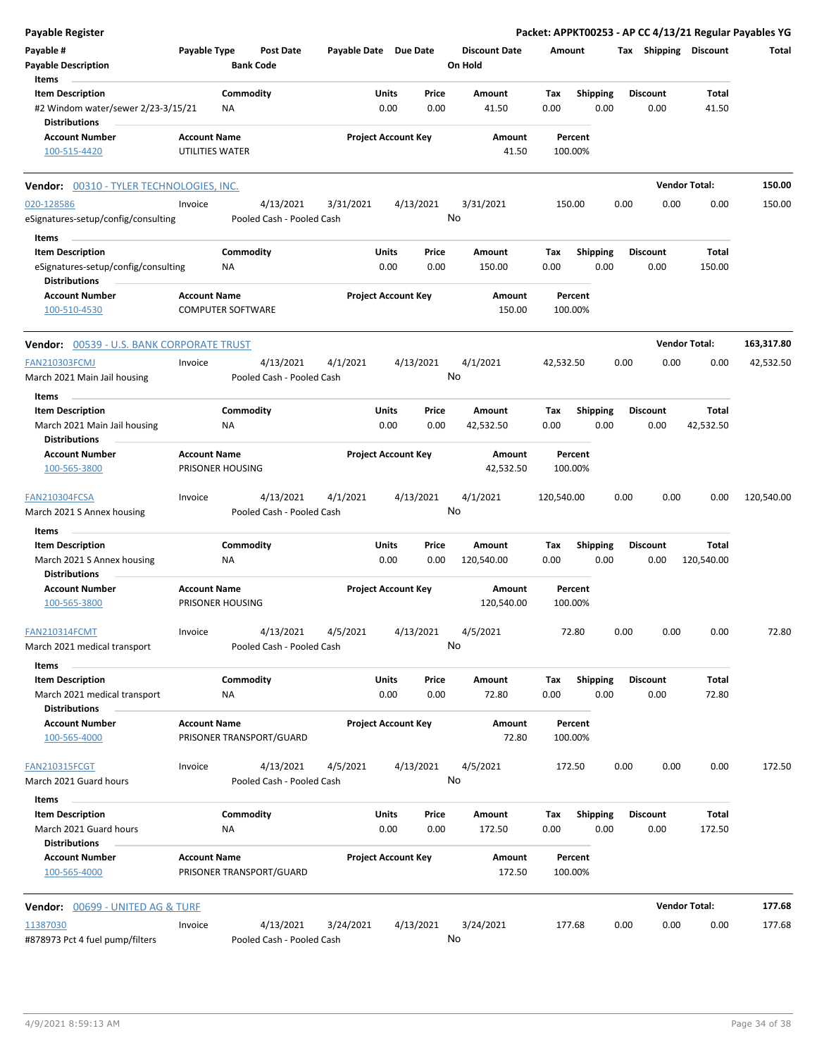| <b>Payable Register</b>                                     |                                                 |                  |                                        |                       |                            |                 |                                 |            |                    |      |                       |                      | Packet: APPKT00253 - AP CC 4/13/21 Regular Payables YG |
|-------------------------------------------------------------|-------------------------------------------------|------------------|----------------------------------------|-----------------------|----------------------------|-----------------|---------------------------------|------------|--------------------|------|-----------------------|----------------------|--------------------------------------------------------|
| Payable #<br><b>Payable Description</b>                     | Payable Type                                    | <b>Bank Code</b> | <b>Post Date</b>                       | Payable Date Due Date |                            |                 | <b>Discount Date</b><br>On Hold | Amount     |                    |      | Tax Shipping Discount |                      | Total                                                  |
| Items                                                       |                                                 |                  |                                        |                       |                            |                 |                                 |            |                    |      |                       |                      |                                                        |
| <b>Item Description</b>                                     |                                                 | Commodity        |                                        |                       | Units                      | Price           | Amount                          | Tax        | <b>Shipping</b>    |      | <b>Discount</b>       | Total                |                                                        |
| #2 Windom water/sewer 2/23-3/15/21<br><b>Distributions</b>  |                                                 | ΝA               |                                        |                       | 0.00                       | 0.00            | 41.50                           | 0.00       | 0.00               |      | 0.00                  | 41.50                |                                                        |
| <b>Account Number</b><br>100-515-4420                       | <b>Account Name</b><br>UTILITIES WATER          |                  |                                        |                       | <b>Project Account Key</b> |                 | Amount<br>41.50                 |            | Percent<br>100.00% |      |                       |                      |                                                        |
| Vendor: 00310 - TYLER TECHNOLOGIES, INC.                    |                                                 |                  |                                        |                       |                            |                 |                                 |            |                    |      |                       | <b>Vendor Total:</b> | 150.00                                                 |
| 020-128586                                                  | Invoice                                         |                  | 4/13/2021                              | 3/31/2021             |                            | 4/13/2021       | 3/31/2021                       |            | 150.00             | 0.00 | 0.00                  | 0.00                 | 150.00                                                 |
| eSignatures-setup/config/consulting                         |                                                 |                  | Pooled Cash - Pooled Cash              |                       |                            | No              |                                 |            |                    |      |                       |                      |                                                        |
| Items                                                       |                                                 |                  |                                        |                       |                            |                 |                                 |            |                    |      |                       |                      |                                                        |
| <b>Item Description</b>                                     |                                                 | Commodity        |                                        |                       | Units                      | Price           | Amount                          | Tax        | Shipping           |      | <b>Discount</b>       | Total                |                                                        |
| eSignatures-setup/config/consulting<br><b>Distributions</b> |                                                 | <b>NA</b>        |                                        |                       | 0.00                       | 0.00            | 150.00                          | 0.00       | 0.00               |      | 0.00                  | 150.00               |                                                        |
| <b>Account Number</b><br>100-510-4530                       | <b>Account Name</b><br><b>COMPUTER SOFTWARE</b> |                  |                                        |                       | <b>Project Account Key</b> |                 | Amount<br>150.00                |            | Percent<br>100.00% |      |                       |                      |                                                        |
| <b>Vendor: 00539 - U.S. BANK CORPORATE TRUST</b>            |                                                 |                  |                                        |                       |                            |                 |                                 |            |                    |      |                       | <b>Vendor Total:</b> | 163,317.80                                             |
| <b>FAN210303FCMJ</b>                                        | Invoice                                         |                  | 4/13/2021                              | 4/1/2021              |                            | 4/13/2021       | 4/1/2021                        | 42.532.50  |                    | 0.00 | 0.00                  | 0.00                 | 42,532.50                                              |
| March 2021 Main Jail housing                                |                                                 |                  | Pooled Cash - Pooled Cash              |                       |                            | No              |                                 |            |                    |      |                       |                      |                                                        |
| Items                                                       |                                                 |                  |                                        |                       |                            |                 |                                 |            |                    |      |                       |                      |                                                        |
| <b>Item Description</b>                                     |                                                 | Commodity        |                                        |                       | Units                      | Price           | Amount                          | Tax        | <b>Shipping</b>    |      | <b>Discount</b>       | Total                |                                                        |
| March 2021 Main Jail housing<br><b>Distributions</b>        |                                                 | ΝA               |                                        |                       | 0.00                       | 0.00            | 42,532.50                       | 0.00       | 0.00               |      | 0.00                  | 42,532.50            |                                                        |
| <b>Account Number</b>                                       | <b>Account Name</b>                             |                  |                                        |                       | <b>Project Account Key</b> |                 | Amount                          |            | Percent            |      |                       |                      |                                                        |
| 100-565-3800                                                | PRISONER HOUSING                                |                  |                                        |                       |                            |                 | 42,532.50                       |            | 100.00%            |      |                       |                      |                                                        |
| FAN210304FCSA                                               | Invoice                                         |                  | 4/13/2021                              | 4/1/2021              |                            | 4/13/2021       | 4/1/2021                        | 120,540.00 |                    | 0.00 | 0.00                  | 0.00                 | 120,540.00                                             |
| March 2021 S Annex housing                                  |                                                 |                  | Pooled Cash - Pooled Cash              |                       |                            |                 | No                              |            |                    |      |                       |                      |                                                        |
| Items                                                       |                                                 |                  |                                        |                       |                            |                 |                                 |            |                    |      |                       |                      |                                                        |
| <b>Item Description</b>                                     |                                                 | Commodity        |                                        |                       | Units                      | Price           | Amount                          | Tax        | <b>Shipping</b>    |      | <b>Discount</b>       | Total                |                                                        |
| March 2021 S Annex housing                                  |                                                 | <b>NA</b>        |                                        |                       | 0.00                       | 0.00            | 120,540.00                      | 0.00       | 0.00               |      | 0.00                  | 120,540.00           |                                                        |
| <b>Distributions</b>                                        |                                                 |                  |                                        |                       |                            |                 |                                 |            |                    |      |                       |                      |                                                        |
| <b>Account Number</b><br>100-565-3800                       | <b>Account Name</b><br>PRISONER HOUSING         |                  |                                        |                       | <b>Project Account Key</b> |                 | Amount<br>120,540.00            |            | Percent<br>100.00% |      |                       |                      |                                                        |
| <b>FAN210314FCMT</b>                                        | Invoice                                         |                  | 4/13/2021                              | 4/5/2021              |                            | 4/13/2021       | 4/5/2021                        |            | 72.80              | 0.00 | 0.00                  | 0.00                 | 72.80                                                  |
| March 2021 medical transport                                |                                                 |                  | Pooled Cash - Pooled Cash              |                       |                            | No              |                                 |            |                    |      |                       |                      |                                                        |
| Items                                                       |                                                 |                  |                                        |                       |                            |                 |                                 |            |                    |      |                       |                      |                                                        |
| <b>Item Description</b>                                     |                                                 | Commodity        |                                        |                       | Units                      | Price           | Amount                          | Tax        | <b>Shipping</b>    |      | <b>Discount</b>       | Total                |                                                        |
| March 2021 medical transport                                |                                                 | NA               |                                        |                       | 0.00                       | 0.00            | 72.80                           | 0.00       | 0.00               |      | 0.00                  | 72.80                |                                                        |
| <b>Distributions</b>                                        |                                                 |                  |                                        |                       |                            |                 |                                 |            |                    |      |                       |                      |                                                        |
| <b>Account Number</b><br>100-565-4000                       | <b>Account Name</b>                             |                  | PRISONER TRANSPORT/GUARD               |                       | <b>Project Account Key</b> |                 | Amount<br>72.80                 |            | Percent<br>100.00% |      |                       |                      |                                                        |
|                                                             |                                                 |                  |                                        |                       |                            |                 |                                 |            |                    |      |                       |                      |                                                        |
| <b>FAN210315FCGT</b><br>March 2021 Guard hours              | Invoice                                         |                  | 4/13/2021<br>Pooled Cash - Pooled Cash | 4/5/2021              |                            | 4/13/2021<br>No | 4/5/2021                        |            | 172.50             | 0.00 | 0.00                  | 0.00                 | 172.50                                                 |
| Items                                                       |                                                 |                  |                                        |                       |                            |                 |                                 |            |                    |      |                       |                      |                                                        |
| <b>Item Description</b>                                     |                                                 | Commodity        |                                        |                       | Units                      | Price           | Amount                          | Тах        | <b>Shipping</b>    |      | <b>Discount</b>       | <b>Total</b>         |                                                        |
| March 2021 Guard hours<br><b>Distributions</b>              |                                                 | ΝA               |                                        |                       | 0.00                       | 0.00            | 172.50                          | 0.00       | 0.00               |      | 0.00                  | 172.50               |                                                        |
| <b>Account Number</b><br>100-565-4000                       | <b>Account Name</b>                             |                  | PRISONER TRANSPORT/GUARD               |                       | <b>Project Account Key</b> |                 | Amount<br>172.50                |            | Percent<br>100.00% |      |                       |                      |                                                        |
| Vendor: 00699 - UNITED AG & TURF                            |                                                 |                  |                                        |                       |                            |                 |                                 |            |                    |      |                       | <b>Vendor Total:</b> | 177.68                                                 |
| 11387030                                                    | Invoice                                         |                  | 4/13/2021                              | 3/24/2021             |                            | 4/13/2021       | 3/24/2021                       |            | 177.68             | 0.00 | 0.00                  | 0.00                 | 177.68                                                 |
| #878973 Pct 4 fuel pump/filters                             |                                                 |                  | Pooled Cash - Pooled Cash              |                       |                            |                 | No                              |            |                    |      |                       |                      |                                                        |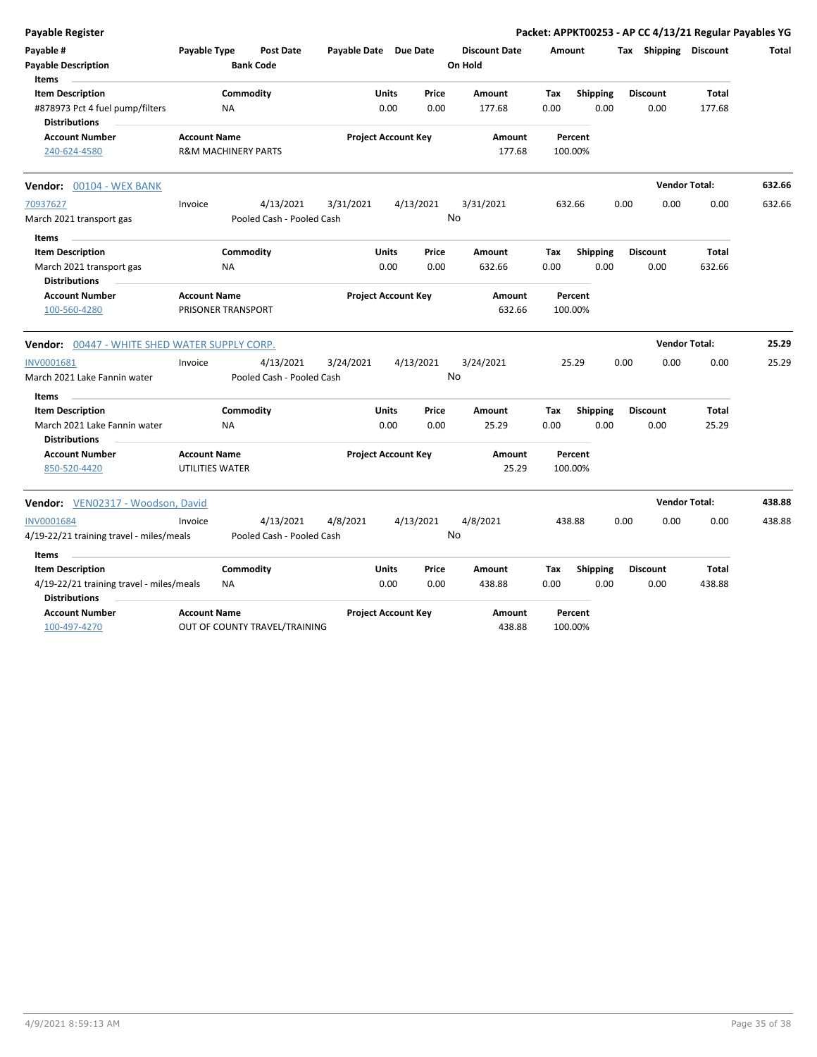| Payable Register                                        |                                |           |                                      |                       |              |                            |                                 |        |                    |      |                       | Packet: APPKT00253 - AP CC 4/13/21 Regular Payables YG |              |
|---------------------------------------------------------|--------------------------------|-----------|--------------------------------------|-----------------------|--------------|----------------------------|---------------------------------|--------|--------------------|------|-----------------------|--------------------------------------------------------|--------------|
| Payable #<br><b>Payable Description</b><br><b>Items</b> | Payable Type                   |           | <b>Post Date</b><br><b>Bank Code</b> | Payable Date Due Date |              |                            | <b>Discount Date</b><br>On Hold | Amount |                    |      | Tax Shipping Discount |                                                        | <b>Total</b> |
| <b>Item Description</b>                                 |                                | Commodity |                                      |                       | <b>Units</b> | Price                      | <b>Amount</b>                   | Tax    | <b>Shipping</b>    |      | <b>Discount</b>       | <b>Total</b>                                           |              |
| #878973 Pct 4 fuel pump/filters                         |                                | <b>NA</b> |                                      |                       | 0.00         | 0.00                       | 177.68                          | 0.00   | 0.00               |      | 0.00                  | 177.68                                                 |              |
| <b>Distributions</b>                                    |                                |           |                                      |                       |              |                            |                                 |        |                    |      |                       |                                                        |              |
| <b>Account Number</b>                                   | <b>Account Name</b>            |           |                                      |                       |              | <b>Project Account Key</b> | Amount                          |        | Percent            |      |                       |                                                        |              |
| 240-624-4580                                            | <b>R&amp;M MACHINERY PARTS</b> |           |                                      |                       |              |                            | 177.68                          |        | 100.00%            |      |                       |                                                        |              |
| Vendor: 00104 - WEX BANK                                |                                |           |                                      |                       |              |                            |                                 |        |                    |      | <b>Vendor Total:</b>  |                                                        | 632.66       |
| 70937627                                                | Invoice                        |           | 4/13/2021                            | 3/31/2021             |              | 4/13/2021                  | 3/31/2021                       |        | 632.66             | 0.00 | 0.00                  | 0.00                                                   | 632.66       |
| March 2021 transport gas                                |                                |           | Pooled Cash - Pooled Cash            |                       |              |                            | No                              |        |                    |      |                       |                                                        |              |
| <b>Items</b>                                            |                                |           |                                      |                       |              |                            |                                 |        |                    |      |                       |                                                        |              |
| <b>Item Description</b>                                 |                                | Commodity |                                      |                       | Units        | Price                      | <b>Amount</b>                   | Tax    | <b>Shipping</b>    |      | <b>Discount</b>       | <b>Total</b>                                           |              |
| March 2021 transport gas<br><b>Distributions</b>        |                                | <b>NA</b> |                                      |                       | 0.00         | 0.00                       | 632.66                          | 0.00   | 0.00               |      | 0.00                  | 632.66                                                 |              |
| <b>Account Number</b>                                   | <b>Account Name</b>            |           |                                      |                       |              | <b>Project Account Key</b> | Amount                          |        | Percent            |      |                       |                                                        |              |
| 100-560-4280                                            | <b>PRISONER TRANSPORT</b>      |           |                                      |                       |              |                            | 632.66                          |        | 100.00%            |      |                       |                                                        |              |
| <b>Vendor:</b> 00447 - WHITE SHED WATER SUPPLY CORP.    |                                |           |                                      |                       |              |                            |                                 |        |                    |      | <b>Vendor Total:</b>  |                                                        | 25.29        |
| INV0001681                                              | Invoice                        |           | 4/13/2021                            | 3/24/2021             |              | 4/13/2021                  | 3/24/2021                       |        | 25.29              | 0.00 | 0.00                  | 0.00                                                   | 25.29        |
| March 2021 Lake Fannin water                            |                                |           | Pooled Cash - Pooled Cash            |                       |              |                            | No                              |        |                    |      |                       |                                                        |              |
| Items                                                   |                                |           |                                      |                       |              |                            |                                 |        |                    |      |                       |                                                        |              |
| <b>Item Description</b>                                 |                                | Commodity |                                      |                       | <b>Units</b> | Price                      | Amount                          | Tax    | <b>Shipping</b>    |      | <b>Discount</b>       | <b>Total</b>                                           |              |
| March 2021 Lake Fannin water<br><b>Distributions</b>    |                                | <b>NA</b> |                                      |                       | 0.00         | 0.00                       | 25.29                           | 0.00   | 0.00               |      | 0.00                  | 25.29                                                  |              |
| <b>Account Number</b>                                   | <b>Account Name</b>            |           |                                      |                       |              | <b>Project Account Key</b> | Amount                          |        | Percent            |      |                       |                                                        |              |
| 850-520-4420                                            | UTILITIES WATER                |           |                                      |                       |              |                            | 25.29                           |        | 100.00%            |      |                       |                                                        |              |
| Vendor: VEN02317 - Woodson, David                       |                                |           |                                      |                       |              |                            |                                 |        |                    |      | <b>Vendor Total:</b>  |                                                        | 438.88       |
| <b>INV0001684</b>                                       | Invoice                        |           | 4/13/2021                            | 4/8/2021              |              | 4/13/2021                  | 4/8/2021                        |        | 438.88             | 0.00 | 0.00                  | 0.00                                                   | 438.88       |
| 4/19-22/21 training travel - miles/meals                |                                |           | Pooled Cash - Pooled Cash            |                       |              |                            | No                              |        |                    |      |                       |                                                        |              |
| Items                                                   |                                |           |                                      |                       |              |                            |                                 |        |                    |      |                       |                                                        |              |
| <b>Item Description</b>                                 |                                | Commodity |                                      |                       | <b>Units</b> | Price                      | Amount                          | Tax    | <b>Shipping</b>    |      | <b>Discount</b>       | Total                                                  |              |
| 4/19-22/21 training travel - miles/meals                |                                | <b>NA</b> |                                      |                       | 0.00         | 0.00                       | 438.88                          | 0.00   | 0.00               |      | 0.00                  | 438.88                                                 |              |
| <b>Distributions</b>                                    |                                |           |                                      |                       |              |                            |                                 |        |                    |      |                       |                                                        |              |
| <b>Account Number</b><br>100-497-4270                   | <b>Account Name</b>            |           | OUT OF COUNTY TRAVEL/TRAINING        |                       |              | <b>Project Account Key</b> | Amount<br>438.88                |        | Percent<br>100.00% |      |                       |                                                        |              |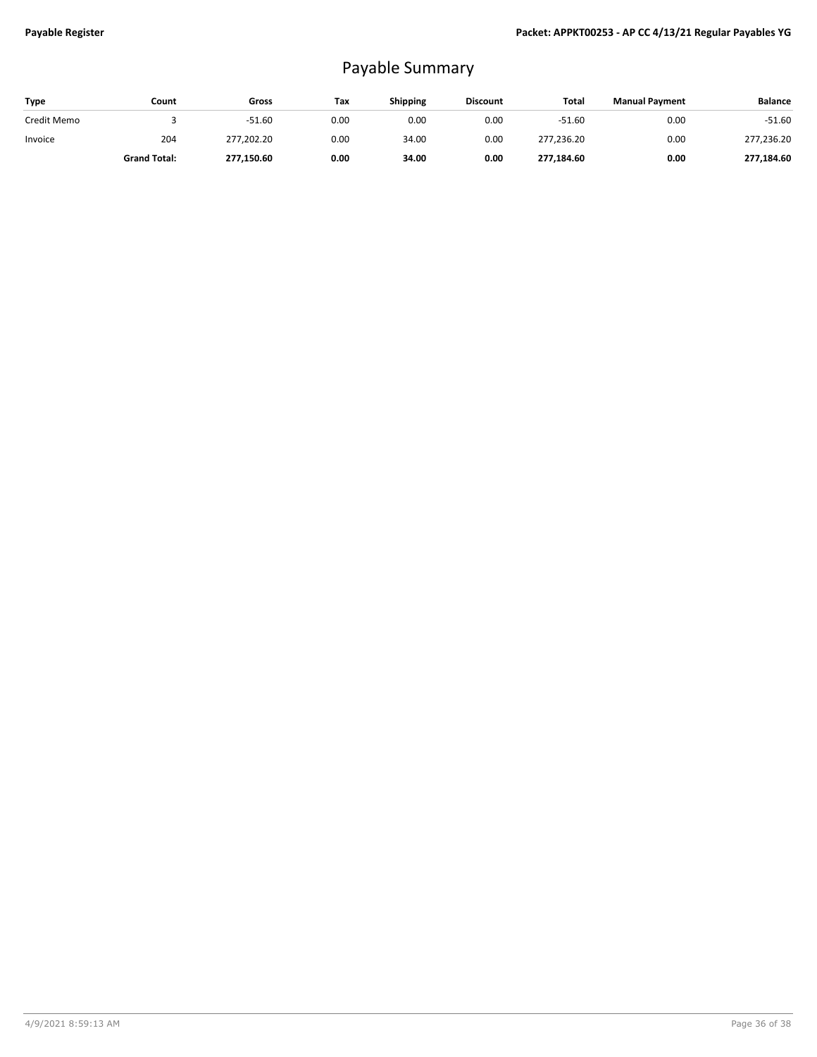## Payable Summary

| Type        | Count               | Gross      | Tax  | <b>Shipping</b> | <b>Discount</b> | Total      | <b>Manual Payment</b> | <b>Balance</b> |
|-------------|---------------------|------------|------|-----------------|-----------------|------------|-----------------------|----------------|
| Credit Memo |                     | $-51.60$   | 0.00 | 0.00            | 0.00            | $-51.60$   | 0.00                  | $-51.60$       |
| Invoice     | 204                 | 277,202.20 | 0.00 | 34.00           | 0.00            | 277,236.20 | 0.00                  | 277,236.20     |
|             | <b>Grand Total:</b> | 277,150.60 | 0.00 | 34.00           | 0.00            | 277,184.60 | 0.00                  | 277,184.60     |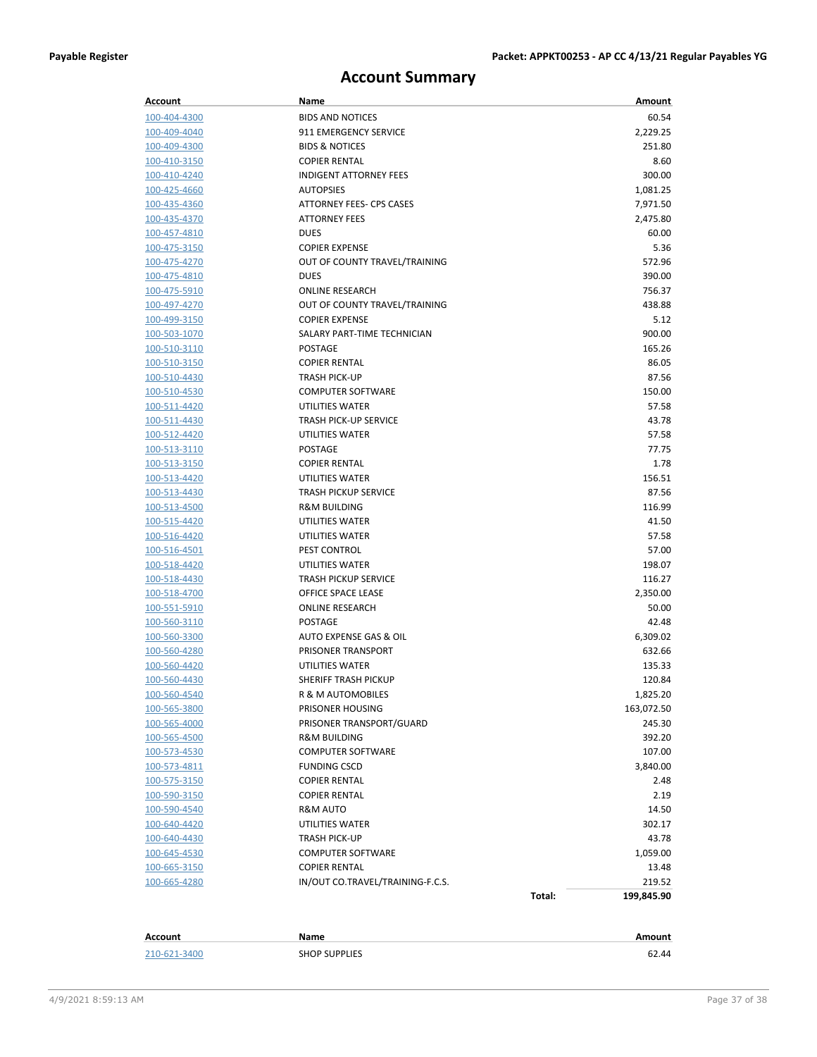## **Account Summary**

| Account             | Name                             |        | Amount     |
|---------------------|----------------------------------|--------|------------|
| 100-404-4300        | <b>BIDS AND NOTICES</b>          |        | 60.54      |
| 100-409-4040        | 911 EMERGENCY SERVICE            |        | 2,229.25   |
| 100-409-4300        | <b>BIDS &amp; NOTICES</b>        |        | 251.80     |
| 100-410-3150        | <b>COPIER RENTAL</b>             |        | 8.60       |
| 100-410-4240        | <b>INDIGENT ATTORNEY FEES</b>    |        | 300.00     |
| 100-425-4660        | <b>AUTOPSIES</b>                 |        | 1,081.25   |
| 100-435-4360        | ATTORNEY FEES- CPS CASES         |        | 7,971.50   |
| 100-435-4370        | <b>ATTORNEY FEES</b>             |        | 2,475.80   |
| 100-457-4810        | <b>DUES</b>                      |        | 60.00      |
| 100-475-3150        | <b>COPIER EXPENSE</b>            |        | 5.36       |
| 100-475-4270        | OUT OF COUNTY TRAVEL/TRAINING    |        | 572.96     |
| 100-475-4810        | <b>DUES</b>                      |        | 390.00     |
| 100-475-5910        | <b>ONLINE RESEARCH</b>           |        | 756.37     |
| 100-497-4270        | OUT OF COUNTY TRAVEL/TRAINING    |        | 438.88     |
| 100-499-3150        | <b>COPIER EXPENSE</b>            |        | 5.12       |
| 100-503-1070        | SALARY PART-TIME TECHNICIAN      |        | 900.00     |
| 100-510-3110        | <b>POSTAGE</b>                   |        | 165.26     |
| 100-510-3150        | <b>COPIER RENTAL</b>             |        | 86.05      |
| 100-510-4430        | <b>TRASH PICK-UP</b>             |        | 87.56      |
| 100-510-4530        | <b>COMPUTER SOFTWARE</b>         |        | 150.00     |
| 100-511-4420        | UTILITIES WATER                  |        | 57.58      |
| 100-511-4430        | <b>TRASH PICK-UP SERVICE</b>     |        | 43.78      |
| 100-512-4420        | UTILITIES WATER                  |        | 57.58      |
| 100-513-3110        | <b>POSTAGE</b>                   |        | 77.75      |
| 100-513-3150        | <b>COPIER RENTAL</b>             |        | 1.78       |
| 100-513-4420        | UTILITIES WATER                  |        | 156.51     |
| 100-513-4430        | <b>TRASH PICKUP SERVICE</b>      |        | 87.56      |
| 100-513-4500        | <b>R&amp;M BUILDING</b>          |        | 116.99     |
| 100-515-4420        | UTILITIES WATER                  |        | 41.50      |
| 100-516-4420        | UTILITIES WATER                  |        | 57.58      |
| 100-516-4501        | PEST CONTROL                     |        | 57.00      |
| 100-518-4420        | UTILITIES WATER                  |        | 198.07     |
| 100-518-4430        | <b>TRASH PICKUP SERVICE</b>      |        | 116.27     |
| 100-518-4700        | OFFICE SPACE LEASE               |        | 2,350.00   |
| 100-551-5910        | <b>ONLINE RESEARCH</b>           |        | 50.00      |
| 100-560-3110        | <b>POSTAGE</b>                   |        | 42.48      |
| 100-560-3300        | AUTO EXPENSE GAS & OIL           |        | 6,309.02   |
| 100-560-4280        | PRISONER TRANSPORT               |        | 632.66     |
| 100-560-4420        | <b>UTILITIES WATER</b>           |        | 135.33     |
| 100-560-4430        | <b>SHERIFF TRASH PICKUP</b>      |        | 120.84     |
| 100-560-4540        | R & M AUTOMOBILES                |        | 1,825.20   |
| 100-565-3800        | PRISONER HOUSING                 |        | 163,072.50 |
| 100-565-4000        | PRISONER TRANSPORT/GUARD         |        | 245.30     |
| 100-565-4500        | <b>R&amp;M BUILDING</b>          |        | 392.20     |
| 100-573-4530        | <b>COMPUTER SOFTWARE</b>         |        | 107.00     |
| <u>100-573-4811</u> | <b>FUNDING CSCD</b>              |        | 3,840.00   |
| <u>100-575-3150</u> | <b>COPIER RENTAL</b>             |        | 2.48       |
| 100-590-3150        | <b>COPIER RENTAL</b>             |        | 2.19       |
| 100-590-4540        | R&M AUTO                         |        | 14.50      |
| 100-640-4420        | UTILITIES WATER                  |        | 302.17     |
| 100-640-4430        | <b>TRASH PICK-UP</b>             |        | 43.78      |
| <u>100-645-4530</u> | <b>COMPUTER SOFTWARE</b>         |        | 1,059.00   |
| <u>100-665-3150</u> | <b>COPIER RENTAL</b>             |        | 13.48      |
| 100-665-4280        | IN/OUT CO.TRAVEL/TRAINING-F.C.S. |        | 219.52     |
|                     |                                  | Total: | 199,845.90 |
|                     |                                  |        |            |
|                     |                                  |        |            |
| Account             | Name                             |        | Amount     |

| <b>AUUUHIL</b>    |                            | AUTOMIT      |
|-------------------|----------------------------|--------------|
|                   |                            |              |
| 210-62<br>$-210o$ | <b>SHOP SUPPLIES</b><br>__ | $\Delta\ell$ |